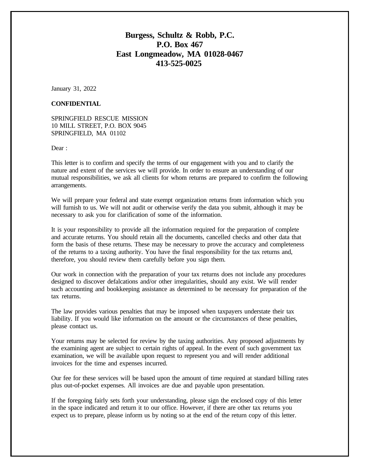#### **Burgess, Schultz & Robb, P.C. P.O. Box 467 East Longmeadow, MA 01028-0467 413-525-0025**

January 31, 2022

#### **CONFIDENTIAL**

SPRINGFIELD RESCUE MISSION 10 MILL STREET, P.O. BOX 9045 SPRINGFIELD, MA 01102

Dear:

This letter is to confirm and specify the terms of our engagement with you and to clarify the nature and extent of the services we will provide. In order to ensure an understanding of our mutual responsibilities, we ask all clients for whom returns are prepared to confirm the following arrangements.

We will prepare your federal and state exempt organization returns from information which you will furnish to us. We will not audit or otherwise verify the data you submit, although it may be necessary to ask you for clarification of some of the information.

It is your responsibility to provide all the information required for the preparation of complete and accurate returns. You should retain all the documents, cancelled checks and other data that form the basis of these returns. These may be necessary to prove the accuracy and completeness of the returns to a taxing authority. You have the final responsibility for the tax returns and, therefore, you should review them carefully before you sign them.

Our work in connection with the preparation of your tax returns does not include any procedures designed to discover defalcations and/or other irregularities, should any exist. We will render such accounting and bookkeeping assistance as determined to be necessary for preparation of the tax returns.

The law provides various penalties that may be imposed when taxpayers understate their tax liability. If you would like information on the amount or the circumstances of these penalties, please contact us.

Your returns may be selected for review by the taxing authorities. Any proposed adjustments by the examining agent are subject to certain rights of appeal. In the event of such government tax examination, we will be available upon request to represent you and will render additional invoices for the time and expenses incurred.

Our fee for these services will be based upon the amount of time required at standard billing rates plus out-of-pocket expenses. All invoices are due and payable upon presentation.

If the foregoing fairly sets forth your understanding, please sign the enclosed copy of this letter in the space indicated and return it to our office. However, if there are other tax returns you expect us to prepare, please inform us by noting so at the end of the return copy of this letter.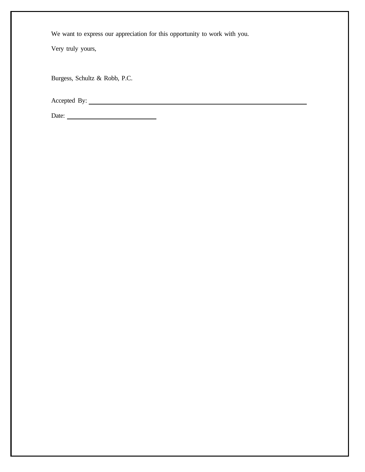We want to express our appreciation for this opportunity to work with you.

Very truly yours,

Burgess, Schultz & Robb, P.C.

Accepted By:

Date: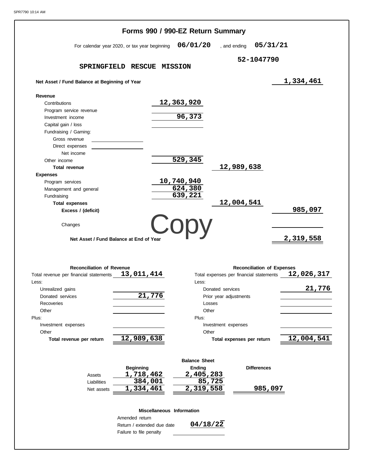|                                               |                                               | Forms 990 / 990-EZ Return Summary       |                           |                                   |            |
|-----------------------------------------------|-----------------------------------------------|-----------------------------------------|---------------------------|-----------------------------------|------------|
|                                               | For calendar year 2020, or tax year beginning | 06/01/20                                | , and ending              | 05/31/21                          |            |
|                                               |                                               |                                         | 52-1047790                |                                   |            |
|                                               | SPRINGFIELD RESCUE MISSION                    |                                         |                           |                                   |            |
| Net Asset / Fund Balance at Beginning of Year |                                               |                                         |                           |                                   | 1,334,461  |
| Revenue                                       |                                               |                                         |                           |                                   |            |
| Contributions                                 |                                               | 12,363,920                              |                           |                                   |            |
| Program service revenue                       |                                               |                                         |                           |                                   |            |
| Investment income                             |                                               | 96,373                                  |                           |                                   |            |
| Capital gain / loss                           |                                               |                                         |                           |                                   |            |
| Fundraising / Gaming:                         |                                               |                                         |                           |                                   |            |
| Gross revenue                                 |                                               |                                         |                           |                                   |            |
| Direct expenses                               |                                               |                                         |                           |                                   |            |
| Net income                                    |                                               |                                         |                           |                                   |            |
| Other income                                  |                                               | $\overline{529}$ , 345                  |                           |                                   |            |
| <b>Total revenue</b>                          |                                               |                                         | 12,989,638                |                                   |            |
| <b>Expenses</b>                               |                                               |                                         |                           |                                   |            |
| Program services                              |                                               | 10,740,940                              |                           |                                   |            |
| Management and general                        |                                               | 624,380                                 |                           |                                   |            |
| Fundraising                                   |                                               | 639,221                                 |                           |                                   |            |
| <b>Total expenses</b>                         |                                               |                                         | 12,004,541                |                                   |            |
| Excess / (deficit)                            |                                               |                                         |                           |                                   | 985,097    |
|                                               |                                               |                                         |                           |                                   |            |
| Changes                                       |                                               | Copy                                    |                           |                                   |            |
| Net Asset / Fund Balance at End of Year       |                                               |                                         |                           |                                   | 2,319,558  |
| <b>Reconciliation of Revenue</b>              |                                               |                                         |                           | <b>Reconciliation of Expenses</b> |            |
| Total revenue per financial statements        | 13,011,414                                    | Total expenses per financial statements |                           |                                   | 12,026,317 |
| Less:                                         |                                               | Less:                                   |                           |                                   |            |
| Unrealized gains                              |                                               | Donated services                        |                           |                                   | 21,776     |
| Donated services                              | 21,776                                        | Prior year adjustments                  |                           |                                   |            |
| Recoveries                                    |                                               | Losses                                  |                           |                                   |            |
| Other                                         |                                               | Other                                   |                           |                                   |            |
| Plus:                                         |                                               | Plus:                                   |                           |                                   |            |
| Investment expenses                           |                                               | Investment expenses                     |                           |                                   |            |
| Other                                         |                                               | Other                                   |                           |                                   |            |
| Total revenue per return                      | 12,989,638                                    |                                         | Total expenses per return |                                   | 12,004,541 |
|                                               |                                               |                                         |                           |                                   |            |
|                                               |                                               | <b>Balance Sheet</b>                    |                           |                                   |            |
|                                               | <b>Beginning</b>                              | Ending                                  |                           | <b>Differences</b>                |            |
| Assets                                        | 1,718,462                                     | 2,405,283                               |                           |                                   |            |
| Liabilities                                   | 384,001                                       | 85,725                                  |                           |                                   |            |
| Net assets                                    | 1,334,461                                     | 2,319,558                               |                           | 985,097                           |            |
|                                               |                                               |                                         |                           |                                   |            |
|                                               | Miscellaneous Information                     |                                         |                           |                                   |            |
|                                               | Amended return                                |                                         |                           |                                   |            |
|                                               | Return / extended due date                    | 04/18/22                                |                           |                                   |            |
|                                               | Failure to file penalty                       |                                         |                           |                                   |            |
|                                               |                                               |                                         |                           |                                   |            |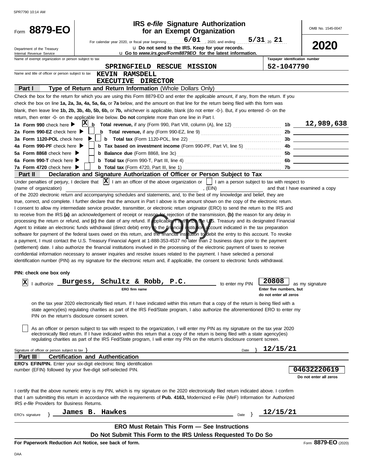| SPR7790 10:14 AM                                                                                               |                                                                                                                                                                                                                                                                                                                                                                                                                                                                                                                                                                                                                                                                                                                                                                                                                                                                                                                                                                                                                                                                                                                                                                                                                                                                                                                                                                                                                                                                                                                                                                                                                                                                                                                                                                                                                                                                                                                                                                                                                                                                                                                                                          |                                                                        |                                              |
|----------------------------------------------------------------------------------------------------------------|----------------------------------------------------------------------------------------------------------------------------------------------------------------------------------------------------------------------------------------------------------------------------------------------------------------------------------------------------------------------------------------------------------------------------------------------------------------------------------------------------------------------------------------------------------------------------------------------------------------------------------------------------------------------------------------------------------------------------------------------------------------------------------------------------------------------------------------------------------------------------------------------------------------------------------------------------------------------------------------------------------------------------------------------------------------------------------------------------------------------------------------------------------------------------------------------------------------------------------------------------------------------------------------------------------------------------------------------------------------------------------------------------------------------------------------------------------------------------------------------------------------------------------------------------------------------------------------------------------------------------------------------------------------------------------------------------------------------------------------------------------------------------------------------------------------------------------------------------------------------------------------------------------------------------------------------------------------------------------------------------------------------------------------------------------------------------------------------------------------------------------------------------------|------------------------------------------------------------------------|----------------------------------------------|
| Form 8879-EO                                                                                                   | <b>IRS</b> e-file Signature Authorization<br>for an Exempt Organization                                                                                                                                                                                                                                                                                                                                                                                                                                                                                                                                                                                                                                                                                                                                                                                                                                                                                                                                                                                                                                                                                                                                                                                                                                                                                                                                                                                                                                                                                                                                                                                                                                                                                                                                                                                                                                                                                                                                                                                                                                                                                  |                                                                        | OMB No. 1545-0047                            |
| Department of the Treasury                                                                                     | 6/01<br>. 2020. and ending<br>For calendar year 2020, or fiscal year beginning<br>u Do not send to the IRS. Keep for your records.                                                                                                                                                                                                                                                                                                                                                                                                                                                                                                                                                                                                                                                                                                                                                                                                                                                                                                                                                                                                                                                                                                                                                                                                                                                                                                                                                                                                                                                                                                                                                                                                                                                                                                                                                                                                                                                                                                                                                                                                                       | $5/31_{20}$ 21                                                         | 2020                                         |
| Internal Revenue Service<br>Name of exempt organization or person subject to tax                               | u Go to www.irs.gov/Form8879EO for the latest information.                                                                                                                                                                                                                                                                                                                                                                                                                                                                                                                                                                                                                                                                                                                                                                                                                                                                                                                                                                                                                                                                                                                                                                                                                                                                                                                                                                                                                                                                                                                                                                                                                                                                                                                                                                                                                                                                                                                                                                                                                                                                                               | Taxpayer identification number                                         |                                              |
|                                                                                                                | SPRINGFIELD RESCUE MISSION                                                                                                                                                                                                                                                                                                                                                                                                                                                                                                                                                                                                                                                                                                                                                                                                                                                                                                                                                                                                                                                                                                                                                                                                                                                                                                                                                                                                                                                                                                                                                                                                                                                                                                                                                                                                                                                                                                                                                                                                                                                                                                                               | 52-1047790                                                             |                                              |
| Name and title of officer or person subject to tax                                                             | <b>KEVIN RAMSDELL</b>                                                                                                                                                                                                                                                                                                                                                                                                                                                                                                                                                                                                                                                                                                                                                                                                                                                                                                                                                                                                                                                                                                                                                                                                                                                                                                                                                                                                                                                                                                                                                                                                                                                                                                                                                                                                                                                                                                                                                                                                                                                                                                                                    |                                                                        |                                              |
|                                                                                                                | EXECUTIVE DIRECTOR                                                                                                                                                                                                                                                                                                                                                                                                                                                                                                                                                                                                                                                                                                                                                                                                                                                                                                                                                                                                                                                                                                                                                                                                                                                                                                                                                                                                                                                                                                                                                                                                                                                                                                                                                                                                                                                                                                                                                                                                                                                                                                                                       |                                                                        |                                              |
| Part I                                                                                                         | Type of Return and Return Information (Whole Dollars Only)                                                                                                                                                                                                                                                                                                                                                                                                                                                                                                                                                                                                                                                                                                                                                                                                                                                                                                                                                                                                                                                                                                                                                                                                                                                                                                                                                                                                                                                                                                                                                                                                                                                                                                                                                                                                                                                                                                                                                                                                                                                                                               |                                                                        |                                              |
|                                                                                                                | Check the box for the return for which you are using this Form 8879-EO and enter the applicable amount, if any, from the return. If you                                                                                                                                                                                                                                                                                                                                                                                                                                                                                                                                                                                                                                                                                                                                                                                                                                                                                                                                                                                                                                                                                                                                                                                                                                                                                                                                                                                                                                                                                                                                                                                                                                                                                                                                                                                                                                                                                                                                                                                                                  |                                                                        |                                              |
|                                                                                                                | check the box on line 1a, 2a, 3a, 4a, 5a, 6a, or 7a below, and the amount on that line for the return being filed with this form was                                                                                                                                                                                                                                                                                                                                                                                                                                                                                                                                                                                                                                                                                                                                                                                                                                                                                                                                                                                                                                                                                                                                                                                                                                                                                                                                                                                                                                                                                                                                                                                                                                                                                                                                                                                                                                                                                                                                                                                                                     |                                                                        |                                              |
|                                                                                                                | blank, then leave line 1b, 2b, 3b, 4b, 5b, 6b, or 7b, whichever is applicable, blank (do not enter -0-). But, if you entered -0- on the                                                                                                                                                                                                                                                                                                                                                                                                                                                                                                                                                                                                                                                                                                                                                                                                                                                                                                                                                                                                                                                                                                                                                                                                                                                                                                                                                                                                                                                                                                                                                                                                                                                                                                                                                                                                                                                                                                                                                                                                                  |                                                                        |                                              |
|                                                                                                                | return, then enter -0- on the applicable line below. Do not complete more than one line in Part I.                                                                                                                                                                                                                                                                                                                                                                                                                                                                                                                                                                                                                                                                                                                                                                                                                                                                                                                                                                                                                                                                                                                                                                                                                                                                                                                                                                                                                                                                                                                                                                                                                                                                                                                                                                                                                                                                                                                                                                                                                                                       |                                                                        |                                              |
| 1a Form 990 check here $\blacktriangleright$                                                                   | $ {\bf X} $<br>$\underline{\mathbf{b}}$ Total revenue, if any (Form 990, Part VIII, column (A), line 12) $\ldots$                                                                                                                                                                                                                                                                                                                                                                                                                                                                                                                                                                                                                                                                                                                                                                                                                                                                                                                                                                                                                                                                                                                                                                                                                                                                                                                                                                                                                                                                                                                                                                                                                                                                                                                                                                                                                                                                                                                                                                                                                                        |                                                                        | $1b$ 12,989,638                              |
| 2a Form 990-EZ check here $\blacktriangleright$                                                                |                                                                                                                                                                                                                                                                                                                                                                                                                                                                                                                                                                                                                                                                                                                                                                                                                                                                                                                                                                                                                                                                                                                                                                                                                                                                                                                                                                                                                                                                                                                                                                                                                                                                                                                                                                                                                                                                                                                                                                                                                                                                                                                                                          | 2b                                                                     |                                              |
| 3a Form 1120-POL check here                                                                                    |                                                                                                                                                                                                                                                                                                                                                                                                                                                                                                                                                                                                                                                                                                                                                                                                                                                                                                                                                                                                                                                                                                                                                                                                                                                                                                                                                                                                                                                                                                                                                                                                                                                                                                                                                                                                                                                                                                                                                                                                                                                                                                                                                          | 3b                                                                     |                                              |
| 4a Form 990-PF check here $\blacktriangleright$                                                                | <b>b</b> Tax based on investment income (Form 990-PF, Part VI, line 5)                                                                                                                                                                                                                                                                                                                                                                                                                                                                                                                                                                                                                                                                                                                                                                                                                                                                                                                                                                                                                                                                                                                                                                                                                                                                                                                                                                                                                                                                                                                                                                                                                                                                                                                                                                                                                                                                                                                                                                                                                                                                                   | 4b                                                                     |                                              |
| 5a Form 8868 check here $\blacktriangleright$                                                                  |                                                                                                                                                                                                                                                                                                                                                                                                                                                                                                                                                                                                                                                                                                                                                                                                                                                                                                                                                                                                                                                                                                                                                                                                                                                                                                                                                                                                                                                                                                                                                                                                                                                                                                                                                                                                                                                                                                                                                                                                                                                                                                                                                          | 5b                                                                     |                                              |
| 6a Form 990-T check here                                                                                       |                                                                                                                                                                                                                                                                                                                                                                                                                                                                                                                                                                                                                                                                                                                                                                                                                                                                                                                                                                                                                                                                                                                                                                                                                                                                                                                                                                                                                                                                                                                                                                                                                                                                                                                                                                                                                                                                                                                                                                                                                                                                                                                                                          | 6b                                                                     |                                              |
| 7a Form 4720 check here $\blacktriangleright$                                                                  |                                                                                                                                                                                                                                                                                                                                                                                                                                                                                                                                                                                                                                                                                                                                                                                                                                                                                                                                                                                                                                                                                                                                                                                                                                                                                                                                                                                                                                                                                                                                                                                                                                                                                                                                                                                                                                                                                                                                                                                                                                                                                                                                                          | 7b                                                                     |                                              |
| Part II                                                                                                        | Declaration and Signature Authorization of Officer or Person Subject to Tax                                                                                                                                                                                                                                                                                                                                                                                                                                                                                                                                                                                                                                                                                                                                                                                                                                                                                                                                                                                                                                                                                                                                                                                                                                                                                                                                                                                                                                                                                                                                                                                                                                                                                                                                                                                                                                                                                                                                                                                                                                                                              |                                                                        |                                              |
|                                                                                                                | Under penalties of perjury, I declare that $\vert x \vert$ I am an officer of the above organization or $\vert$ I am a person subject to tax with respect to                                                                                                                                                                                                                                                                                                                                                                                                                                                                                                                                                                                                                                                                                                                                                                                                                                                                                                                                                                                                                                                                                                                                                                                                                                                                                                                                                                                                                                                                                                                                                                                                                                                                                                                                                                                                                                                                                                                                                                                             |                                                                        |                                              |
| PIN: check one box only<br> X<br>I authorize<br>Signature of officer or person subject to tax $\}$<br>Part III | I consent to allow my intermediate service provider, transmitter, or electronic return originator (ERO) to send the return to the IRS and<br>to receive from the IRS (a) an acknowledgement of receipt or reason for rejection of the transmission, (b) the reason for any delay in<br>processing the return or refund, and (c) the date of any refund. If applicable Tautherize the U.S. Treasury and its designated Financial<br>Agent to initiate an electronic funds withdrawal (direct debit) entry to the financial institution account indicated in the tax preparation<br>software for payment of the federal taxes owed on this return, and the imancial institution to debit the entry to this account. To revoke<br>a payment, I must contact the U.S. Treasury Financial Agent at 1-888-353-4537 no later than 2 business days prior to the payment<br>(settlement) date. I also authorize the financial institutions involved in the processing of the electronic payment of taxes to receive<br>confidential information necessary to answer inquiries and resolve issues related to the payment. I have selected a personal<br>identification number (PIN) as my signature for the electronic return and, if applicable, the consent to electronic funds withdrawal.<br>Burgess, Schultz & Robb, P.C.<br>to enter my PIN<br>ERO firm name<br>on the tax year 2020 electronically filed return. If I have indicated within this return that a copy of the return is being filed with a<br>state agency(ies) regulating charities as part of the IRS Fed/State program, I also authorize the aforementioned ERO to enter my<br>PIN on the return's disclosure consent screen.<br>As an officer or person subject to tax with respect to the organization, I will enter my PIN as my signature on the tax year 2020<br>electronically filed return. If I have indicated within this return that a copy of the return is being filed with a state agency(ies)<br>regulating charities as part of the IRS Fed/State program, I will enter my PIN on the return's disclosure consent screen.<br>Date<br><b>Certification and Authentication</b> | 20808<br>Enter five numbers, but<br>do not enter all zeros<br>12/15/21 | as my signature                              |
|                                                                                                                | <b>ERO's EFIN/PIN.</b> Enter your six-digit electronic filing identification                                                                                                                                                                                                                                                                                                                                                                                                                                                                                                                                                                                                                                                                                                                                                                                                                                                                                                                                                                                                                                                                                                                                                                                                                                                                                                                                                                                                                                                                                                                                                                                                                                                                                                                                                                                                                                                                                                                                                                                                                                                                             |                                                                        |                                              |
|                                                                                                                | number (EFIN) followed by your five-digit self-selected PIN.                                                                                                                                                                                                                                                                                                                                                                                                                                                                                                                                                                                                                                                                                                                                                                                                                                                                                                                                                                                                                                                                                                                                                                                                                                                                                                                                                                                                                                                                                                                                                                                                                                                                                                                                                                                                                                                                                                                                                                                                                                                                                             |                                                                        | <b>04632220619</b><br>Do not enter all zeros |
| IRS e-file Providers for Business Returns.                                                                     | I certify that the above numeric entry is my PIN, which is my signature on the 2020 electronically filed return indicated above. I confirm<br>that I am submitting this return in accordance with the requirements of Pub. 4163, Modernized e-File (MeF) Information for Authorized                                                                                                                                                                                                                                                                                                                                                                                                                                                                                                                                                                                                                                                                                                                                                                                                                                                                                                                                                                                                                                                                                                                                                                                                                                                                                                                                                                                                                                                                                                                                                                                                                                                                                                                                                                                                                                                                      |                                                                        |                                              |
| ERO's signature                                                                                                | James B. Hawkes<br>Date $\}$                                                                                                                                                                                                                                                                                                                                                                                                                                                                                                                                                                                                                                                                                                                                                                                                                                                                                                                                                                                                                                                                                                                                                                                                                                                                                                                                                                                                                                                                                                                                                                                                                                                                                                                                                                                                                                                                                                                                                                                                                                                                                                                             | 12/15/21                                                               |                                              |
|                                                                                                                |                                                                                                                                                                                                                                                                                                                                                                                                                                                                                                                                                                                                                                                                                                                                                                                                                                                                                                                                                                                                                                                                                                                                                                                                                                                                                                                                                                                                                                                                                                                                                                                                                                                                                                                                                                                                                                                                                                                                                                                                                                                                                                                                                          |                                                                        |                                              |
|                                                                                                                | <b>ERO Must Retain This Form - See Instructions</b>                                                                                                                                                                                                                                                                                                                                                                                                                                                                                                                                                                                                                                                                                                                                                                                                                                                                                                                                                                                                                                                                                                                                                                                                                                                                                                                                                                                                                                                                                                                                                                                                                                                                                                                                                                                                                                                                                                                                                                                                                                                                                                      |                                                                        |                                              |
|                                                                                                                | Do Not Submit This Form to the IRS Unless Requested To Do So                                                                                                                                                                                                                                                                                                                                                                                                                                                                                                                                                                                                                                                                                                                                                                                                                                                                                                                                                                                                                                                                                                                                                                                                                                                                                                                                                                                                                                                                                                                                                                                                                                                                                                                                                                                                                                                                                                                                                                                                                                                                                             |                                                                        |                                              |
|                                                                                                                | For Paperwork Reduction Act Notice, see back of form.                                                                                                                                                                                                                                                                                                                                                                                                                                                                                                                                                                                                                                                                                                                                                                                                                                                                                                                                                                                                                                                                                                                                                                                                                                                                                                                                                                                                                                                                                                                                                                                                                                                                                                                                                                                                                                                                                                                                                                                                                                                                                                    |                                                                        | Form 8879-EO (2020)                          |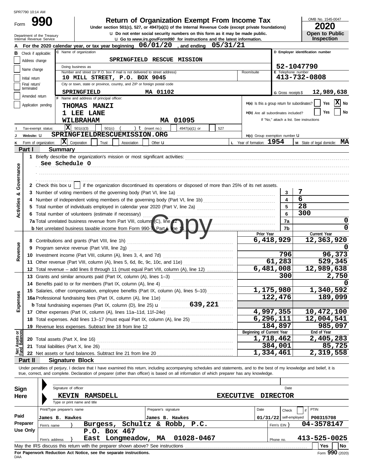|      | SPR7790 10:14 AM |
|------|------------------|
| Form | 99               |

**u** Do not enter social security numbers on this form as it may be made public.<br>**I** Go to *MMM its COV/Form990* for instructions and the latest information **990 2020 2010 2020 2020 2020 2020 2020 2020 2020 2020 2020 2020 2020 2020 2020** 

OMB No. 1545-0047

| ZUZU                  |  |
|-----------------------|--|
| <b>Open to Public</b> |  |
| <b>Inspection</b>     |  |

|                               |                 | Department of the Treasury<br>Internal Revenue Service                             |                                                                                                   |                                          |                                                                                                                                                                            |                      | Q Do not enter social security numbers on this form as it may be made public.<br><b>u</b> Go to www.irs.gov/Form990 for instructions and the latest information. |          |                  |                                               |                          |                     |                                          | Open to Public<br><b>Inspection</b> |
|-------------------------------|-----------------|------------------------------------------------------------------------------------|---------------------------------------------------------------------------------------------------|------------------------------------------|----------------------------------------------------------------------------------------------------------------------------------------------------------------------------|----------------------|------------------------------------------------------------------------------------------------------------------------------------------------------------------|----------|------------------|-----------------------------------------------|--------------------------|---------------------|------------------------------------------|-------------------------------------|
|                               |                 |                                                                                    |                                                                                                   |                                          | For the 2020 calendar year, or tax year beginning $06/01/20$ , and ending                                                                                                  |                      |                                                                                                                                                                  | 05/31/21 |                  |                                               |                          |                     |                                          |                                     |
| в                             |                 | C Name of organization<br>D Employer identification number<br>Check if applicable: |                                                                                                   |                                          |                                                                                                                                                                            |                      |                                                                                                                                                                  |          |                  |                                               |                          |                     |                                          |                                     |
|                               | Address change  |                                                                                    | SPRINGFIELD RESCUE MISSION                                                                        |                                          |                                                                                                                                                                            |                      |                                                                                                                                                                  |          |                  |                                               |                          |                     |                                          |                                     |
|                               | Name change     |                                                                                    |                                                                                                   | Doing business as                        |                                                                                                                                                                            |                      |                                                                                                                                                                  |          |                  |                                               |                          |                     | 52-1047790                               |                                     |
|                               | Initial return  |                                                                                    |                                                                                                   |                                          | Number and street (or P.O. box if mail is not delivered to street address)<br>10 MILL STREET, P.O. BOX 9045                                                                |                      |                                                                                                                                                                  |          |                  | Room/suite                                    |                          |                     | E Telephone number<br>413-732-0808       |                                     |
|                               | Final return/   |                                                                                    |                                                                                                   |                                          | City or town, state or province, country, and ZIP or foreign postal code                                                                                                   |                      |                                                                                                                                                                  |          |                  |                                               |                          |                     |                                          |                                     |
|                               | terminated      |                                                                                    |                                                                                                   | SPRINGFIELD                              |                                                                                                                                                                            | MA 01102             |                                                                                                                                                                  |          |                  |                                               |                          | G Gross receipts \$ |                                          | 12,989,638                          |
|                               | Amended return  |                                                                                    |                                                                                                   | F Name and address of principal officer: |                                                                                                                                                                            |                      |                                                                                                                                                                  |          |                  |                                               |                          |                     |                                          |                                     |
|                               |                 | Application pending                                                                |                                                                                                   | <b>THOMAS MANZI</b>                      |                                                                                                                                                                            |                      |                                                                                                                                                                  |          |                  | H(a) Is this a group return for subordinates? |                          |                     |                                          | $ \mathbf{X} $ No<br>Yes            |
|                               |                 |                                                                                    |                                                                                                   | 1 LEE LANE                               |                                                                                                                                                                            |                      |                                                                                                                                                                  |          |                  | H(b) Are all subordinates included?           |                          |                     |                                          | No<br>Yes                           |
|                               |                 |                                                                                    |                                                                                                   | WILBRAHAM                                |                                                                                                                                                                            |                      | MA 01095                                                                                                                                                         |          |                  |                                               |                          |                     | If "No," attach a list. See instructions |                                     |
|                               |                 | Tax-exempt status:                                                                 | x                                                                                                 | 501(c)(3)                                | 501(c)                                                                                                                                                                     | ) $t$ (insert no.)   | 4947(a)(1) or                                                                                                                                                    | 527      |                  |                                               |                          |                     |                                          |                                     |
|                               | Website: U      |                                                                                    |                                                                                                   |                                          | SPRINGFIELDRESCUEMISSION.ORG                                                                                                                                               |                      |                                                                                                                                                                  |          |                  | H(c) Group exemption number U                 |                          |                     |                                          |                                     |
|                               |                 | Form of organization:                                                              | $ \mathbf{X} $ Corporation                                                                        | Trust                                    | Association                                                                                                                                                                | Other $\mathbf u$    |                                                                                                                                                                  |          |                  | L Year of formation: $1954$                   |                          |                     |                                          | M State of legal domicile: MA       |
|                               | Part I          |                                                                                    | <b>Summary</b>                                                                                    |                                          |                                                                                                                                                                            |                      |                                                                                                                                                                  |          |                  |                                               |                          |                     |                                          |                                     |
|                               |                 |                                                                                    |                                                                                                   |                                          |                                                                                                                                                                            |                      |                                                                                                                                                                  |          |                  |                                               |                          |                     |                                          |                                     |
|                               |                 | See Schedule O                                                                     |                                                                                                   |                                          |                                                                                                                                                                            |                      |                                                                                                                                                                  |          |                  |                                               |                          |                     |                                          |                                     |
| Governance                    |                 |                                                                                    |                                                                                                   |                                          |                                                                                                                                                                            |                      |                                                                                                                                                                  |          |                  |                                               |                          |                     |                                          |                                     |
|                               |                 |                                                                                    |                                                                                                   |                                          |                                                                                                                                                                            |                      |                                                                                                                                                                  |          |                  |                                               |                          |                     |                                          |                                     |
|                               |                 |                                                                                    |                                                                                                   |                                          | 2 Check this box $\mathbf{u}$   if the organization discontinued its operations or disposed of more than 25% of its net assets.                                            |                      |                                                                                                                                                                  |          |                  |                                               |                          |                     |                                          |                                     |
| න්                            |                 |                                                                                    |                                                                                                   |                                          | 3 Number of voting members of the governing body (Part VI, line 1a)                                                                                                        |                      |                                                                                                                                                                  |          |                  |                                               |                          | 3                   | 7                                        |                                     |
| <b>Activities</b>             |                 |                                                                                    |                                                                                                   |                                          |                                                                                                                                                                            |                      |                                                                                                                                                                  |          |                  |                                               |                          | 4                   | 6                                        |                                     |
|                               |                 |                                                                                    |                                                                                                   |                                          |                                                                                                                                                                            |                      |                                                                                                                                                                  |          |                  |                                               |                          | 5                   | 28                                       |                                     |
|                               |                 |                                                                                    |                                                                                                   |                                          | 6 Total number of volunteers (estimate if necessary)                                                                                                                       |                      |                                                                                                                                                                  |          |                  |                                               |                          | 6                   | 300                                      |                                     |
|                               |                 |                                                                                    |                                                                                                   |                                          | 7a Total unrelated business revenue from Part VIII, column (C), line 2                                                                                                     |                      |                                                                                                                                                                  |          |                  |                                               |                          | 7a                  |                                          | 0<br>0                              |
|                               |                 |                                                                                    |                                                                                                   |                                          | <b>b</b> Net unrelated business taxable income from Form 990-T. Part t, the 1                                                                                              |                      |                                                                                                                                                                  |          |                  | Prior Year                                    |                          | 7b                  |                                          | Current Year                        |
|                               |                 |                                                                                    |                                                                                                   |                                          |                                                                                                                                                                            |                      |                                                                                                                                                                  |          |                  | 6,418,929                                     |                          |                     |                                          | 12,363,920                          |
| Revenue                       |                 |                                                                                    | 8 Contributions and grants (Part VIII, line 1h)<br>9 Program service revenue (Part VIII, line 2g) |                                          |                                                                                                                                                                            |                      |                                                                                                                                                                  |          |                  |                                               |                          |                     |                                          |                                     |
|                               |                 |                                                                                    |                                                                                                   |                                          | 10 Investment income (Part VIII, column (A), lines 3, 4, and 7d)                                                                                                           |                      |                                                                                                                                                                  |          |                  |                                               | 796                      |                     | 96,373                                   |                                     |
|                               |                 |                                                                                    |                                                                                                   |                                          | 11 Other revenue (Part VIII, column (A), lines 5, 6d, 8c, 9c, 10c, and 11e)                                                                                                |                      |                                                                                                                                                                  |          |                  |                                               | 61,283                   |                     |                                          | 529,345                             |
|                               |                 |                                                                                    |                                                                                                   |                                          | 12 Total revenue - add lines 8 through 11 (must equal Part VIII, column (A), line 12)                                                                                      |                      |                                                                                                                                                                  |          |                  | 6,481,008                                     |                          |                     |                                          | 12,989,638                          |
|                               |                 |                                                                                    |                                                                                                   |                                          | 13 Grants and similar amounts paid (Part IX, column (A), lines 1-3)                                                                                                        |                      |                                                                                                                                                                  |          |                  |                                               |                          | 300                 |                                          | 2,750                               |
|                               |                 |                                                                                    |                                                                                                   |                                          | 14 Benefits paid to or for members (Part IX, column (A), line 4)                                                                                                           |                      |                                                                                                                                                                  |          |                  |                                               |                          |                     |                                          |                                     |
|                               |                 |                                                                                    |                                                                                                   |                                          | 15 Salaries, other compensation, employee benefits (Part IX, column (A), lines 5-10)                                                                                       |                      |                                                                                                                                                                  |          |                  | 1,175,980                                     |                          |                     |                                          | 1,340,592                           |
| <b>nses</b>                   |                 |                                                                                    |                                                                                                   |                                          | 16a Professional fundraising fees (Part IX, column (A), line 11e)                                                                                                          |                      |                                                                                                                                                                  |          |                  |                                               | 122,476                  |                     |                                          | 189,099                             |
| Exper                         |                 |                                                                                    |                                                                                                   |                                          |                                                                                                                                                                            |                      |                                                                                                                                                                  |          |                  |                                               |                          |                     |                                          |                                     |
|                               |                 |                                                                                    |                                                                                                   |                                          |                                                                                                                                                                            |                      |                                                                                                                                                                  |          |                  |                                               | 4,997,355<br>10,472,100  |                     |                                          |                                     |
|                               |                 |                                                                                    |                                                                                                   |                                          | 18 Total expenses. Add lines 13-17 (must equal Part IX, column (A), line 25)                                                                                               |                      |                                                                                                                                                                  |          |                  | 6,296,111                                     |                          |                     |                                          | 12,004,541                          |
|                               |                 |                                                                                    |                                                                                                   |                                          |                                                                                                                                                                            |                      |                                                                                                                                                                  |          |                  | Beginning of Current Year                     | 184,897                  |                     |                                          | 985,097<br>End of Year              |
| Net Assets or<br>und Balances |                 |                                                                                    |                                                                                                   |                                          |                                                                                                                                                                            |                      |                                                                                                                                                                  |          |                  | 1,718,462                                     |                          |                     |                                          | 2,405,283                           |
|                               |                 |                                                                                    |                                                                                                   |                                          |                                                                                                                                                                            |                      |                                                                                                                                                                  |          |                  |                                               | 384,001                  |                     |                                          | 85,725                              |
|                               |                 |                                                                                    |                                                                                                   |                                          | 22 Net assets or fund balances. Subtract line 21 from line 20                                                                                                              |                      |                                                                                                                                                                  |          |                  | 1,334,461                                     |                          |                     |                                          | 2,319,558                           |
|                               | Part II         |                                                                                    |                                                                                                   | <b>Signature Block</b>                   |                                                                                                                                                                            |                      |                                                                                                                                                                  |          |                  |                                               |                          |                     |                                          |                                     |
|                               |                 |                                                                                    |                                                                                                   |                                          | Under penalties of perjury, I declare that I have examined this return, including accompanying schedules and statements, and to the best of my knowledge and belief, it is |                      |                                                                                                                                                                  |          |                  |                                               |                          |                     |                                          |                                     |
|                               |                 |                                                                                    |                                                                                                   |                                          | true, correct, and complete. Declaration of preparer (other than officer) is based on all information of which preparer has any knowledge.                                 |                      |                                                                                                                                                                  |          |                  |                                               |                          |                     |                                          |                                     |
|                               |                 |                                                                                    |                                                                                                   |                                          |                                                                                                                                                                            |                      |                                                                                                                                                                  |          |                  |                                               |                          |                     |                                          |                                     |
| Sign                          |                 |                                                                                    | Signature of officer                                                                              |                                          |                                                                                                                                                                            |                      |                                                                                                                                                                  |          |                  |                                               |                          | Date                |                                          |                                     |
| Here                          |                 |                                                                                    |                                                                                                   | KEVIN RAMSDELL                           |                                                                                                                                                                            |                      |                                                                                                                                                                  |          | <b>EXECUTIVE</b> |                                               | <b>DIRECTOR</b>          |                     |                                          |                                     |
|                               |                 |                                                                                    |                                                                                                   | Type or print name and title             |                                                                                                                                                                            |                      |                                                                                                                                                                  |          |                  |                                               |                          |                     |                                          |                                     |
|                               |                 | Print/Type preparer's name                                                         |                                                                                                   |                                          |                                                                                                                                                                            | Preparer's signature |                                                                                                                                                                  |          |                  | Date                                          |                          | Check               | PTIN                                     |                                     |
| Paid                          |                 | James B. Hawkes                                                                    |                                                                                                   |                                          |                                                                                                                                                                            | James B. Hawkes      |                                                                                                                                                                  |          |                  |                                               | $01/31/22$ self-employed |                     |                                          | P00315708                           |
|                               | Preparer        | Firm's name                                                                        |                                                                                                   | Burgess,                                 |                                                                                                                                                                            | Schultz & Robb,      | P.C.                                                                                                                                                             |          |                  |                                               | Firm's EIN }             |                     |                                          | 04-3578147                          |
|                               | <b>Use Only</b> |                                                                                    |                                                                                                   |                                          | P.O. Box 467                                                                                                                                                               |                      |                                                                                                                                                                  |          |                  |                                               |                          |                     |                                          |                                     |
|                               |                 | Firm's address                                                                     |                                                                                                   |                                          | East Longmeadow, MA                                                                                                                                                        |                      | 01028-0467                                                                                                                                                       |          |                  |                                               | Phone no.                |                     |                                          | 413-525-0025                        |
|                               |                 |                                                                                    |                                                                                                   |                                          |                                                                                                                                                                            |                      |                                                                                                                                                                  |          |                  |                                               |                          |                     |                                          | Yes<br>No                           |

| Sign        | Signature of officer                                                                  |                      | Date                                  |  |  |  |  |  |  |
|-------------|---------------------------------------------------------------------------------------|----------------------|---------------------------------------|--|--|--|--|--|--|
| <b>Here</b> | <b>RAMSDELL</b><br><b>KEVIN</b>                                                       | <b>EXECUTIVE</b>     | <b>DIRECTOR</b>                       |  |  |  |  |  |  |
|             | Type or print name and title                                                          |                      |                                       |  |  |  |  |  |  |
|             | Print/Type preparer's name                                                            | Preparer's signature | PTIN<br>Date<br>if<br>Check           |  |  |  |  |  |  |
| Paid        | James B. Hawkes                                                                       | James B. Hawkes      | $01/31/22$ self-employed<br>P00315708 |  |  |  |  |  |  |
| Preparer    | Burgess,<br>Firm's name                                                               | Schultz & Robb, P.C. | 04-3578147<br>Firm's $EIN$            |  |  |  |  |  |  |
| Use Only    | Box 467<br>P.O.                                                                       |                      |                                       |  |  |  |  |  |  |
|             | East Longmeadow,<br>Firm's address                                                    | 01028-0467<br>MA     | 413-525-0025<br>Phone no.             |  |  |  |  |  |  |
|             | May the IRS discuss this return with the preparer shown above? See instructions       |                      | No<br><b>Yes</b>                      |  |  |  |  |  |  |
|             | Form 990 (2020)<br>For Paperwork Reduction Act Notice, see the separate instructions. |                      |                                       |  |  |  |  |  |  |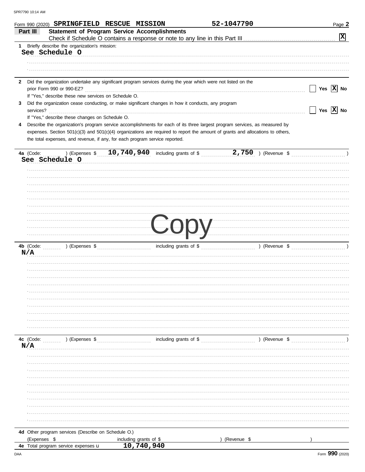|   | Form 990 (2020) SPRINGFIELD RESCUE MISSION                                                                                                                                                                                           |                                                 | 52-1047790  | Page 2                |
|---|--------------------------------------------------------------------------------------------------------------------------------------------------------------------------------------------------------------------------------------|-------------------------------------------------|-------------|-----------------------|
|   | <b>Statement of Program Service Accomplishments</b><br>Part III                                                                                                                                                                      |                                                 |             |                       |
|   |                                                                                                                                                                                                                                      |                                                 |             | $ \mathbf{x} $        |
| 1 | Briefly describe the organization's mission:<br>See Schedule O                                                                                                                                                                       |                                                 |             |                       |
|   |                                                                                                                                                                                                                                      |                                                 |             |                       |
|   |                                                                                                                                                                                                                                      |                                                 |             |                       |
|   |                                                                                                                                                                                                                                      |                                                 |             |                       |
| 2 | Did the organization undertake any significant program services during the year which were not listed on the                                                                                                                         |                                                 |             |                       |
|   |                                                                                                                                                                                                                                      |                                                 |             | Yes $\overline{X}$ No |
|   | If "Yes," describe these new services on Schedule O.                                                                                                                                                                                 |                                                 |             |                       |
| 3 | Did the organization cease conducting, or make significant changes in how it conducts, any program                                                                                                                                   |                                                 |             |                       |
|   | services?                                                                                                                                                                                                                            |                                                 |             | Yes $\overline{X}$ No |
| 4 | If "Yes," describe these changes on Schedule O.<br>Describe the organization's program service accomplishments for each of its three largest program services, as measured by                                                        |                                                 |             |                       |
|   | expenses. Section 501(c)(3) and 501(c)(4) organizations are required to report the amount of grants and allocations to others,                                                                                                       |                                                 |             |                       |
|   | the total expenses, and revenue, if any, for each program service reported.                                                                                                                                                          |                                                 |             |                       |
|   |                                                                                                                                                                                                                                      |                                                 |             |                       |
|   | 4a (Code:                                                                                                                                                                                                                            |                                                 |             |                       |
|   | See Schedule O                                                                                                                                                                                                                       |                                                 |             |                       |
|   |                                                                                                                                                                                                                                      |                                                 |             |                       |
|   |                                                                                                                                                                                                                                      |                                                 |             |                       |
|   |                                                                                                                                                                                                                                      |                                                 |             |                       |
|   |                                                                                                                                                                                                                                      |                                                 |             |                       |
|   |                                                                                                                                                                                                                                      |                                                 |             |                       |
|   |                                                                                                                                                                                                                                      |                                                 |             |                       |
|   |                                                                                                                                                                                                                                      |                                                 |             |                       |
|   |                                                                                                                                                                                                                                      |                                                 |             |                       |
|   | <u>and the second contract of the second contract of the second contract of the second contract of the second contract of the second contract of the second contract of the second contract of the second contract of the second</u> |                                                 |             | $\sqrt{ }$            |
|   |                                                                                                                                                                                                                                      |                                                 |             |                       |
|   |                                                                                                                                                                                                                                      |                                                 |             |                       |
|   | N/A                                                                                                                                                                                                                                  |                                                 |             |                       |
|   |                                                                                                                                                                                                                                      |                                                 |             |                       |
|   |                                                                                                                                                                                                                                      |                                                 |             |                       |
|   |                                                                                                                                                                                                                                      |                                                 |             |                       |
|   |                                                                                                                                                                                                                                      |                                                 |             |                       |
|   |                                                                                                                                                                                                                                      |                                                 |             |                       |
|   |                                                                                                                                                                                                                                      |                                                 |             |                       |
|   |                                                                                                                                                                                                                                      |                                                 |             |                       |
|   |                                                                                                                                                                                                                                      |                                                 |             |                       |
|   |                                                                                                                                                                                                                                      |                                                 |             |                       |
|   |                                                                                                                                                                                                                                      |                                                 |             |                       |
|   | 4c (Code: (Code: ) (Expenses \$                                                                                                                                                                                                      | including grants of \$ (Revenue \$) (Revenue \$ |             |                       |
|   | N/A                                                                                                                                                                                                                                  |                                                 |             |                       |
|   |                                                                                                                                                                                                                                      |                                                 |             |                       |
|   |                                                                                                                                                                                                                                      |                                                 |             |                       |
|   |                                                                                                                                                                                                                                      |                                                 |             |                       |
|   |                                                                                                                                                                                                                                      |                                                 |             |                       |
|   |                                                                                                                                                                                                                                      |                                                 |             |                       |
|   |                                                                                                                                                                                                                                      |                                                 |             |                       |
|   |                                                                                                                                                                                                                                      |                                                 |             |                       |
|   |                                                                                                                                                                                                                                      |                                                 |             |                       |
|   |                                                                                                                                                                                                                                      |                                                 |             |                       |
|   |                                                                                                                                                                                                                                      |                                                 |             |                       |
|   | 4d Other program services (Describe on Schedule O.)                                                                                                                                                                                  |                                                 |             |                       |
|   | (Expenses \$                                                                                                                                                                                                                         | including grants of \$                          | (Revenue \$ |                       |
|   | 4e Total program service expenses u                                                                                                                                                                                                  | 10,740,940                                      |             |                       |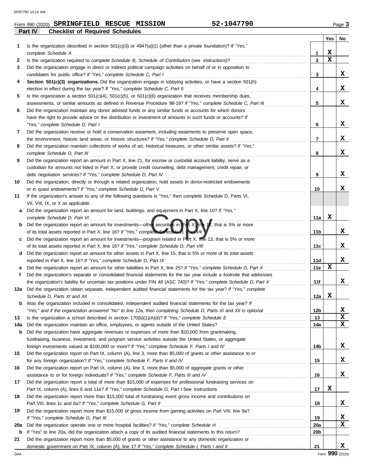|         | Form 990 (2020) SPRINGFIELD RESCUE MISSION |  | 52-1047790 | $P$ aqe $\sim$ |
|---------|--------------------------------------------|--|------------|----------------|
| Part IV | <b>Checklist of Required Schedules</b>     |  |            |                |

|     |                                                                                                                                                                               |                | Yes | No |
|-----|-------------------------------------------------------------------------------------------------------------------------------------------------------------------------------|----------------|-----|----|
| 1   | Is the organization described in section $501(c)(3)$ or $4947(a)(1)$ (other than a private foundation)? If "Yes,"                                                             |                |     |    |
|     | complete Schedule A                                                                                                                                                           | 1              | x   |    |
| 2   |                                                                                                                                                                               | $\overline{2}$ | X   |    |
| 3   | Did the organization engage in direct or indirect political campaign activities on behalf of or in opposition to                                                              |                |     |    |
|     | candidates for public office? If "Yes," complete Schedule C, Part I                                                                                                           | 3              |     | x  |
| 4   | Section 501(c)(3) organizations. Did the organization engage in lobbying activities, or have a section 501(h)                                                                 |                |     |    |
|     | election in effect during the tax year? If "Yes," complete Schedule C, Part II                                                                                                | 4              |     | x  |
| 5   | Is the organization a section $501(c)(4)$ , $501(c)(5)$ , or $501(c)(6)$ organization that receives membership dues,                                                          |                |     |    |
|     | assessments, or similar amounts as defined in Revenue Procedure 98-19? If "Yes," complete Schedule C, Part III                                                                | 5              |     | x  |
| 6   | Did the organization maintain any donor advised funds or any similar funds or accounts for which donors                                                                       |                |     |    |
|     | have the right to provide advice on the distribution or investment of amounts in such funds or accounts? If                                                                   |                |     |    |
|     | "Yes," complete Schedule D, Part I                                                                                                                                            | 6              |     | x  |
| 7   | Did the organization receive or hold a conservation easement, including easements to preserve open space,                                                                     |                |     |    |
|     | the environment, historic land areas, or historic structures? If "Yes," complete Schedule D, Part II                                                                          | 7              |     | x  |
| 8   | Did the organization maintain collections of works of art, historical treasures, or other similar assets? If "Yes,"                                                           |                |     |    |
|     | complete Schedule D, Part III                                                                                                                                                 | 8              |     | x  |
| 9   | Did the organization report an amount in Part X, line 21, for escrow or custodial account liability, serve as a                                                               |                |     |    |
|     | custodian for amounts not listed in Part X; or provide credit counseling, debt management, credit repair, or                                                                  |                |     | x  |
|     | debt negotiation services? If "Yes," complete Schedule D, Part IV                                                                                                             | 9              |     |    |
| 10  | Did the organization, directly or through a related organization, hold assets in donor-restricted endowments<br>or in quasi endowments? If "Yes," complete Schedule D, Part V | 10             |     | x  |
| 11  | If the organization's answer to any of the following questions is "Yes," then complete Schedule D, Parts VI,                                                                  |                |     |    |
|     | VII, VIII, IX, or X as applicable.                                                                                                                                            |                |     |    |
| a   | Did the organization report an amount for land, buildings, and equipment in Part X, line 10? If "Yes,"                                                                        |                |     |    |
|     | complete Schedule D, Part VI                                                                                                                                                  | 11a            | x   |    |
| b   |                                                                                                                                                                               |                |     |    |
|     | of its total assets reported in Part X, line 16? If "Yes," complete Schedule D, Part VII                                                                                      | 11b            |     | x  |
| c   | Did the organization report an amount for investments—program related in Part X, line 13, that is 5% or more                                                                  |                |     |    |
|     | of its total assets reported in Part X, line 16? If "Yes," complete Schedule D, Part VIII                                                                                     | 11c            |     | x  |
| d   | Did the organization report an amount for other assets in Part X, line 15, that is 5% or more of its total assets                                                             |                |     |    |
|     | reported in Part X, line 16? If "Yes," complete Schedule D, Part IX                                                                                                           | 11d            |     | x  |
| е   | Did the organization report an amount for other liabilities in Part X, line 25? If "Yes," complete Schedule D, Part X                                                         | 11e            | x   |    |
| f   | Did the organization's separate or consolidated financial statements for the tax year include a footnote that addresses                                                       |                |     |    |
|     | the organization's liability for uncertain tax positions under FIN 48 (ASC 740)? If "Yes," complete Schedule D, Part X                                                        | 11f            |     | x  |
| 12a | Did the organization obtain separate, independent audited financial statements for the tax year? If "Yes," complete                                                           |                |     |    |
|     |                                                                                                                                                                               | 12a            | x   |    |
| b   | Was the organization included in consolidated, independent audited financial statements for the tax year? If                                                                  |                |     |    |
|     |                                                                                                                                                                               | 12b            |     | x  |
| 13  |                                                                                                                                                                               | 13             |     | X  |
| 14a |                                                                                                                                                                               | 14a            |     | x  |
| b   | Did the organization have aggregate revenues or expenses of more than \$10,000 from grantmaking,                                                                              |                |     |    |
|     | fundraising, business, investment, and program service activities outside the United States, or aggregate                                                                     | 14b            |     | X  |
| 15  | Did the organization report on Part IX, column (A), line 3, more than \$5,000 of grants or other assistance to or                                                             |                |     |    |
|     | for any foreign organization? If "Yes," complete Schedule F, Parts II and IV                                                                                                  | 15             |     | х  |
| 16  | Did the organization report on Part IX, column (A), line 3, more than \$5,000 of aggregate grants or other                                                                    |                |     |    |
|     | assistance to or for foreign individuals? If "Yes," complete Schedule F, Parts III and IV [[[[[[[[[[[[[[[[[[[                                                                 | 16             |     | x  |
| 17  | Did the organization report a total of more than \$15,000 of expenses for professional fundraising services on                                                                |                |     |    |
|     |                                                                                                                                                                               | 17             | x   |    |
| 18  | Did the organization report more than \$15,000 total of fundraising event gross income and contributions on                                                                   |                |     |    |
|     | Part VIII, lines 1c and 8a? If "Yes," complete Schedule G, Part II                                                                                                            | 18             |     | x  |
| 19  | Did the organization report more than \$15,000 of gross income from gaming activities on Part VIII, line 9a?                                                                  |                |     |    |
|     |                                                                                                                                                                               | 19             |     | x  |
| 20a |                                                                                                                                                                               | 20a            |     | x. |
| b   |                                                                                                                                                                               | <b>20b</b>     |     |    |
| 21  | Did the organization report more than \$5,000 of grants or other assistance to any domestic organization or                                                                   |                |     |    |
|     |                                                                                                                                                                               | 21             |     | x  |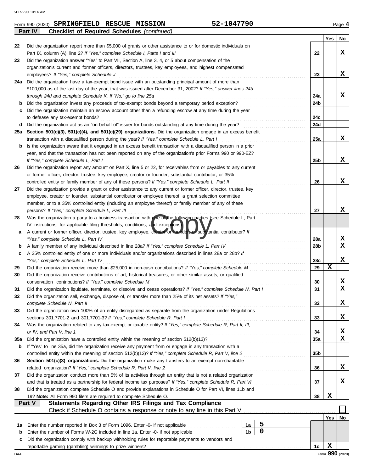**Part IV Checklist of Required Schedules** *(continued)*

|     |                                                                                                                    |                      |             |     | Yes | No              |
|-----|--------------------------------------------------------------------------------------------------------------------|----------------------|-------------|-----|-----|-----------------|
| 22  | Did the organization report more than \$5,000 of grants or other assistance to or for domestic individuals on      |                      |             |     |     |                 |
|     | Part IX, column (A), line 2? If "Yes," complete Schedule I, Parts I and III                                        |                      |             | 22  |     | x               |
| 23  | Did the organization answer "Yes" to Part VII, Section A, line 3, 4, or 5 about compensation of the                |                      |             |     |     |                 |
|     | organization's current and former officers, directors, trustees, key employees, and highest compensated            |                      |             |     |     |                 |
|     | employees? If "Yes," complete Schedule J                                                                           |                      |             | 23  |     | x               |
| 24a | Did the organization have a tax-exempt bond issue with an outstanding principal amount of more than                |                      |             |     |     |                 |
|     | \$100,000 as of the last day of the year, that was issued after December 31, 2002? If "Yes," answer lines 24b      |                      |             |     |     |                 |
|     | through 24d and complete Schedule K. If "No," go to line 25a                                                       |                      |             | 24a |     | x               |
| b   | Did the organization invest any proceeds of tax-exempt bonds beyond a temporary period exception?                  |                      |             | 24b |     |                 |
| c   | Did the organization maintain an escrow account other than a refunding escrow at any time during the year          |                      |             |     |     |                 |
|     | to defease any tax-exempt bonds?                                                                                   |                      |             | 24c |     |                 |
|     |                                                                                                                    |                      |             | 24d |     |                 |
| d   | Did the organization act as an "on behalf of" issuer for bonds outstanding at any time during the year?            |                      |             |     |     |                 |
| 25а | Section 501(c)(3), 501(c)(4), and 501(c)(29) organizations. Did the organization engage in an excess benefit       |                      |             |     |     |                 |
|     | transaction with a disqualified person during the year? If "Yes," complete Schedule L, Part I                      |                      |             | 25a |     | x               |
| b   | Is the organization aware that it engaged in an excess benefit transaction with a disqualified person in a prior   |                      |             |     |     |                 |
|     | year, and that the transaction has not been reported on any of the organization's prior Forms 990 or 990-EZ?       |                      |             |     |     |                 |
|     | If "Yes," complete Schedule L, Part I                                                                              |                      |             | 25b |     | x               |
| 26  | Did the organization report any amount on Part X, line 5 or 22, for receivables from or payables to any current    |                      |             |     |     |                 |
|     | or former officer, director, trustee, key employee, creator or founder, substantial contributor, or 35%            |                      |             |     |     |                 |
|     | controlled entity or family member of any of these persons? If "Yes," complete Schedule L, Part II                 |                      |             | 26  |     | x               |
| 27  | Did the organization provide a grant or other assistance to any current or former officer, director, trustee, key  |                      |             |     |     |                 |
|     | employee, creator or founder, substantial contributor or employee thereof, a grant selection committee             |                      |             |     |     |                 |
|     | member, or to a 35% controlled entity (including an employee thereof) or family member of any of these             |                      |             |     |     |                 |
|     | persons? If "Yes," complete Schedule L, Part III                                                                   |                      |             | 27  |     | x               |
| 28  | Was the organization a party to a business transaction with one on the following parties (see Schedule L, Part     |                      |             |     |     |                 |
|     | IV instructions, for applicable filing thresholds, conditions, and exceptions).                                    |                      |             |     |     |                 |
| а   | A current or former officer, director, trustee, key employee, creator or tounder, or substantial contributor? If   |                      |             |     |     |                 |
|     | "Yes," complete Schedule L, Part IV                                                                                |                      |             | 28a |     | X               |
| b   |                                                                                                                    |                      |             | 28b |     | X               |
| c   | A 35% controlled entity of one or more individuals and/or organizations described in lines 28a or 28b? If          |                      |             |     |     |                 |
|     | "Yes," complete Schedule L, Part IV                                                                                |                      |             | 28c |     | x               |
| 29  |                                                                                                                    |                      |             | 29  | X   |                 |
|     |                                                                                                                    |                      |             |     |     |                 |
| 30  | Did the organization receive contributions of art, historical treasures, or other similar assets, or qualified     |                      |             |     |     | x               |
|     | conservation contributions? If "Yes," complete Schedule M                                                          |                      |             | 30  |     | x               |
| 31  | Did the organization liquidate, terminate, or dissolve and cease operations? If "Yes," complete Schedule N, Part I |                      |             | 31  |     |                 |
| 32  | Did the organization sell, exchange, dispose of, or transfer more than 25% of its net assets? If "Yes,"            |                      |             |     |     |                 |
|     | complete Schedule N, Part II                                                                                       |                      |             | 32  |     | X               |
| 33  | Did the organization own 100% of an entity disregarded as separate from the organization under Regulations         |                      |             |     |     |                 |
|     | sections 301.7701-2 and 301.7701-3? If "Yes," complete Schedule R, Part I                                          |                      |             | 33  |     | X               |
| 34  | Was the organization related to any tax-exempt or taxable entity? If "Yes," complete Schedule R, Part II, III,     |                      |             |     |     |                 |
|     | or IV, and Part V, line 1                                                                                          |                      |             | 34  |     | x               |
| 35a |                                                                                                                    |                      |             | 35a |     | $\mathbf x$     |
| b   | If "Yes" to line 35a, did the organization receive any payment from or engage in any transaction with a            |                      |             |     |     |                 |
|     | controlled entity within the meaning of section 512(b)(13)? If "Yes," complete Schedule R, Part V, line 2          |                      |             | 35b |     |                 |
| 36  | Section 501(c)(3) organizations. Did the organization make any transfers to an exempt non-charitable               |                      |             |     |     |                 |
|     | related organization? If "Yes," complete Schedule R, Part V, line 2                                                |                      |             | 36  |     | X               |
| 37  | Did the organization conduct more than 5% of its activities through an entity that is not a related organization   |                      |             |     |     |                 |
|     | and that is treated as a partnership for federal income tax purposes? If "Yes," complete Schedule R, Part VI       |                      |             | 37  |     | X               |
| 38  | Did the organization complete Schedule O and provide explanations in Schedule O for Part VI, lines 11b and         |                      |             |     |     |                 |
|     | 19? Note: All Form 990 filers are required to complete Schedule O.                                                 |                      |             | 38  | X   |                 |
|     | Statements Regarding Other IRS Filings and Tax Compliance<br>Part V                                                |                      |             |     |     |                 |
|     |                                                                                                                    |                      |             |     |     |                 |
|     |                                                                                                                    |                      |             |     | Yes | No              |
|     |                                                                                                                    |                      | 5           |     |     |                 |
| 1а  | Enter the number reported in Box 3 of Form 1096. Enter -0- if not applicable                                       | 1a<br>1 <sub>b</sub> | $\mathbf 0$ |     |     |                 |
| b   | Enter the number of Forms W-2G included in line 1a. Enter -0- if not applicable                                    |                      |             |     |     |                 |
| c   | Did the organization comply with backup withholding rules for reportable payments to vendors and                   |                      |             |     |     |                 |
|     |                                                                                                                    |                      |             | 1c  | X   |                 |
| DAA |                                                                                                                    |                      |             |     |     | Form 990 (2020) |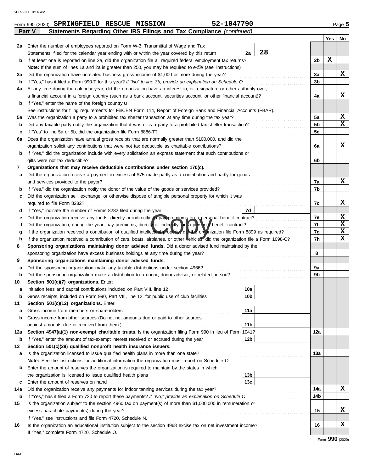|     | 52-1047790<br>Form 990 (2020) SPRINGFIELD RESCUE MISSION                                                                           |                 |                |     | Page 5 |  |  |
|-----|------------------------------------------------------------------------------------------------------------------------------------|-----------------|----------------|-----|--------|--|--|
|     | Statements Regarding Other IRS Filings and Tax Compliance (continued)<br>Part V                                                    |                 |                |     |        |  |  |
|     |                                                                                                                                    |                 |                | Yes | No     |  |  |
| 2a  | Enter the number of employees reported on Form W-3, Transmittal of Wage and Tax                                                    |                 |                |     |        |  |  |
|     | Statements, filed for the calendar year ending with or within the year covered by this return                                      | 28<br>2a        |                |     |        |  |  |
| b   | If at least one is reported on line 2a, did the organization file all required federal employment tax returns?                     |                 | 2 <sub>b</sub> | X   |        |  |  |
|     | Note: If the sum of lines 1a and 2a is greater than 250, you may be required to e-file (see instructions)                          |                 |                |     |        |  |  |
| За  | Did the organization have unrelated business gross income of \$1,000 or more during the year?                                      |                 | 3a             |     | x      |  |  |
| b   | If "Yes," has it filed a Form 990-T for this year? If "No" to line 3b, provide an explanation on Schedule O                        |                 | 3b             |     |        |  |  |
| 4a  | At any time during the calendar year, did the organization have an interest in, or a signature or other authority over,            |                 |                |     |        |  |  |
|     |                                                                                                                                    |                 | 4a             |     | x      |  |  |
| b   | If "Yes," enter the name of the foreign country $\mathbf u$                                                                        |                 |                |     |        |  |  |
|     | See instructions for filing requirements for FinCEN Form 114, Report of Foreign Bank and Financial Accounts (FBAR).                |                 |                |     |        |  |  |
| 5a  |                                                                                                                                    |                 | 5a             |     | X<br>x |  |  |
| b   |                                                                                                                                    |                 | 5b             |     |        |  |  |
| c   | If "Yes" to line 5a or 5b, did the organization file Form 8886-T?                                                                  |                 | 5c             |     |        |  |  |
| 6а  | Does the organization have annual gross receipts that are normally greater than \$100,000, and did the                             |                 |                |     | x      |  |  |
|     | organization solicit any contributions that were not tax deductible as charitable contributions?                                   |                 | 6а             |     |        |  |  |
| b   | If "Yes," did the organization include with every solicitation an express statement that such contributions or                     |                 | 6b             |     |        |  |  |
|     | gifts were not tax deductible?<br>Organizations that may receive deductible contributions under section 170(c).                    |                 |                |     |        |  |  |
| 7   | Did the organization receive a payment in excess of \$75 made partly as a contribution and partly for goods                        |                 |                |     |        |  |  |
| а   | and services provided to the payor?                                                                                                |                 | 7a             |     | x      |  |  |
| b   |                                                                                                                                    |                 | 7b             |     |        |  |  |
| c   | Did the organization sell, exchange, or otherwise dispose of tangible personal property for which it was                           |                 |                |     |        |  |  |
|     | required to file Form 8282?                                                                                                        |                 | 7c             |     | x      |  |  |
| d   | If "Yes," indicate the number of Forms 8282 filed during the year                                                                  | 7d              |                |     |        |  |  |
| е   |                                                                                                                                    |                 | 7e             |     | X      |  |  |
|     | Did the organization, during the year, pay premiums, directly or indirectly, or a personal benefit contract?                       |                 | 7f             |     | X      |  |  |
| g   | If the organization received a contribution of qualified intellectual property district organization file Form 8899 as required?   |                 |                |     |        |  |  |
| h   | If the organization received a contribution of cars, boats, airplanes, or other vehicles, did the organization file a Form 1098-C? |                 | 7g<br>7h       |     | X<br>x |  |  |
| 8   | Sponsoring organizations maintaining donor advised funds. Did a donor advised fund maintained by the                               |                 |                |     |        |  |  |
|     |                                                                                                                                    |                 | 8              |     |        |  |  |
| 9   | Sponsoring organizations maintaining donor advised funds.                                                                          |                 |                |     |        |  |  |
| а   | Did the sponsoring organization make any taxable distributions under section 4966?                                                 |                 | 9а             |     |        |  |  |
| b   |                                                                                                                                    |                 | 9b             |     |        |  |  |
| 10  | Section 501(c)(7) organizations. Enter:                                                                                            |                 |                |     |        |  |  |
|     |                                                                                                                                    | 10a             |                |     |        |  |  |
| b   | Gross receipts, included on Form 990, Part VIII, line 12, for public use of club facilities                                        | 10 <sub>b</sub> |                |     |        |  |  |
| 11  | Section 501(c)(12) organizations. Enter:                                                                                           |                 |                |     |        |  |  |
| а   | Gross income from members or shareholders                                                                                          | 11a             |                |     |        |  |  |
| b   | Gross income from other sources (Do not net amounts due or paid to other sources                                                   |                 |                |     |        |  |  |
|     | against amounts due or received from them.)                                                                                        | 11 <sub>b</sub> |                |     |        |  |  |
| 12a | Section 4947(a)(1) non-exempt charitable trusts. Is the organization filing Form 990 in lieu of Form 1041?                         |                 | 12a            |     |        |  |  |
| b   | If "Yes," enter the amount of tax-exempt interest received or accrued during the year                                              | 12 <sub>b</sub> |                |     |        |  |  |
| 13  | Section 501(c)(29) qualified nonprofit health insurance issuers.                                                                   |                 |                |     |        |  |  |
| а   | Is the organization licensed to issue qualified health plans in more than one state?                                               |                 | 13а            |     |        |  |  |
|     | Note: See the instructions for additional information the organization must report on Schedule O.                                  |                 |                |     |        |  |  |
| b   | Enter the amount of reserves the organization is required to maintain by the states in which                                       |                 |                |     |        |  |  |
|     |                                                                                                                                    | 13 <sub>b</sub> |                |     |        |  |  |
| c   | Enter the amount of reserves on hand                                                                                               | 13 <sub>c</sub> |                |     |        |  |  |
| 14a | Did the organization receive any payments for indoor tanning services during the tax year?                                         |                 | 14a            |     | x      |  |  |
| b   | If "Yes," has it filed a Form 720 to report these payments? If "No," provide an explanation on Schedule O                          |                 | 14b            |     |        |  |  |
| 15  | Is the organization subject to the section 4960 tax on payment(s) of more than \$1,000,000 in remuneration or                      |                 |                |     |        |  |  |
|     | excess parachute payment(s) during the year?                                                                                       |                 | 15             |     | x      |  |  |
|     | If "Yes," see instructions and file Form 4720, Schedule N.                                                                         |                 |                |     |        |  |  |
| 16  | Is the organization an educational institution subject to the section 4968 excise tax on net investment income?                    |                 | 16             |     | x      |  |  |
|     | If "Yes," complete Form 4720, Schedule O.                                                                                          |                 |                |     |        |  |  |

|  | 14<br>- | . |  |
|--|---------|---|--|
|  |         |   |  |
|  |         |   |  |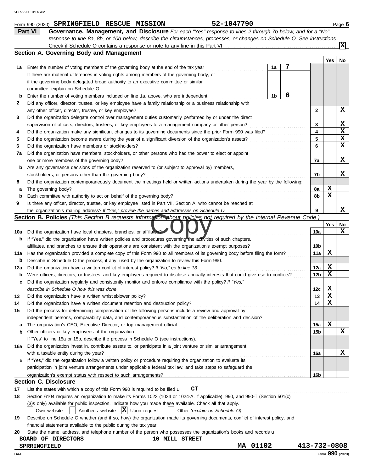|     | 52-1047790<br>Form 990 (2020) SPRINGFIELD RESCUE MISSION                                                                            |    |   |              |     | Page 6      |
|-----|-------------------------------------------------------------------------------------------------------------------------------------|----|---|--------------|-----|-------------|
|     | Governance, Management, and Disclosure For each "Yes" response to lines 2 through 7b below, and for a "No"<br><b>Part VI</b>        |    |   |              |     |             |
|     | response to line 8a, 8b, or 10b below, describe the circumstances, processes, or changes on Schedule O. See instructions.           |    |   |              |     |             |
|     |                                                                                                                                     |    |   |              |     | Ιx          |
|     | Section A. Governing Body and Management                                                                                            |    |   |              |     |             |
|     |                                                                                                                                     |    |   |              | Yes | No          |
| 1а  | Enter the number of voting members of the governing body at the end of the tax year                                                 | 1a | 7 |              |     |             |
|     | If there are material differences in voting rights among members of the governing body, or                                          |    |   |              |     |             |
|     | if the governing body delegated broad authority to an executive committee or similar                                                |    |   |              |     |             |
|     | committee, explain on Schedule O.                                                                                                   |    |   |              |     |             |
| b   | Enter the number of voting members included on line 1a, above, who are independent                                                  | 1b | 6 |              |     |             |
| 2   | Did any officer, director, trustee, or key employee have a family relationship or a business relationship with                      |    |   |              |     |             |
|     | any other officer, director, trustee, or key employee?                                                                              |    |   | 2            |     | X           |
| 3   | Did the organization delegate control over management duties customarily performed by or under the direct                           |    |   |              |     |             |
|     | supervision of officers, directors, trustees, or key employees to a management company or other person?                             |    |   | 3            |     | x           |
| 4   | Did the organization make any significant changes to its governing documents since the prior Form 990 was filed?                    |    |   | 4            |     | X           |
| 5   |                                                                                                                                     |    |   | 5            |     | х           |
| 6   | Did the organization have members or stockholders?                                                                                  |    |   | 6            |     | $\mathbf x$ |
| 7a  | Did the organization have members, stockholders, or other persons who had the power to elect or appoint                             |    |   |              |     |             |
|     | one or more members of the governing body?                                                                                          |    |   | 7а           |     | х           |
| b   | Are any governance decisions of the organization reserved to (or subject to approval by) members,                                   |    |   |              |     |             |
|     | stockholders, or persons other than the governing body?                                                                             |    |   | 7b           |     | x           |
| 8   | Did the organization contemporaneously document the meetings held or written actions undertaken during the year by the following:   |    |   |              |     |             |
| а   | The governing body?                                                                                                                 |    |   | 8а           | X   |             |
| b   | Each committee with authority to act on behalf of the governing body?                                                               |    |   | 8b           | x   |             |
| 9   | Is there any officer, director, trustee, or key employee listed in Part VII, Section A, who cannot be reached at                    |    |   |              |     |             |
|     |                                                                                                                                     |    |   | 9            |     | x           |
|     | Section B. Policies (This Section B requests information about policies not required by the Internal Revenue Code.)                 |    |   |              |     |             |
|     |                                                                                                                                     |    |   |              | Yes | No          |
| 10a | Did the organization have local chapters, branches, or affiliates?                                                                  |    |   | 10a          |     | x           |
| b   | If "Yes," did the organization have written policies and procedures governing the adivities of such chapters,                       |    |   |              |     |             |
|     | affiliates, and branches to ensure their operations are consistent with the organization's exempt purposes?                         |    |   | 10b          |     |             |
| 11a | Has the organization provided a complete copy of this Form 990 to all members of its governing body before filing the form?         |    |   | 11a          | х   |             |
| b   | Describe in Schedule O the process, if any, used by the organization to review this Form 990.                                       |    |   |              |     |             |
| 12a | Did the organization have a written conflict of interest policy? If "No," go to line 13                                             |    |   | 12a          | X   |             |
| b   | Were officers, directors, or trustees, and key employees required to disclose annually interests that could give rise to conflicts? |    |   | 12b          | х   |             |
| с   | Did the organization regularly and consistently monitor and enforce compliance with the policy? If "Yes,"                           |    |   |              |     |             |
|     | describe in Schedule O how this was done                                                                                            |    |   | 12c          | X   |             |
| 13  | Did the organization have a written whistleblower policy?                                                                           |    |   | 13           | x   |             |
| 14  | Did the organization have a written document retention and destruction policy?                                                      |    |   | 14           | х   |             |
| 15  | Did the process for determining compensation of the following persons include a review and approval by                              |    |   |              |     |             |
|     | independent persons, comparability data, and contemporaneous substantiation of the deliberation and decision?                       |    |   |              |     |             |
| а   |                                                                                                                                     |    |   | 15a          | X   |             |
| b   | Other officers or key employees of the organization                                                                                 |    |   | 15b          |     | x           |
|     | If "Yes" to line 15a or 15b, describe the process in Schedule O (see instructions).                                                 |    |   |              |     |             |
| 16a | Did the organization invest in, contribute assets to, or participate in a joint venture or similar arrangement                      |    |   |              |     |             |
|     | with a taxable entity during the year?                                                                                              |    |   | 16a          |     | X           |
| b   | If "Yes," did the organization follow a written policy or procedure requiring the organization to evaluate its                      |    |   |              |     |             |
|     | participation in joint venture arrangements under applicable federal tax law, and take steps to safeguard the                       |    |   |              |     |             |
|     |                                                                                                                                     |    |   | 16b          |     |             |
|     | <b>Section C. Disclosure</b>                                                                                                        |    |   |              |     |             |
| 17  | List the states with which a copy of this Form 990 is required to be filed $\mathbf{u}$ $\mathbf{CT}$                               |    |   |              |     |             |
| 18  | Section 6104 requires an organization to make its Forms 1023 (1024 or 1024-A, if applicable), 990, and 990-T (Section 501(c)        |    |   |              |     |             |
|     | (3)s only) available for public inspection. Indicate how you made these available. Check all that apply.                            |    |   |              |     |             |
|     | Another's website $ \mathbf{X} $ Upon request<br>Own website<br>Other (explain on Schedule O)                                       |    |   |              |     |             |
| 19  | Describe on Schedule O whether (and if so, how) the organization made its governing documents, conflict of interest policy, and     |    |   |              |     |             |
|     | financial statements available to the public during the tax year.                                                                   |    |   |              |     |             |
| 20  | State the name, address, and telephone number of the person who possesses the organization's books and records u                    |    |   |              |     |             |
|     | <b>10 MILL STREET</b><br>BOARD OF DIRECTORS                                                                                         |    |   |              |     |             |
|     | MA 01102<br><b>SPRRINGFIELD</b>                                                                                                     |    |   | 413-732-0808 |     |             |

DAA Form **990** (2020)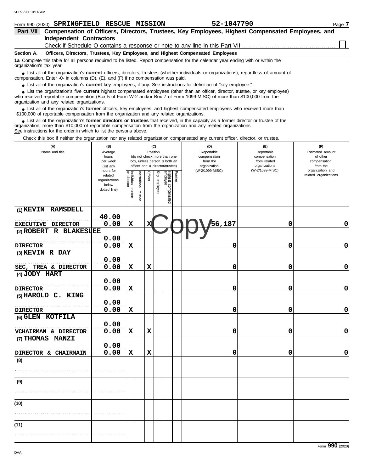| Form 990 (2020) SPRINGFIELD RESCUE MISSION                                                                                                                                                                                                                                                                                    |                        |                           |               |          |              |                                 |        | 52-1047790                                                                                                                                                       |                                  | Page 7                       |  |
|-------------------------------------------------------------------------------------------------------------------------------------------------------------------------------------------------------------------------------------------------------------------------------------------------------------------------------|------------------------|---------------------------|---------------|----------|--------------|---------------------------------|--------|------------------------------------------------------------------------------------------------------------------------------------------------------------------|----------------------------------|------------------------------|--|
| Part VII                                                                                                                                                                                                                                                                                                                      |                        |                           |               |          |              |                                 |        | Compensation of Officers, Directors, Trustees, Key Employees, Highest Compensated Employees, and                                                                 |                                  |                              |  |
| <b>Independent Contractors</b>                                                                                                                                                                                                                                                                                                |                        |                           |               |          |              |                                 |        |                                                                                                                                                                  |                                  |                              |  |
| Section A.                                                                                                                                                                                                                                                                                                                    |                        |                           |               |          |              |                                 |        | Check if Schedule O contains a response or note to any line in this Part VII.<br>Officers, Directors, Trustees, Key Employees, and Highest Compensated Employees |                                  |                              |  |
| 1a Complete this table for all persons required to be listed. Report compensation for the calendar year ending with or within the                                                                                                                                                                                             |                        |                           |               |          |              |                                 |        |                                                                                                                                                                  |                                  |                              |  |
| organization's tax year.<br>List all of the organization's <b>current</b> officers, directors, trustees (whether individuals or organizations), regardless of amount of                                                                                                                                                       |                        |                           |               |          |              |                                 |        |                                                                                                                                                                  |                                  |                              |  |
| compensation. Enter -0- in columns (D), (E), and (F) if no compensation was paid.                                                                                                                                                                                                                                             |                        |                           |               |          |              |                                 |        |                                                                                                                                                                  |                                  |                              |  |
| • List all of the organization's current key employees, if any. See instructions for definition of "key employee."<br>• List the organization's five current highest compensated employees (other than an officer, director, trustee, or key employee)                                                                        |                        |                           |               |          |              |                                 |        |                                                                                                                                                                  |                                  |                              |  |
| who received reportable compensation (Box 5 of Form W-2 and/or Box 7 of Form 1099-MISC) of more than \$100,000 from the<br>organization and any related organizations.                                                                                                                                                        |                        |                           |               |          |              |                                 |        |                                                                                                                                                                  |                                  |                              |  |
| • List all of the organization's former officers, key employees, and highest compensated employees who received more than<br>\$100,000 of reportable compensation from the organization and any related organizations.                                                                                                        |                        |                           |               |          |              |                                 |        |                                                                                                                                                                  |                                  |                              |  |
| • List all of the organization's former directors or trustees that received, in the capacity as a former director or trustee of the<br>organization, more than \$10,000 of reportable compensation from the organization and any related organizations.<br>See instructions for the order in which to list the persons above. |                        |                           |               |          |              |                                 |        |                                                                                                                                                                  |                                  |                              |  |
| Check this box if neither the organization nor any related organization compensated any current officer, director, or trustee.                                                                                                                                                                                                |                        |                           |               |          |              |                                 |        |                                                                                                                                                                  |                                  |                              |  |
| (A)                                                                                                                                                                                                                                                                                                                           | (B)                    |                           |               |          | (C)          |                                 |        | (D)                                                                                                                                                              | (E)                              | (F)                          |  |
| Name and title                                                                                                                                                                                                                                                                                                                | Average<br>hours       |                           |               | Position |              | (do not check more than one     |        | Reportable<br>compensation                                                                                                                                       | Reportable<br>compensation       | Estimated amount<br>of other |  |
|                                                                                                                                                                                                                                                                                                                               | per week               |                           |               |          |              | box, unless person is both an   |        | from the                                                                                                                                                         | from related                     | compensation                 |  |
|                                                                                                                                                                                                                                                                                                                               | (list any<br>hours for |                           |               |          |              | officer and a director/trustee) |        | organization<br>(W-2/1099-MISC)                                                                                                                                  | organizations<br>(W-2/1099-MISC) | from the<br>organization and |  |
|                                                                                                                                                                                                                                                                                                                               | related                | Individual<br>or director | Institutional | Officer  | Key employee |                                 | Former |                                                                                                                                                                  |                                  | related organizations        |  |
|                                                                                                                                                                                                                                                                                                                               | organizations<br>below |                           |               |          |              |                                 |        |                                                                                                                                                                  |                                  |                              |  |
|                                                                                                                                                                                                                                                                                                                               | dotted line)           | trustee                   | trustee       |          |              |                                 |        |                                                                                                                                                                  |                                  |                              |  |
|                                                                                                                                                                                                                                                                                                                               |                        |                           |               |          |              | Highest compensated<br>employee |        |                                                                                                                                                                  |                                  |                              |  |
| <b>RAMSDELL</b><br>$(1)$ KEVIN                                                                                                                                                                                                                                                                                                |                        |                           |               |          |              |                                 |        |                                                                                                                                                                  |                                  |                              |  |
|                                                                                                                                                                                                                                                                                                                               | 40.00                  |                           |               |          |              |                                 |        |                                                                                                                                                                  |                                  |                              |  |
| <b>EXECUTIVE DIRECTOR</b>                                                                                                                                                                                                                                                                                                     | 0.00                   | $\mathbf x$               |               | X        |              |                                 |        | 56,187                                                                                                                                                           | 0                                | 0                            |  |
| R BLAKESLEE<br>$(2)$ ROBERT                                                                                                                                                                                                                                                                                                   |                        |                           |               |          |              |                                 |        |                                                                                                                                                                  |                                  |                              |  |
|                                                                                                                                                                                                                                                                                                                               | 0.00                   |                           |               |          |              |                                 |        |                                                                                                                                                                  |                                  |                              |  |
| <b>DIRECTOR</b>                                                                                                                                                                                                                                                                                                               | 0.00                   | $\mathbf x$               |               |          |              |                                 |        | 0                                                                                                                                                                | 0                                | 0                            |  |
| (3) KEVIN R DAY                                                                                                                                                                                                                                                                                                               |                        |                           |               |          |              |                                 |        |                                                                                                                                                                  |                                  |                              |  |
|                                                                                                                                                                                                                                                                                                                               | 0.00                   |                           |               |          |              |                                 |        |                                                                                                                                                                  |                                  |                              |  |
| SEC, TREA & DIRECTOR                                                                                                                                                                                                                                                                                                          | 0.00                   | х                         |               | х        |              |                                 |        | 0                                                                                                                                                                | 0                                | 0                            |  |
| (4) JODY HART                                                                                                                                                                                                                                                                                                                 |                        |                           |               |          |              |                                 |        |                                                                                                                                                                  |                                  |                              |  |
|                                                                                                                                                                                                                                                                                                                               | 0.00                   |                           |               |          |              |                                 |        |                                                                                                                                                                  |                                  |                              |  |
| <b>DIRECTOR</b><br>(5) HAROLD C. KING                                                                                                                                                                                                                                                                                         | 0.00                   | x                         |               |          |              |                                 |        | U                                                                                                                                                                | U                                | 0                            |  |
|                                                                                                                                                                                                                                                                                                                               | 0.00                   |                           |               |          |              |                                 |        |                                                                                                                                                                  |                                  |                              |  |
| <b>DIRECTOR</b>                                                                                                                                                                                                                                                                                                               | 0.00                   | х                         |               |          |              |                                 |        | 0                                                                                                                                                                | 0                                | 0                            |  |
| (6) GLEN KOTFILA                                                                                                                                                                                                                                                                                                              |                        |                           |               |          |              |                                 |        |                                                                                                                                                                  |                                  |                              |  |
|                                                                                                                                                                                                                                                                                                                               | 0.00                   |                           |               |          |              |                                 |        |                                                                                                                                                                  |                                  |                              |  |
| VCHAIRMAN & DIRECTOR                                                                                                                                                                                                                                                                                                          | 0.00                   | $\mathbf x$               |               | X        |              |                                 |        | 0                                                                                                                                                                | 0                                | 0                            |  |
| (7) THOMAS MANZI                                                                                                                                                                                                                                                                                                              |                        |                           |               |          |              |                                 |        |                                                                                                                                                                  |                                  |                              |  |
|                                                                                                                                                                                                                                                                                                                               | 0.00                   |                           |               |          |              |                                 |        |                                                                                                                                                                  |                                  |                              |  |
| DIRECTOR & CHAIRMAIN                                                                                                                                                                                                                                                                                                          | 0.00                   | х                         |               | X        |              |                                 |        | 0                                                                                                                                                                | 0                                | 0                            |  |
| (8)                                                                                                                                                                                                                                                                                                                           |                        |                           |               |          |              |                                 |        |                                                                                                                                                                  |                                  |                              |  |
|                                                                                                                                                                                                                                                                                                                               |                        |                           |               |          |              |                                 |        |                                                                                                                                                                  |                                  |                              |  |
|                                                                                                                                                                                                                                                                                                                               |                        |                           |               |          |              |                                 |        |                                                                                                                                                                  |                                  |                              |  |
| (9)                                                                                                                                                                                                                                                                                                                           |                        |                           |               |          |              |                                 |        |                                                                                                                                                                  |                                  |                              |  |
|                                                                                                                                                                                                                                                                                                                               |                        |                           |               |          |              |                                 |        |                                                                                                                                                                  |                                  |                              |  |
|                                                                                                                                                                                                                                                                                                                               |                        |                           |               |          |              |                                 |        |                                                                                                                                                                  |                                  |                              |  |
| (10)                                                                                                                                                                                                                                                                                                                          |                        |                           |               |          |              |                                 |        |                                                                                                                                                                  |                                  |                              |  |
|                                                                                                                                                                                                                                                                                                                               |                        |                           |               |          |              |                                 |        |                                                                                                                                                                  |                                  |                              |  |

**(11)**

. . . . . . . . . . . . . . . . . . . . . . . . . . . . . . . . . . . . . . . . . . . . . . . . . . . . . . .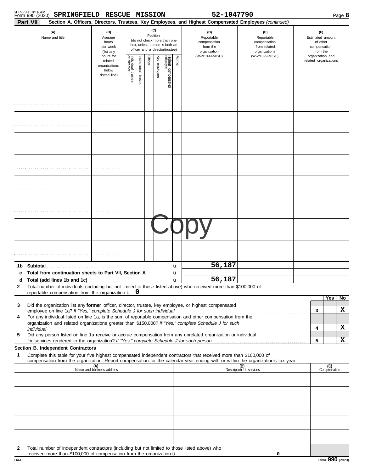| SPR7790 10:14 AM |                                            |  |
|------------------|--------------------------------------------|--|
|                  | Form 990 (2020) SPRINGFIELD RESCUE MISSION |  |

**SPRINGFIELD RESCUE MISSION 52-1047790**

| Part VII<br>Section A. Officers, Directors, Trustees, Key Employees, and Highest Compensated Employees (continued)<br>(C)<br>(A)<br>(B)<br>(D)<br>(E)<br>(F)<br>Position<br>Name and title<br>Reportable<br>Average<br>Reportable<br>(do not check more than one<br>compensation<br>compensation<br>of other<br>hours<br>box, unless person is both an<br>from the<br>from related<br>compensation<br>per week<br>officer and a director/trustee)<br>organization<br>organizations<br>from the<br>(list any<br>(W-2/1099-MISC)<br>(W-2/1099-MISC)<br>organization and<br>hours for<br>Individual 1<br>or director<br>Highest compensated<br>employee<br>Former<br>Officer<br>Key employee<br>nstitutional<br>related organizations<br>related<br>organizations<br>below<br>trustee<br>dotted line)<br>trustee | Page 8           |  |  |
|---------------------------------------------------------------------------------------------------------------------------------------------------------------------------------------------------------------------------------------------------------------------------------------------------------------------------------------------------------------------------------------------------------------------------------------------------------------------------------------------------------------------------------------------------------------------------------------------------------------------------------------------------------------------------------------------------------------------------------------------------------------------------------------------------------------|------------------|--|--|
|                                                                                                                                                                                                                                                                                                                                                                                                                                                                                                                                                                                                                                                                                                                                                                                                               | Estimated amount |  |  |
|                                                                                                                                                                                                                                                                                                                                                                                                                                                                                                                                                                                                                                                                                                                                                                                                               |                  |  |  |
|                                                                                                                                                                                                                                                                                                                                                                                                                                                                                                                                                                                                                                                                                                                                                                                                               |                  |  |  |
|                                                                                                                                                                                                                                                                                                                                                                                                                                                                                                                                                                                                                                                                                                                                                                                                               |                  |  |  |
|                                                                                                                                                                                                                                                                                                                                                                                                                                                                                                                                                                                                                                                                                                                                                                                                               |                  |  |  |
|                                                                                                                                                                                                                                                                                                                                                                                                                                                                                                                                                                                                                                                                                                                                                                                                               |                  |  |  |
|                                                                                                                                                                                                                                                                                                                                                                                                                                                                                                                                                                                                                                                                                                                                                                                                               |                  |  |  |
|                                                                                                                                                                                                                                                                                                                                                                                                                                                                                                                                                                                                                                                                                                                                                                                                               |                  |  |  |
|                                                                                                                                                                                                                                                                                                                                                                                                                                                                                                                                                                                                                                                                                                                                                                                                               |                  |  |  |
| 56,187<br>Total from continuation sheets to Part VII, Section A  u<br>c                                                                                                                                                                                                                                                                                                                                                                                                                                                                                                                                                                                                                                                                                                                                       |                  |  |  |
| 56,187<br>Total number of individuals (including but not limited to those listed above) who received more than \$100,000 of<br>$\mathbf{2}$<br>reportable compensation from the organization $\mathbf{u}$ 0                                                                                                                                                                                                                                                                                                                                                                                                                                                                                                                                                                                                   |                  |  |  |
| Yes<br>Did the organization list any former officer, director, trustee, key employee, or highest compensated<br>3<br>3<br>For any individual listed on line 1a, is the sum of reportable compensation and other compensation from the<br>4<br>organization and related organizations greater than \$150,000? If "Yes," complete Schedule J for such<br>4<br>Did any person listed on line 1a receive or accrue compensation from any unrelated organization or individual<br>5                                                                                                                                                                                                                                                                                                                                | No<br>x<br>X     |  |  |
| 5<br>Section B. Independent Contractors                                                                                                                                                                                                                                                                                                                                                                                                                                                                                                                                                                                                                                                                                                                                                                       | x                |  |  |
| Complete this table for your five highest compensated independent contractors that received more than \$100,000 of<br>1<br>compensation from the organization. Report compensation for the calendar year ending with or within the organization's tax year.<br>(B)<br>Description of services<br>(C)<br>Compensation<br>(A)<br>Name and business address                                                                                                                                                                                                                                                                                                                                                                                                                                                      |                  |  |  |
|                                                                                                                                                                                                                                                                                                                                                                                                                                                                                                                                                                                                                                                                                                                                                                                                               |                  |  |  |
|                                                                                                                                                                                                                                                                                                                                                                                                                                                                                                                                                                                                                                                                                                                                                                                                               |                  |  |  |
|                                                                                                                                                                                                                                                                                                                                                                                                                                                                                                                                                                                                                                                                                                                                                                                                               |                  |  |  |
| Total number of independent contractors (including but not limited to those listed above) who<br>2<br>received more than \$100,000 of compensation from the organization u<br>0                                                                                                                                                                                                                                                                                                                                                                                                                                                                                                                                                                                                                               |                  |  |  |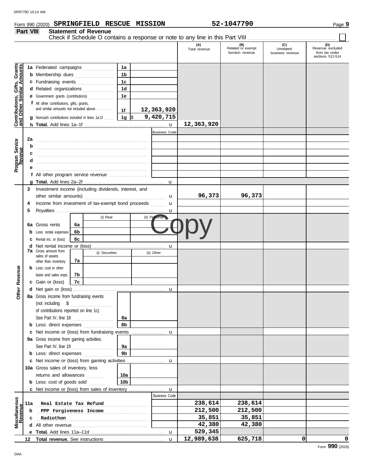#### SPR7790 10:14 AMForm 990 (2020) Page **9 SPRINGFIELD RESCUE MISSION 52-1047790 Part VIII Statement of Revenue** Check if Schedule O contains a response or note to any line in this Part VIII . . . . . . . . . . . . . . . . . . . . . . . . . . . . . . . . . . . . . . . . . . . . (D)<br>Revenue excluded<br>from tax under<br>sections 512-514 **(A) (B) (C) (D)** Total revenue Related or exempt Unrelated Revenue excluded function revenue business revenue from tax under **Contributions, Gifts, Grants**<br>and Other Similar Amounts **Contributions, Gifts, Grants and Other Similar Amounts 1a 1a** Federated campaigns **. . . . . . . . . . . . 1b b** Membership dues . . . . . . . . . . . . . . . . **1c c** Fundraising events **. . . . . . . . . . . . . .** . . **1d d** Related organizations . . . . . . . . . . . . **1e e** Government grants (contributions) . . . . . . . . . . . . **f** All other contributions, gifts, grants, and similar amounts not included above ........ **12,363,920 1f** \$ . . . . . . . . . . . . . . . . . . . . . **9,420,715 g** Noncash contributions included in lines 1a-1f . . . . **1g 12,363,920 h Total.** Add lines 1a–1f . . . . . . . . . . . . . . . . . . . . . . . . . . . . . . . . . . . . . . . . u Business Code **2a** . . . . . . . . . . . . . . . . . . . . . . . . . . . . . . . . . . . . . . . . . . . . . . . . . . . . . . . **b** . . . . . . . . . . . . . . . . . . . . . . . . . . . . . . . . . . . . . . . . . . . . . . . . . . . . . . .

|                            |                                                         |                                                                                                                                                                                                                                     |          |                |                | <b>Business Code</b> |            |         |   |                 |
|----------------------------|---------------------------------------------------------|-------------------------------------------------------------------------------------------------------------------------------------------------------------------------------------------------------------------------------------|----------|----------------|----------------|----------------------|------------|---------|---|-----------------|
|                            | 2a                                                      |                                                                                                                                                                                                                                     |          |                |                |                      |            |         |   |                 |
|                            | b                                                       |                                                                                                                                                                                                                                     |          |                |                |                      |            |         |   |                 |
|                            | c                                                       |                                                                                                                                                                                                                                     |          |                |                |                      |            |         |   |                 |
| Program Service<br>Revenue |                                                         |                                                                                                                                                                                                                                     |          |                |                |                      |            |         |   |                 |
|                            |                                                         |                                                                                                                                                                                                                                     |          |                |                |                      |            |         |   |                 |
|                            |                                                         | f All other program service revenue                                                                                                                                                                                                 |          |                |                |                      |            |         |   |                 |
|                            |                                                         |                                                                                                                                                                                                                                     |          |                |                |                      |            |         |   |                 |
|                            |                                                         | Investment income (including dividends, interest, and                                                                                                                                                                               |          |                |                |                      |            |         |   |                 |
|                            | 3                                                       |                                                                                                                                                                                                                                     |          |                |                |                      | 96,373     | 96,373  |   |                 |
|                            |                                                         | other similar amounts)                                                                                                                                                                                                              |          |                |                | u                    |            |         |   |                 |
|                            | Income from investment of tax-exempt bond proceeds<br>4 |                                                                                                                                                                                                                                     |          |                |                | u                    |            |         |   |                 |
|                            | 5                                                       |                                                                                                                                                                                                                                     |          | (i) Real       |                | u                    |            |         |   |                 |
|                            |                                                         |                                                                                                                                                                                                                                     |          |                |                | (ii) Personal        |            |         |   |                 |
|                            |                                                         | 6a Gross rents<br>Less: rental expenses                                                                                                                                                                                             | 6а<br>6b |                |                |                      |            |         |   |                 |
|                            | b<br>c                                                  | Rental inc. or (loss)                                                                                                                                                                                                               | 6с       |                |                |                      |            |         |   |                 |
|                            | d                                                       |                                                                                                                                                                                                                                     |          |                |                | $\mathbf u$          |            |         |   |                 |
|                            | 7a                                                      | Gross amount from                                                                                                                                                                                                                   |          | (i) Securities |                | (ii) Other           |            |         |   |                 |
|                            |                                                         | sales of assets                                                                                                                                                                                                                     | 7a       |                |                |                      |            |         |   |                 |
|                            |                                                         | other than inventory<br><b>b</b> Less: cost or other                                                                                                                                                                                |          |                |                |                      |            |         |   |                 |
|                            |                                                         | basis and sales exps.                                                                                                                                                                                                               | 7b       |                |                |                      |            |         |   |                 |
| Revenue                    |                                                         | c Gain or (loss)                                                                                                                                                                                                                    | 7c       |                |                |                      |            |         |   |                 |
|                            |                                                         |                                                                                                                                                                                                                                     |          |                |                | u                    |            |         |   |                 |
| Other                      |                                                         | 8a Gross income from fundraising events                                                                                                                                                                                             |          |                |                |                      |            |         |   |                 |
|                            |                                                         |                                                                                                                                                                                                                                     |          |                |                |                      |            |         |   |                 |
|                            |                                                         | of contributions reported on line 1c).                                                                                                                                                                                              |          |                |                |                      |            |         |   |                 |
|                            |                                                         | See Part IV, line 18                                                                                                                                                                                                                |          |                | 8а             |                      |            |         |   |                 |
|                            |                                                         | <b>b</b> Less: direct expenses <i>minimum</i>                                                                                                                                                                                       |          |                | 8b             |                      |            |         |   |                 |
|                            | c                                                       |                                                                                                                                                                                                                                     |          |                |                |                      |            |         |   |                 |
|                            |                                                         | 9a Gross income from gaming activities.                                                                                                                                                                                             |          |                |                |                      |            |         |   |                 |
|                            |                                                         | See Part IV, line 19                                                                                                                                                                                                                |          |                | 9a             |                      |            |         |   |                 |
|                            |                                                         | <b>b</b> Less: direct expenses                                                                                                                                                                                                      |          |                | 9 <sub>b</sub> |                      |            |         |   |                 |
|                            |                                                         |                                                                                                                                                                                                                                     |          |                |                |                      |            |         |   |                 |
|                            |                                                         | 10a Gross sales of inventory, less                                                                                                                                                                                                  |          |                |                |                      |            |         |   |                 |
|                            |                                                         | returns and allowances                                                                                                                                                                                                              |          | .              | 10a            |                      |            |         |   |                 |
|                            |                                                         | <b>b</b> Less: cost of goods sold                                                                                                                                                                                                   |          |                | 10b            |                      |            |         |   |                 |
|                            |                                                         |                                                                                                                                                                                                                                     |          |                |                |                      |            |         |   |                 |
|                            |                                                         |                                                                                                                                                                                                                                     |          |                |                | <b>Business Code</b> |            |         |   |                 |
| Miscellaneous<br>Revenue   | 11a                                                     | Real Estate Tax Refund                                                                                                                                                                                                              |          |                |                |                      | 238,614    | 238,614 |   |                 |
|                            | b                                                       | PPP Forgiveness Income                                                                                                                                                                                                              |          |                |                |                      | 212,500    | 212,500 |   |                 |
|                            | с                                                       | Radiothon                                                                                                                                                                                                                           |          |                |                |                      | 35,851     | 35,851  |   |                 |
|                            | d                                                       | All other revenue <i>containance</i> and the set of the set of the set of the set of the set of the set of the set of the set of the set of the set of the set of the set of the set of the set of the set of the set of the set of |          |                |                |                      | 42,380     | 42,380  |   |                 |
|                            | е                                                       |                                                                                                                                                                                                                                     |          |                |                | u                    | 529,345    |         |   |                 |
|                            | 12                                                      | <b>Total revenue.</b> See instructions                                                                                                                                                                                              |          |                |                | u                    | 12,989,638 | 625,718 | 0 | 0               |
|                            |                                                         |                                                                                                                                                                                                                                     |          |                |                |                      |            |         |   | Form 990 (2020) |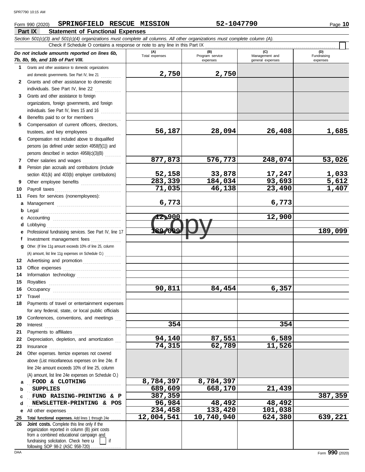#### Form 990 (2020) Page **10 SPRINGFIELD RESCUE MISSION 52-1047790**

|              | Part IX<br><b>Statement of Functional Expenses</b>                                                                         |                       |                        |                       |                       |
|--------------|----------------------------------------------------------------------------------------------------------------------------|-----------------------|------------------------|-----------------------|-----------------------|
|              | Section 501(c)(3) and 501(c)(4) organizations must complete all columns. All other organizations must complete column (A). |                       |                        |                       |                       |
|              | Check if Schedule O contains a response or note to any line in this Part IX                                                |                       |                        |                       |                       |
|              | Do not include amounts reported on lines 6b,                                                                               | (A)<br>Total expenses | (B)<br>Program service | (C)<br>Management and | (D)<br>Fundraising    |
|              | 7b, 8b, 9b, and 10b of Part VIII.                                                                                          |                       | expenses               | general expenses      | expenses              |
| 1.           | Grants and other assistance to domestic organizations                                                                      |                       |                        |                       |                       |
|              | and domestic governments. See Part IV, line 21                                                                             | 2,750                 | 2,750                  |                       |                       |
| $\mathbf{2}$ | Grants and other assistance to domestic                                                                                    |                       |                        |                       |                       |
|              | individuals. See Part IV, line 22                                                                                          |                       |                        |                       |                       |
| 3            | Grants and other assistance to foreign                                                                                     |                       |                        |                       |                       |
|              | organizations, foreign governments, and foreign                                                                            |                       |                        |                       |                       |
|              | individuals. See Part IV, lines 15 and 16                                                                                  |                       |                        |                       |                       |
| 4            | Benefits paid to or for members                                                                                            |                       |                        |                       |                       |
| 5            | Compensation of current officers, directors,                                                                               |                       |                        |                       |                       |
|              | trustees, and key employees                                                                                                | 56,187                | 28,094                 | 26,408                | 1,685                 |
| 6            | Compensation not included above to disqualified                                                                            |                       |                        |                       |                       |
|              | persons (as defined under section 4958(f)(1)) and                                                                          |                       |                        |                       |                       |
|              | persons described in section 4958(c)(3)(B)                                                                                 |                       |                        |                       |                       |
| 7            | Other salaries and wages                                                                                                   | 877,873               | 576,773                | 248,074               | 53,026                |
| 8            | Pension plan accruals and contributions (include                                                                           |                       |                        |                       |                       |
|              | section 401(k) and 403(b) employer contributions)                                                                          | <u>52,158</u>         | 33,878                 | 17,247                | $\frac{1,033}{5,612}$ |
| 9            | Other employee benefits                                                                                                    | 283,339               | 184,034                | 93,693                |                       |
| 10           | Payroll taxes                                                                                                              | 71,035                | 46,138                 | 23,490                | 1,407                 |
| 11           | Fees for services (nonemployees):                                                                                          |                       |                        |                       |                       |
| a            | Management                                                                                                                 | 6,773                 |                        | 6,773                 |                       |
| b            | Legal                                                                                                                      |                       |                        |                       |                       |
|              |                                                                                                                            | 12,900                |                        | 12,900                |                       |
| d            | Lobbying                                                                                                                   | 189,099               |                        |                       |                       |
| е            | Professional fundraising services. See Part IV, line 17                                                                    |                       |                        |                       | 189,099               |
| f            | Investment management fees<br>.                                                                                            |                       |                        |                       |                       |
| g            | Other. (If line 11g amount exceeds 10% of line 25, column                                                                  |                       |                        |                       |                       |
|              | (A) amount, list line 11g expenses on Schedule O.)                                                                         |                       |                        |                       |                       |
| 12           | Advertising and promotion                                                                                                  |                       |                        |                       |                       |
| 13           |                                                                                                                            |                       |                        |                       |                       |
| 14           | Information technology                                                                                                     |                       |                        |                       |                       |
| 15           | Royalties                                                                                                                  |                       |                        |                       |                       |
| 16           |                                                                                                                            | 90,811                | 84,454                 | 6,357                 |                       |
| 17           | Travel                                                                                                                     |                       |                        |                       |                       |
| 18           | Payments of travel or entertainment expenses                                                                               |                       |                        |                       |                       |
|              | for any federal, state, or local public officials                                                                          |                       |                        |                       |                       |
| 19           | Conferences, conventions, and meetings                                                                                     |                       |                        |                       |                       |
| 20           | Interest                                                                                                                   | 354                   |                        | 354                   |                       |
| 21           | Payments to affiliates                                                                                                     |                       |                        |                       |                       |
| 22           | Depreciation, depletion, and amortization                                                                                  | 94,140                | 87,551                 | 6,589                 |                       |
| 23           | $In surface \begin{tabular}{l} \hline \textbf{Insurance} \end{tabular}$                                                    | 74,315                | 62,789                 | 11,526                |                       |
| 24           | Other expenses. Itemize expenses not covered                                                                               |                       |                        |                       |                       |
|              | above (List miscellaneous expenses on line 24e. If                                                                         |                       |                        |                       |                       |
|              | line 24e amount exceeds 10% of line 25, column                                                                             |                       |                        |                       |                       |
|              | (A) amount, list line 24e expenses on Schedule O.)                                                                         | 8,784,397             | 8,784,397              |                       |                       |
| a            | FOOD & CLOTHING                                                                                                            |                       |                        |                       |                       |
| b            | <b>SUPPLIES</b>                                                                                                            | 689,609<br>387,359    | 668,170                | 21,439                | 387,359               |
| c            | FUND RAISING-PRINTING & P                                                                                                  | 96,984                | 48,492                 |                       |                       |
| d            | NEWSLETTER-PRINTING & POS                                                                                                  | 234,458               | 133,420                | 48,492                |                       |
| е            | All other expenses                                                                                                         | 12,004,541            | 10,740,940             | 101,038               | 639,221               |
| 25<br>26     | Total functional expenses. Add lines 1 through 24e<br>Joint costs. Complete this line only if the                          |                       |                        | 624,380               |                       |
|              | organization reported in column (B) joint costs                                                                            |                       |                        |                       |                       |
|              | from a combined educational campaign and                                                                                   |                       |                        |                       |                       |
|              | fundraising solicitation. Check here u<br>if                                                                               |                       |                        |                       |                       |
|              | following SOP 98-2 (ASC 958-720)                                                                                           |                       |                        |                       |                       |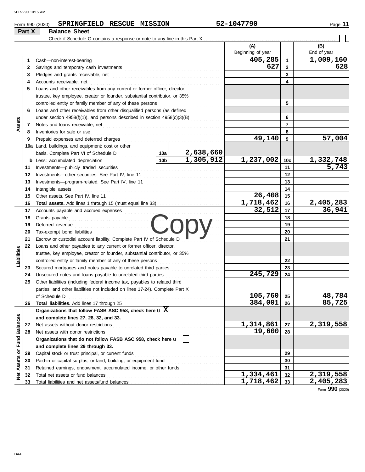|                         |          | SPRINGFIELD RESCUE MISSION<br>Form 990 (2020)                                |     |           | 52-1047790               |                | Page 11                |
|-------------------------|----------|------------------------------------------------------------------------------|-----|-----------|--------------------------|----------------|------------------------|
|                         | Part X   | <b>Balance Sheet</b>                                                         |     |           |                          |                |                        |
|                         |          | Check if Schedule O contains a response or note to any line in this Part X   |     |           |                          |                |                        |
|                         |          |                                                                              |     |           | (A)<br>Beginning of year |                | (B)<br>End of year     |
|                         | 1        | Cash-non-interest-bearing                                                    |     |           | 405,285                  | 1              | 1,009,160              |
|                         | 2        |                                                                              |     |           | 627                      | $\mathbf{2}$   | 628                    |
|                         | 3        |                                                                              |     |           |                          | 3              |                        |
|                         | 4        |                                                                              |     | 4         |                          |                |                        |
|                         | 5        | Loans and other receivables from any current or former officer, director,    |     |           |                          |                |                        |
|                         |          | trustee, key employee, creator or founder, substantial contributor, or 35%   |     |           |                          |                |                        |
|                         |          |                                                                              |     |           |                          | 5              |                        |
|                         | 6        | Loans and other receivables from other disqualified persons (as defined      |     |           |                          |                |                        |
|                         |          | under section 4958(f)(1)), and persons described in section 4958(c)(3)(B)    |     |           |                          | 6              |                        |
| Assets                  | 7        |                                                                              |     |           |                          | $\overline{7}$ |                        |
|                         | 8        | Inventories for sale or use                                                  |     |           |                          | 8              |                        |
|                         | 9        |                                                                              |     |           | 49,140                   | 9              | 57,004                 |
|                         |          | 10a Land, buildings, and equipment: cost or other                            |     |           |                          |                |                        |
|                         |          |                                                                              |     |           |                          |                |                        |
|                         |          | <b>b</b> Less: accumulated depreciation                                      | 10b | 1,305,912 | 1,237,002                | 10c            | <u>1,332,748</u>       |
|                         | 11       |                                                                              |     |           |                          | 11             | $\overline{5,743}$     |
|                         | 12       |                                                                              |     | 12        |                          |                |                        |
|                         | 13       |                                                                              |     |           |                          | 13             |                        |
|                         | 14       | Intangible assets                                                            |     |           |                          | 14             |                        |
|                         | 15       |                                                                              |     |           | 26,408                   | 15             |                        |
|                         | 16       |                                                                              |     |           | 1,718,462                | 16             | $\overline{2,405,283}$ |
|                         | 17       | Accounts payable and accrued expenses                                        |     |           | 32,512                   | 17             | 36,941                 |
|                         | 18       |                                                                              |     |           |                          | 18             |                        |
|                         | 19       |                                                                              |     |           |                          | 19             |                        |
|                         | 20       | Tax-exempt bond liabilities                                                  |     |           |                          | 20             |                        |
|                         | 21       | Escrow or custodial account liability. Complete Part IV of Schedule D        |     |           |                          | 21             |                        |
|                         | 22       | Loans and other payables to any current or former officer, director,         |     |           |                          |                |                        |
| Liabilities             |          | trustee, key employee, creator or founder, substantial contributor, or 35%   |     |           |                          |                |                        |
|                         |          | controlled entity or family member of any of these persons                   |     | 22        |                          |                |                        |
|                         | 23       | Secured mortgages and notes payable to unrelated third parties               |     |           |                          | 23             |                        |
|                         | 24       | Unsecured notes and loans payable to unrelated third parties                 |     |           | 245,729                  | 24             |                        |
|                         | 25       | Other liabilities (including federal income tax, payables to related third   |     |           |                          |                |                        |
|                         |          | parties, and other liabilities not included on lines 17-24). Complete Part X |     |           |                          |                |                        |
|                         |          | of Schedule D                                                                |     |           | 105,760                  | 25             | 48,784                 |
|                         | 26       |                                                                              |     |           | 384,001                  | 26             | 85,725                 |
|                         |          | Organizations that follow FASB ASC 958, check here $\mathbf{u} \overline{X}$ |     |           |                          |                |                        |
|                         |          | and complete lines 27, 28, 32, and 33.                                       |     |           |                          |                |                        |
|                         | 27       | Net assets without donor restrictions                                        |     |           | 1,314,861                | 27             | 2,319,558              |
|                         | 28       | Net assets with donor restrictions                                           |     |           | 19,600                   | 28             |                        |
|                         |          | Organizations that do not follow FASB ASC 958, check here u                  |     |           |                          |                |                        |
| Assets or Fund Balances |          | and complete lines 29 through 33.                                            |     |           |                          |                |                        |
|                         | 29       | Capital stock or trust principal, or current funds                           |     |           |                          | 29             |                        |
|                         | 30       |                                                                              |     |           |                          | 30<br>31       |                        |
|                         | 31<br>32 | Total net assets or fund balances                                            |     |           | 1,334,461                | 32             | 2,319,558              |
| ğ                       | 33       |                                                                              |     |           | 1,718,462                | 33             | 2,405,283              |
|                         |          |                                                                              |     |           |                          |                |                        |

Form **990** (2020)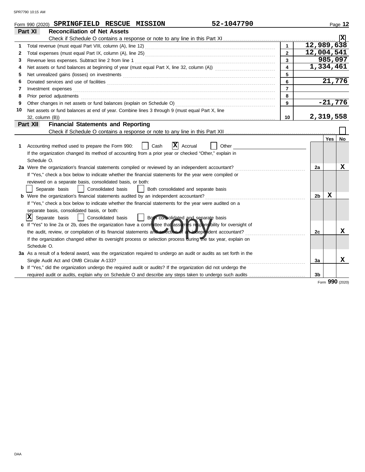|    | 52-1047790<br>Form 990 (2020) SPRINGFIELD RESCUE MISSION                                                                                                                                                                            |                         |                |            | Page 12                          |
|----|-------------------------------------------------------------------------------------------------------------------------------------------------------------------------------------------------------------------------------------|-------------------------|----------------|------------|----------------------------------|
|    | Part XI<br><b>Reconciliation of Net Assets</b>                                                                                                                                                                                      |                         |                |            |                                  |
|    |                                                                                                                                                                                                                                     |                         |                |            |                                  |
|    |                                                                                                                                                                                                                                     | $\mathbf{1}$            | 12,989,638     |            |                                  |
| 2  |                                                                                                                                                                                                                                     | $\overline{2}$          | 12,004,541     |            |                                  |
| 3  | Revenue less expenses. Subtract line 2 from line 1                                                                                                                                                                                  | 3                       |                | 985,097    |                                  |
| 4  |                                                                                                                                                                                                                                     | $\overline{\mathbf{4}}$ | 1,334,461      |            |                                  |
| 5  | Net unrealized gains (losses) on investments [11] match and the contract of the state of the state of the state of the state of the state of the state of the state of the state of the state of the state of the state of the      | 5                       |                |            |                                  |
| 6  |                                                                                                                                                                                                                                     | 6                       |                | 21,776     |                                  |
| 7  | Investment expenses <b>constant expenses</b>                                                                                                                                                                                        | $\overline{7}$          |                |            |                                  |
| 8  | Prior period adjustments <b>construction and construction of the construction</b> and construction of the construction of the construction of the construction of the construction of the construction of the construction of the c | 8                       |                |            |                                  |
| 9  |                                                                                                                                                                                                                                     | 9                       |                | $-21,776$  |                                  |
| 10 | Net assets or fund balances at end of year. Combine lines 3 through 9 (must equal Part X, line                                                                                                                                      |                         |                |            |                                  |
|    | $32$ , column $(B)$ )                                                                                                                                                                                                               | 10                      | 2,319,558      |            |                                  |
|    | <b>Financial Statements and Reporting</b><br>Part XII                                                                                                                                                                               |                         |                |            |                                  |
|    |                                                                                                                                                                                                                                     |                         |                |            |                                  |
|    |                                                                                                                                                                                                                                     |                         |                | <b>Yes</b> | No.                              |
| 1. | x<br>Accounting method used to prepare the Form 990:<br>Cash<br>Accrual<br>Other                                                                                                                                                    |                         |                |            |                                  |
|    | If the organization changed its method of accounting from a prior year or checked "Other," explain in                                                                                                                               |                         |                |            |                                  |
|    | Schedule O.                                                                                                                                                                                                                         |                         |                |            |                                  |
|    | 2a Were the organization's financial statements compiled or reviewed by an independent accountant?                                                                                                                                  |                         | 2a             |            | x                                |
|    | If "Yes," check a box below to indicate whether the financial statements for the year were compiled or                                                                                                                              |                         |                |            |                                  |
|    | reviewed on a separate basis, consolidated basis, or both:                                                                                                                                                                          |                         |                |            |                                  |
|    | Separate basis<br>Consolidated basis<br>Both consolidated and separate basis                                                                                                                                                        |                         |                |            |                                  |
|    | <b>b</b> Were the organization's financial statements audited by an independent accountant?                                                                                                                                         |                         | 2 <sub>b</sub> | x          |                                  |
|    | If "Yes," check a box below to indicate whether the financial statements for the year were audited on a                                                                                                                             |                         |                |            |                                  |
|    | separate basis, consolidated basis, or both:                                                                                                                                                                                        |                         |                |            |                                  |
|    | $ X $ Separate basis<br>Both consolidated and separate basis<br>Consolidated basis                                                                                                                                                  |                         |                |            |                                  |
|    | c If "Yes" to line 2a or 2b, does the organization have a committee that assumes responsibility for oversight of                                                                                                                    |                         |                |            |                                  |
|    | the audit, review, or compilation of its financial statements and selection of an independent accountant?                                                                                                                           |                         | 2c             |            | x                                |
|    | If the organization changed either its oversight process or selection process during the tax year, explain on                                                                                                                       |                         |                |            |                                  |
|    | Schedule O.                                                                                                                                                                                                                         |                         |                |            |                                  |
|    | 3a As a result of a federal award, was the organization required to undergo an audit or audits as set forth in the                                                                                                                  |                         |                |            |                                  |
|    | Single Audit Act and OMB Circular A-133?                                                                                                                                                                                            |                         | За             |            | x                                |
|    | <b>b</b> If "Yes," did the organization undergo the required audit or audits? If the organization did not undergo the                                                                                                               |                         |                |            |                                  |
|    | required audit or audits, explain why on Schedule O and describe any steps taken to undergo such audits                                                                                                                             |                         | 3 <sub>b</sub> |            |                                  |
|    |                                                                                                                                                                                                                                     |                         |                |            | $\mathbf{a}\mathbf{a}\mathbf{n}$ |

Form **990** (2020)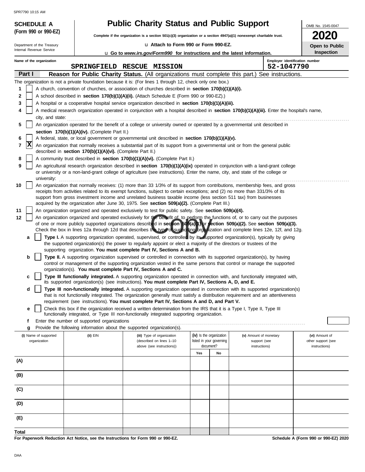| <b>Public Charity Status and Public Support</b>                                                                          |
|--------------------------------------------------------------------------------------------------------------------------|
| Complete if the organization is a section $501(c)(3)$ organization or a section $4947(a)(1)$ nonexempt charitable trust. |

| 2020 |                       |
|------|-----------------------|
|      | <b>Open to Publid</b> |
|      | . 1                   |

OMB No. 1545-0047

|                          | Department of the Treasury |  |
|--------------------------|----------------------------|--|
| Internal Revenue Service |                            |  |
|                          |                            |  |

| Name of the organization |  |
|--------------------------|--|
|--------------------------|--|

**(Form 990 or 990-EZ)**

**SCHEDULE A** 

| Department of the Treasury |        |                                                                                                                           |  | Open to Public                                                                         |                                                                                                                                                                                                                                                                                                                                                                                                    |                                                      |                                              |                        |                    |
|----------------------------|--------|---------------------------------------------------------------------------------------------------------------------------|--|----------------------------------------------------------------------------------------|----------------------------------------------------------------------------------------------------------------------------------------------------------------------------------------------------------------------------------------------------------------------------------------------------------------------------------------------------------------------------------------------------|------------------------------------------------------|----------------------------------------------|------------------------|--------------------|
| Internal Revenue Service   |        |                                                                                                                           |  | <b>u</b> Go to <i>www.irs.gov/Form990</i> for instructions and the latest information. | Inspection                                                                                                                                                                                                                                                                                                                                                                                         |                                                      |                                              |                        |                    |
|                            |        | Name of the organization                                                                                                  |  |                                                                                        | SPRINGFIELD RESCUE MISSION                                                                                                                                                                                                                                                                                                                                                                         |                                                      | Employer identification number<br>52-1047790 |                        |                    |
|                            | Part I |                                                                                                                           |  |                                                                                        | Reason for Public Charity Status. (All organizations must complete this part.) See instructions.                                                                                                                                                                                                                                                                                                   |                                                      |                                              |                        |                    |
|                            |        |                                                                                                                           |  |                                                                                        | The organization is not a private foundation because it is: (For lines 1 through 12, check only one box.)                                                                                                                                                                                                                                                                                          |                                                      |                                              |                        |                    |
| 1                          |        |                                                                                                                           |  |                                                                                        | A church, convention of churches, or association of churches described in section 170(b)(1)(A)(i).                                                                                                                                                                                                                                                                                                 |                                                      |                                              |                        |                    |
| 2                          |        |                                                                                                                           |  |                                                                                        | A school described in section 170(b)(1)(A)(ii). (Attach Schedule E (Form 990 or 990-EZ).)                                                                                                                                                                                                                                                                                                          |                                                      |                                              |                        |                    |
| 3                          |        |                                                                                                                           |  |                                                                                        | A hospital or a cooperative hospital service organization described in section 170(b)(1)(A)(iii).                                                                                                                                                                                                                                                                                                  |                                                      |                                              |                        |                    |
| 4                          |        |                                                                                                                           |  |                                                                                        | A medical research organization operated in conjunction with a hospital described in section 170(b)(1)(A)(iii). Enter the hospital's name,                                                                                                                                                                                                                                                         |                                                      |                                              |                        |                    |
|                            |        | city, and state:                                                                                                          |  |                                                                                        |                                                                                                                                                                                                                                                                                                                                                                                                    |                                                      |                                              |                        |                    |
| 5                          |        | An organization operated for the benefit of a college or university owned or operated by a governmental unit described in |  |                                                                                        |                                                                                                                                                                                                                                                                                                                                                                                                    |                                                      |                                              |                        |                    |
|                            |        |                                                                                                                           |  | section 170(b)(1)(A)(iv). (Complete Part II.)                                          |                                                                                                                                                                                                                                                                                                                                                                                                    |                                                      |                                              |                        |                    |
| 6                          | X      |                                                                                                                           |  |                                                                                        | A federal, state, or local government or governmental unit described in section 170(b)(1)(A)(v).                                                                                                                                                                                                                                                                                                   |                                                      |                                              |                        |                    |
| 7                          |        |                                                                                                                           |  | described in section 170(b)(1)(A)(vi). (Complete Part II.)                             | An organization that normally receives a substantial part of its support from a governmental unit or from the general public                                                                                                                                                                                                                                                                       |                                                      |                                              |                        |                    |
| 8                          |        |                                                                                                                           |  |                                                                                        | A community trust described in section 170(b)(1)(A)(vi). (Complete Part II.)                                                                                                                                                                                                                                                                                                                       |                                                      |                                              |                        |                    |
| 9                          |        | university:                                                                                                               |  |                                                                                        | An agricultural research organization described in section 170(b)(1)(A)(ix) operated in conjunction with a land-grant college<br>or university or a non-land-grant college of agriculture (see instructions). Enter the name, city, and state of the college or                                                                                                                                    |                                                      |                                              |                        |                    |
| 10                         |        |                                                                                                                           |  |                                                                                        | An organization that normally receives: (1) more than 33 1/3% of its support from contributions, membership fees, and gross<br>receipts from activities related to its exempt functions, subject to certain exceptions; and (2) no more than 331/3% of its<br>support from gross investment income and unrelated business taxable income (less section 511 tax) from businesses                    |                                                      |                                              |                        |                    |
|                            |        |                                                                                                                           |  |                                                                                        | acquired by the organization after June 30, 1975. See section 509(a)(2). (Complete Part III.)                                                                                                                                                                                                                                                                                                      |                                                      |                                              |                        |                    |
| 11                         |        |                                                                                                                           |  |                                                                                        | An organization organized and operated exclusively to test for public safety. See section 509(a)(4).                                                                                                                                                                                                                                                                                               |                                                      |                                              |                        |                    |
| 12                         |        |                                                                                                                           |  |                                                                                        | An organization organized and operated exclusively for the benefit of, to perform the functions of, or to carry out the purposes<br>of one or more publicly supported organizations described in section 509(a)(1) or section 509(a)(2). See section 509(a)(3).<br>Check the box in lines 12a through 12d that describes the type of supporting organization and complete lines 12e, 12f, and 12g. |                                                      |                                              |                        |                    |
|                            | a      |                                                                                                                           |  |                                                                                        | Type I. A supporting organization operated, supervised, or controlled by its supported organization(s), typically by giving                                                                                                                                                                                                                                                                        |                                                      |                                              |                        |                    |
|                            |        |                                                                                                                           |  |                                                                                        | the supported organization(s) the power to regularly appoint or elect a majority of the directors or trustees of the                                                                                                                                                                                                                                                                               |                                                      |                                              |                        |                    |
|                            |        |                                                                                                                           |  |                                                                                        | supporting organization. You must complete Part IV, Sections A and B.                                                                                                                                                                                                                                                                                                                              |                                                      |                                              |                        |                    |
|                            | b      |                                                                                                                           |  |                                                                                        | Type II. A supporting organization supervised or controlled in connection with its supported organization(s), by having<br>control or management of the supporting organization vested in the same persons that control or manage the supported                                                                                                                                                    |                                                      |                                              |                        |                    |
|                            | c      |                                                                                                                           |  |                                                                                        | organization(s). You must complete Part IV, Sections A and C.<br>Type III functionally integrated. A supporting organization operated in connection with, and functionally integrated with,<br>its supported organization(s) (see instructions). You must complete Part IV, Sections A, D, and E.                                                                                                  |                                                      |                                              |                        |                    |
|                            | d      |                                                                                                                           |  |                                                                                        | Type III non-functionally integrated. A supporting organization operated in connection with its supported organization(s)                                                                                                                                                                                                                                                                          |                                                      |                                              |                        |                    |
|                            |        |                                                                                                                           |  |                                                                                        | that is not functionally integrated. The organization generally must satisfy a distribution requirement and an attentiveness                                                                                                                                                                                                                                                                       |                                                      |                                              |                        |                    |
|                            |        |                                                                                                                           |  |                                                                                        | requirement (see instructions). You must complete Part IV, Sections A and D, and Part V.                                                                                                                                                                                                                                                                                                           |                                                      |                                              |                        |                    |
|                            |        |                                                                                                                           |  |                                                                                        | Check this box if the organization received a written determination from the IRS that it is a Type I, Type II, Type III                                                                                                                                                                                                                                                                            |                                                      |                                              |                        |                    |
|                            |        |                                                                                                                           |  |                                                                                        | functionally integrated, or Type III non-functionally integrated supporting organization.                                                                                                                                                                                                                                                                                                          |                                                      |                                              |                        |                    |
|                            | f<br>g |                                                                                                                           |  | Enter the number of supported organizations                                            | Provide the following information about the supported organization(s).                                                                                                                                                                                                                                                                                                                             |                                                      |                                              |                        |                    |
|                            |        | (i) Name of supported                                                                                                     |  | $(ii)$ $EIN$                                                                           | (iii) Type of organization                                                                                                                                                                                                                                                                                                                                                                         |                                                      |                                              | (v) Amount of monetary | (vi) Amount of     |
|                            |        | organization                                                                                                              |  |                                                                                        | (described on lines 1-10                                                                                                                                                                                                                                                                                                                                                                           | (iv) Is the organization<br>listed in your governing |                                              | support (see           | other support (see |
|                            |        |                                                                                                                           |  |                                                                                        | above (see instructions))                                                                                                                                                                                                                                                                                                                                                                          |                                                      | document?                                    | instructions)          | instructions)      |
|                            |        |                                                                                                                           |  |                                                                                        |                                                                                                                                                                                                                                                                                                                                                                                                    | Yes                                                  | No                                           |                        |                    |
| (A)                        |        |                                                                                                                           |  |                                                                                        |                                                                                                                                                                                                                                                                                                                                                                                                    |                                                      |                                              |                        |                    |
|                            |        |                                                                                                                           |  |                                                                                        |                                                                                                                                                                                                                                                                                                                                                                                                    |                                                      |                                              |                        |                    |
| (B)                        |        |                                                                                                                           |  |                                                                                        |                                                                                                                                                                                                                                                                                                                                                                                                    |                                                      |                                              |                        |                    |
| (C)                        |        |                                                                                                                           |  |                                                                                        |                                                                                                                                                                                                                                                                                                                                                                                                    |                                                      |                                              |                        |                    |
| (D)                        |        |                                                                                                                           |  |                                                                                        |                                                                                                                                                                                                                                                                                                                                                                                                    |                                                      |                                              |                        |                    |
| (E)                        |        |                                                                                                                           |  |                                                                                        |                                                                                                                                                                                                                                                                                                                                                                                                    |                                                      |                                              |                        |                    |
| Total                      |        |                                                                                                                           |  |                                                                                        |                                                                                                                                                                                                                                                                                                                                                                                                    |                                                      |                                              |                        |                    |

**For Paperwork Reduction Act Notice, see the Instructions for Form 990 or 990-EZ.**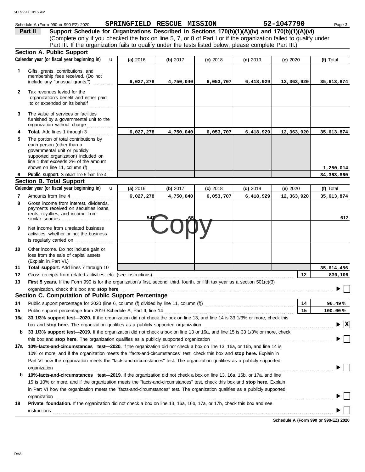|              | SPR7790 10:15 AM                                                                                                                                                                                                                                           |                            |            |            |            |            |                                               |
|--------------|------------------------------------------------------------------------------------------------------------------------------------------------------------------------------------------------------------------------------------------------------------|----------------------------|------------|------------|------------|------------|-----------------------------------------------|
|              | Schedule A (Form 990 or 990-EZ) 2020                                                                                                                                                                                                                       | SPRINGFIELD RESCUE MISSION |            |            |            | 52-1047790 | Page 2                                        |
|              | Part II<br>Support Schedule for Organizations Described in Sections 170(b)(1)(A)(iv) and 170(b)(1)(A)(vi)                                                                                                                                                  |                            |            |            |            |            |                                               |
|              | (Complete only if you checked the box on line 5, 7, or 8 of Part I or if the organization failed to qualify under                                                                                                                                          |                            |            |            |            |            |                                               |
|              | Part III. If the organization fails to qualify under the tests listed below, please complete Part III.)                                                                                                                                                    |                            |            |            |            |            |                                               |
|              | <b>Section A. Public Support</b>                                                                                                                                                                                                                           |                            |            |            |            |            |                                               |
|              | Calendar year (or fiscal year beginning in)<br>$\mathbf{u}$                                                                                                                                                                                                | (a) 2016                   | (b) $2017$ | $(c)$ 2018 | $(d)$ 2019 | (e) $2020$ | (f) Total                                     |
| 1            | Gifts, grants, contributions, and                                                                                                                                                                                                                          |                            |            |            |            |            |                                               |
|              | membership fees received. (Do not                                                                                                                                                                                                                          |                            |            |            |            |            |                                               |
|              | include any "unusual grants.")                                                                                                                                                                                                                             | 6,027,278                  | 4,750,040  | 6,053,707  | 6,418,929  | 12,363,920 | 35,613,874                                    |
| $\mathbf{2}$ | Tax revenues levied for the<br>organization's benefit and either paid<br>to or expended on its behalf                                                                                                                                                      |                            |            |            |            |            |                                               |
| 3            | The value of services or facilities<br>furnished by a governmental unit to the<br>organization without charge                                                                                                                                              |                            |            |            |            |            |                                               |
| 4            | Total. Add lines 1 through 3                                                                                                                                                                                                                               | 6,027,278                  | 4,750,040  | 6,053,707  | 6,418,929  | 12,363,920 | 35,613,874                                    |
| 5            | The portion of total contributions by                                                                                                                                                                                                                      |                            |            |            |            |            |                                               |
|              | each person (other than a                                                                                                                                                                                                                                  |                            |            |            |            |            |                                               |
|              | governmental unit or publicly<br>supported organization) included on                                                                                                                                                                                       |                            |            |            |            |            |                                               |
|              | line 1 that exceeds 2% of the amount                                                                                                                                                                                                                       |                            |            |            |            |            |                                               |
|              | shown on line 11, column (f)                                                                                                                                                                                                                               |                            |            |            |            |            | 1,250,014                                     |
| 6            | Public support. Subtract line 5 from line 4                                                                                                                                                                                                                |                            |            |            |            |            | 34, 363, 860                                  |
|              | <b>Section B. Total Support</b>                                                                                                                                                                                                                            |                            |            |            |            |            |                                               |
|              | Calendar year (or fiscal year beginning in)<br>$\mathbf{u}$                                                                                                                                                                                                | (a) $2016$                 | (b) $2017$ | $(c)$ 2018 | $(d)$ 2019 | (e) $2020$ | (f) Total                                     |
| 7            | Amounts from line 4                                                                                                                                                                                                                                        | 6,027,278                  | 4,750,040  | 6,053,707  | 6,418,929  | 12,363,920 | 35,613,874                                    |
| 8            | Gross income from interest, dividends,<br>payments received on securities loans,<br>rents, royalties, and income from<br>similar sources                                                                                                                   | 54                         |            |            |            |            | 612                                           |
| 9            | Net income from unrelated business<br>activities, whether or not the business<br>is regularly carried on                                                                                                                                                   |                            |            |            |            |            |                                               |
| 10           | Other income. Do not include gain or<br>loss from the sale of capital assets<br>(Explain in Part VI.)                                                                                                                                                      |                            |            |            |            |            |                                               |
| 11           | Total support. Add lines 7 through 10                                                                                                                                                                                                                      |                            |            |            |            |            | 35,614,486                                    |
| 12           |                                                                                                                                                                                                                                                            |                            |            |            |            | - 12       | 830,106                                       |
| 13           | First 5 years. If the Form 990 is for the organization's first, second, third, fourth, or fifth tax year as a section 501(c)(3)                                                                                                                            |                            |            |            |            |            |                                               |
|              | organization, check this box and stop here                                                                                                                                                                                                                 |                            |            |            |            |            |                                               |
|              | Section C. Computation of Public Support Percentage                                                                                                                                                                                                        |                            |            |            |            |            |                                               |
| 14           | Public support percentage for 2020 (line 6, column (f) divided by line 11, column (f) [[[[[[[[[[[[[[[[[[[[[[[                                                                                                                                              |                            |            |            |            | 14         | 96.49%                                        |
| 15           | Public support percentage from 2019 Schedule A, Part II, line 14                                                                                                                                                                                           |                            |            |            |            | 15         | 100.00%                                       |
| 16a          | 33 1/3% support test-2020. If the organization did not check the box on line 13, and line 14 is 33 1/3% or more, check this                                                                                                                                |                            |            |            |            |            |                                               |
|              | box and stop here. The organization qualifies as a publicly supported organization                                                                                                                                                                         |                            |            |            |            |            | $\blacktriangleright$ $\overline{\mathbf{X}}$ |
| b            | 33 1/3% support test-2019. If the organization did not check a box on line 13 or 16a, and line 15 is 33 1/3% or more, check                                                                                                                                |                            |            |            |            |            |                                               |
|              | this box and <b>stop here.</b> The organization qualifies as a publicly supported organization                                                                                                                                                             |                            |            |            |            |            |                                               |
|              | 17a 10%-facts-and-circumstances test-2020. If the organization did not check a box on line 13, 16a, or 16b, and line 14 is                                                                                                                                 |                            |            |            |            |            |                                               |
|              | 10% or more, and if the organization meets the "facts-and-circumstances" test, check this box and stop here. Explain in                                                                                                                                    |                            |            |            |            |            |                                               |
|              | Part VI how the organization meets the "facts-and-circumstances" test. The organization qualifies as a publicly supported                                                                                                                                  |                            |            |            |            |            |                                               |
|              | organization                                                                                                                                                                                                                                               |                            |            |            |            |            |                                               |
| b            | 10%-facts-and-circumstances test-2019. If the organization did not check a box on line 13, 16a, 16b, or 17a, and line                                                                                                                                      |                            |            |            |            |            |                                               |
|              | 15 is 10% or more, and if the organization meets the "facts-and-circumstances" test, check this box and stop here. Explain<br>in Part VI how the organization meets the "facts-and-circumstances" test. The organization qualifies as a publicly supported |                            |            |            |            |            |                                               |
|              | organization                                                                                                                                                                                                                                               |                            |            |            |            |            |                                               |
|              |                                                                                                                                                                                                                                                            |                            |            |            |            |            |                                               |

**18 Private foundation.** If the organization did not check a box on line 13, 16a, 16b, 17a, or 17b, check this box and see

**Schedule A (Form 990 or 990-EZ) 2020**  $\begin{picture}(20,10) \put(0,0){\vector(1,0){100}} \put(15,0){\vector(1,0){100}} \put(15,0){\vector(1,0){100}} \put(15,0){\vector(1,0){100}} \put(15,0){\vector(1,0){100}} \put(15,0){\vector(1,0){100}} \put(15,0){\vector(1,0){100}} \put(15,0){\vector(1,0){100}} \put(15,0){\vector(1,0){100}} \put(15,0){\vector(1,0){100}} \put(15,0){\vector(1,0){100}} \$ 

 $\blacktriangleright$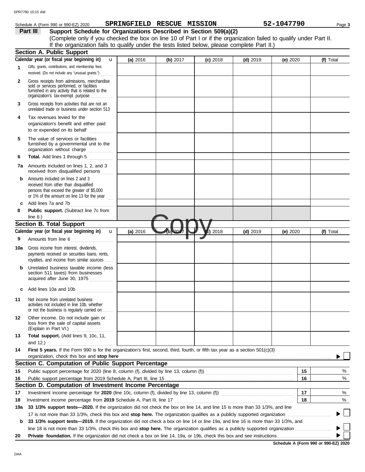#### Schedule A (Form 990 or 990-EZ) 2020 **SPRINGFIELD RESCUE MISSION** 52-1047790 Page 3

**Part III** Support Schedule for Organizations Described in Section 509(a)(2) (Complete only if you checked the box on line 10 of Part I or if the organization failed to qualify under Part II. If the organization fails to qualify under the tests listed below, please complete Part II.)

|              | If any organization raily to guality under the tests listed below, picase complete I art in<br><b>Section A. Public Support</b>                                                   |              |          |            |            |            |            |    |           |
|--------------|-----------------------------------------------------------------------------------------------------------------------------------------------------------------------------------|--------------|----------|------------|------------|------------|------------|----|-----------|
|              | Calendar year (or fiscal year beginning in)                                                                                                                                       | $\mathbf{u}$ | (a) 2016 | (b) $2017$ | $(c)$ 2018 | $(d)$ 2019 | (e) $2020$ |    | (f) Total |
| 1            | Gifts, grants, contributions, and membership fees<br>received. (Do not include any "unusual grants.")                                                                             |              |          |            |            |            |            |    |           |
| $\mathbf{2}$ | Gross receipts from admissions, merchandise<br>sold or services performed, or facilities<br>furnished in any activity that is related to the<br>organization's tax-exempt purpose |              |          |            |            |            |            |    |           |
| 3            | Gross receipts from activities that are not an<br>unrelated trade or business under section 513                                                                                   |              |          |            |            |            |            |    |           |
| 4            | Tax revenues levied for the<br>organization's benefit and either paid<br>to or expended on its behalf                                                                             |              |          |            |            |            |            |    |           |
| 5            | The value of services or facilities<br>furnished by a governmental unit to the<br>organization without charge                                                                     |              |          |            |            |            |            |    |           |
| 6            | Total. Add lines 1 through 5<br>.                                                                                                                                                 |              |          |            |            |            |            |    |           |
| 7а           | Amounts included on lines 1, 2, and 3<br>received from disqualified persons                                                                                                       |              |          |            |            |            |            |    |           |
| b            | Amounts included on lines 2 and 3<br>received from other than disqualified<br>persons that exceed the greater of \$5,000<br>or 1% of the amount on line 13 for the year $\ldots$  |              |          |            |            |            |            |    |           |
| c            | Add lines 7a and 7b                                                                                                                                                               |              |          |            |            |            |            |    |           |
| 8            | Public support. (Subtract line 7c from<br>line 6.) $\ldots$ $\ldots$ $\ldots$ $\ldots$ $\ldots$ $\ldots$ $\ldots$                                                                 |              |          |            |            |            |            |    |           |
|              | <b>Section B. Total Support</b>                                                                                                                                                   |              |          |            |            |            |            |    |           |
|              | Calendar year (or fiscal year beginning in)                                                                                                                                       | $\mathbf{u}$ | (a) 2016 |            | $c)$ 2018  | $(d)$ 2019 | (e) $2020$ |    | (f) Total |
| 9            | Amounts from line 6                                                                                                                                                               |              |          |            |            |            |            |    |           |
| 10a          | Gross income from interest, dividends,<br>payments received on securities loans, rents,<br>royalties, and income from similar sources                                             |              |          |            |            |            |            |    |           |
| b            | Unrelated business taxable income (less<br>section 511 taxes) from businesses<br>acquired after June 30, 1975                                                                     |              |          |            |            |            |            |    |           |
|              | Add lines 10a and 10b                                                                                                                                                             |              |          |            |            |            |            |    |           |
| 11           | Net income from unrelated business<br>activities not included in line 10b, whether<br>or not the business is regularly carried on                                                 |              |          |            |            |            |            |    |           |
| 12           | Other income. Do not include gain or<br>loss from the sale of capital assets<br>(Explain in Part VI.)                                                                             |              |          |            |            |            |            |    |           |
| 13           | Total support. (Add lines 9, 10c, 11,                                                                                                                                             |              |          |            |            |            |            |    |           |
|              | and $12.$ )                                                                                                                                                                       |              |          |            |            |            |            |    |           |
| 14           | First 5 years. If the Form 990 is for the organization's first, second, third, fourth, or fifth tax year as a section 501(c)(3)                                                   |              |          |            |            |            |            |    |           |
|              |                                                                                                                                                                                   |              |          |            |            |            |            |    |           |
|              | Section C. Computation of Public Support Percentage                                                                                                                               |              |          |            |            |            |            |    |           |
| 15           | Public support percentage for 2020 (line 8, column (f), divided by line 13, column (f)) [[[[[[[[[[[[[[[[[[[[[                                                                     |              |          |            |            |            |            | 15 | %         |
| 16           | Section D. Computation of Investment Income Percentage                                                                                                                            |              |          |            |            |            |            | 16 | %         |
| 17           | Investment income percentage for 2020 (line 10c, column (f), divided by line 13, column (f)) [[[[[[[[[[[[[[[[[                                                                    |              |          |            |            |            |            | 17 | %         |
| 18           | Investment income percentage from 2019 Schedule A, Part III, line 17                                                                                                              |              |          |            |            |            |            | 18 | %         |
| 19a          | 33 1/3% support tests-2020. If the organization did not check the box on line 14, and line 15 is more than 33 1/3%, and line                                                      |              |          |            |            |            |            |    |           |
|              |                                                                                                                                                                                   |              |          |            |            |            |            |    | $\sim$    |
| b            | 33 1/3% support tests-2019. If the organization did not check a box on line 14 or line 19a, and line 16 is more than 33 1/3%, and                                                 |              |          |            |            |            |            |    |           |
|              |                                                                                                                                                                                   |              |          |            |            |            |            |    |           |
| 20           |                                                                                                                                                                                   |              |          |            |            |            |            |    |           |
|              |                                                                                                                                                                                   |              |          |            |            |            |            |    |           |

**Schedule A (Form 990 or 990-EZ) 2020**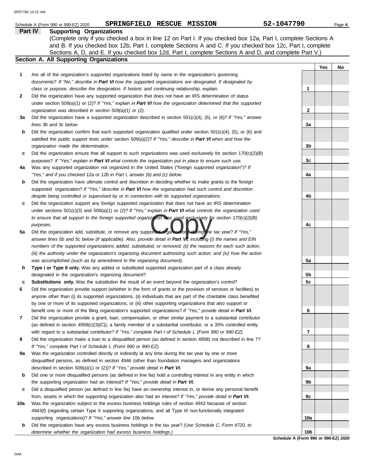|     | SPRINGFIELD RESCUE MISSION<br>Schedule A (Form 990 or 990-EZ) 2020                                                  | 52-1047790      |     | Page 4 |
|-----|---------------------------------------------------------------------------------------------------------------------|-----------------|-----|--------|
|     | <b>Part IV</b><br><b>Supporting Organizations</b>                                                                   |                 |     |        |
|     | (Complete only if you checked a box in line 12 on Part I. If you checked box 12a, Part I, complete Sections A       |                 |     |        |
|     | and B. If you checked box 12b, Part I, complete Sections A and C. If you checked box 12c, Part I, complete          |                 |     |        |
|     | Sections A, D, and E. If you checked box 12d, Part I, complete Sections A and D, and complete Part V.)              |                 |     |        |
|     | Section A. All Supporting Organizations                                                                             |                 |     |        |
|     |                                                                                                                     |                 | Yes | No     |
| 1   | Are all of the organization's supported organizations listed by name in the organization's governing                |                 |     |        |
|     | documents? If "No," describe in Part VI how the supported organizations are designated. If designated by            |                 |     |        |
|     | class or purpose, describe the designation. If historic and continuing relationship, explain.                       | 1               |     |        |
| 2   | Did the organization have any supported organization that does not have an IRS determination of status              |                 |     |        |
|     | under section 509(a)(1) or (2)? If "Yes," explain in Part VI how the organization determined that the supported     |                 |     |        |
|     | organization was described in section 509(a)(1) or (2).                                                             | $\mathbf{2}$    |     |        |
| За  | Did the organization have a supported organization described in section $501(c)(4)$ , (5), or (6)? If "Yes," answer |                 |     |        |
|     | lines 3b and 3c below.                                                                                              | 3a              |     |        |
| b   | Did the organization confirm that each supported organization qualified under section $501(c)(4)$ , (5), or (6) and |                 |     |        |
|     | satisfied the public support tests under section 509(a)(2)? If "Yes," describe in Part VI when and how the          |                 |     |        |
|     | organization made the determination.                                                                                | 3 <sub>b</sub>  |     |        |
| c   | Did the organization ensure that all support to such organizations was used exclusively for section $170(c)(2)(B)$  |                 |     |        |
|     | purposes? If "Yes," explain in Part VI what controls the organization put in place to ensure such use.              | 3c              |     |        |
| 4a  | Was any supported organization not organized in the United States ("foreign supported organization")? If            |                 |     |        |
|     | "Yes," and if you checked 12a or 12b in Part I, answer (b) and (c) below.                                           | 4a              |     |        |
| b   | Did the organization have ultimate control and discretion in deciding whether to make grants to the foreign         |                 |     |        |
|     | supported organization? If "Yes," describe in Part VI how the organization had such control and discretion          |                 |     |        |
|     | despite being controlled or supervised by or in connection with its supported organizations.                        | 4b              |     |        |
| c   | Did the organization support any foreign supported organization that does not have an IRS determination             |                 |     |        |
|     | under sections $501(c)(3)$ and $509(a)(1)$ or (2)? If "Yes," explain in Part VI what controls the organization used |                 |     |        |
|     | to ensure that all support to the foreign supported organization was used exclusively for section 170(c)(2)(B)      |                 |     |        |
|     | purposes.                                                                                                           | 4c              |     |        |
| 5a  | Did the organization add, substitute, or remove any supported organizations dering the tax year? If "Yes,"          |                 |     |        |
|     | answer lines 5b and 5c below (if applicable). Also, provide detail in Part VI, including (i) the names and EIN      |                 |     |        |
|     | numbers of the supported organizations added, substituted, or removed; (ii) the reasons for each such action;       |                 |     |        |
|     | (iii) the authority under the organization's organizing document authorizing such action; and (iv) how the action   |                 |     |        |
|     | was accomplished (such as by amendment to the organizing document).                                                 | 5а              |     |        |
| b   | Type I or Type II only. Was any added or substituted supported organization part of a class already                 |                 |     |        |
|     | designated in the organization's organizing document?                                                               | 5b              |     |        |
| с   | Substitutions only. Was the substitution the result of an event beyond the organization's control?                  | 5c              |     |        |
|     | Did the organization provide support (whether in the form of grants or the provision of services or facilities) to  |                 |     |        |
|     | anyone other than (i) its supported organizations, (ii) individuals that are part of the charitable class benefited |                 |     |        |
|     | by one or more of its supported organizations, or (iii) other supporting organizations that also support or         |                 |     |        |
|     | benefit one or more of the filing organization's supported organizations? If "Yes," provide detail in Part VI.      | 6               |     |        |
| 7   | Did the organization provide a grant, loan, compensation, or other similar payment to a substantial contributor     |                 |     |        |
|     | (as defined in section $4958(c)(3)(C)$ ), a family member of a substantial contributor, or a 35% controlled entity  |                 |     |        |
|     | with regard to a substantial contributor? If "Yes," complete Part I of Schedule L (Form 990 or 990-EZ).             | 7               |     |        |
| 8   | Did the organization make a loan to a disqualified person (as defined in section 4958) not described in line 7?     |                 |     |        |
|     | If "Yes," complete Part I of Schedule L (Form 990 or 990-EZ).                                                       | 8               |     |        |
| 9а  | Was the organization controlled directly or indirectly at any time during the tax year by one or more               |                 |     |        |
|     | disqualified persons, as defined in section 4946 (other than foundation managers and organizations                  |                 |     |        |
|     | described in section 509(a)(1) or (2))? If "Yes," provide detail in Part VI.                                        | 9а              |     |        |
| b   | Did one or more disqualified persons (as defined in line 9a) hold a controlling interest in any entity in which     |                 |     |        |
|     | the supporting organization had an interest? If "Yes," provide detail in Part VI.                                   | 9b              |     |        |
| c   | Did a disqualified person (as defined in line 9a) have an ownership interest in, or derive any personal benefit     |                 |     |        |
|     | from, assets in which the supporting organization also had an interest? If "Yes," provide detail in Part VI.        | 9с              |     |        |
| 10a | Was the organization subject to the excess business holdings rules of section 4943 because of section               |                 |     |        |
|     | 4943(f) (regarding certain Type II supporting organizations, and all Type III non-functionally integrated           |                 |     |        |
|     | supporting organizations)? If "Yes," answer line 10b below.                                                         | 10a             |     |        |
| b   | Did the organization have any excess business holdings in the tax year? (Use Schedule C, Form 4720, to              |                 |     |        |
|     | determine whether the organization had excess business holdings.)                                                   | 10 <sub>b</sub> |     |        |
|     |                                                                                                                     |                 |     |        |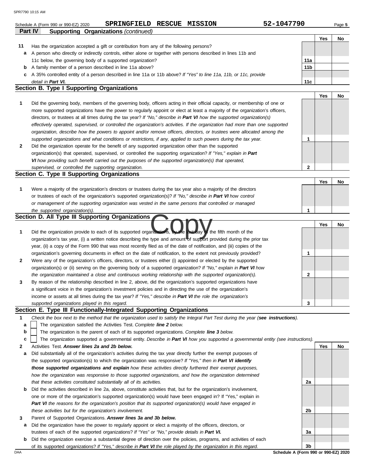|    | 52-1047790<br>RESCUE MISSION<br><b>SPRINGFIELD</b><br>Schedule A (Form 990 or 990-EZ) 2020                                        |                 |     | Page 5 |
|----|-----------------------------------------------------------------------------------------------------------------------------------|-----------------|-----|--------|
|    | Part IV<br><b>Supporting Organizations (continued)</b>                                                                            |                 | Yes | No     |
| 11 | Has the organization accepted a gift or contribution from any of the following persons?                                           |                 |     |        |
| а  | A person who directly or indirectly controls, either alone or together with persons described in lines 11b and                    |                 |     |        |
|    | 11c below, the governing body of a supported organization?                                                                        | 11a             |     |        |
| b  | A family member of a person described in line 11a above?                                                                          | 11 <sub>b</sub> |     |        |
| c  | A 35% controlled entity of a person described in line 11a or 11b above? If "Yes" to line 11a, 11b, or 11c, provide                |                 |     |        |
|    | detail in Part VI.                                                                                                                | 11c             |     |        |
|    | <b>Section B. Type I Supporting Organizations</b>                                                                                 |                 |     |        |
|    |                                                                                                                                   |                 | Yes | No     |
| 1  | Did the governing body, members of the governing body, officers acting in their official capacity, or membership of one or        |                 |     |        |
|    | more supported organizations have the power to regularly appoint or elect at least a majority of the organization's officers,     |                 |     |        |
|    | directors, or trustees at all times during the tax year? If "No," describe in Part VI how the supported organization(s)           |                 |     |        |
|    | effectively operated, supervised, or controlled the organization's activities. If the organization had more than one supported    |                 |     |        |
|    | organization, describe how the powers to appoint and/or remove officers, directors, or trustees were allocated among the          |                 |     |        |
|    | supported organizations and what conditions or restrictions, if any, applied to such powers during the tax year.                  | 1               |     |        |
| 2  | Did the organization operate for the benefit of any supported organization other than the supported                               |                 |     |        |
|    | organization(s) that operated, supervised, or controlled the supporting organization? If "Yes," explain in Part                   |                 |     |        |
|    | VI how providing such benefit carried out the purposes of the supported organization(s) that operated,                            |                 |     |        |
|    | supervised, or controlled the supporting organization.                                                                            | 2               |     |        |
|    | Section C. Type II Supporting Organizations                                                                                       |                 |     |        |
|    |                                                                                                                                   |                 | Yes | No     |
| 1  | Were a majority of the organization's directors or trustees during the tax year also a majority of the directors                  |                 |     |        |
|    | or trustees of each of the organization's supported organization(s)? If "No," describe in Part VI how control                     |                 |     |        |
|    | or management of the supporting organization was vested in the same persons that controlled or managed                            |                 |     |        |
|    | the supported organization(s).                                                                                                    | 1               |     |        |
|    | Section D. All Type III Supporting Organizations                                                                                  |                 |     |        |
|    |                                                                                                                                   |                 | Yes | No     |
| 1  | Did the organization provide to each of its supported organizations, by the last day of the fifth month of the                    |                 |     |        |
|    | organization's tax year, (i) a written notice describing the type and amount of support provided during the prior tax             |                 |     |        |
|    | year, (ii) a copy of the Form 990 that was most recently filed as of the date of notification, and (iii) copies of the            |                 |     |        |
|    | organization's governing documents in effect on the date of notification, to the extent not previously provided?                  | 1               |     |        |
|    | Were any of the organization's officers, directors, or trustees either (i) appointed or elected by the supported                  |                 |     |        |
| 2  | organization(s) or (ii) serving on the governing body of a supported organization? If "No," explain in Part VI how                |                 |     |        |
|    |                                                                                                                                   |                 |     |        |
|    | the organization maintained a close and continuous working relationship with the supported organization(s).                       | 2               |     |        |
|    | By reason of the relationship described in line 2, above, did the organization's supported organizations have                     |                 |     |        |
|    | a significant voice in the organization's investment policies and in directing the use of the organization's                      |                 |     |        |
|    | income or assets at all times during the tax year? If "Yes," describe in Part VI the role the organization's                      |                 |     |        |
|    | supported organizations played in this regard.                                                                                    | 3               |     |        |
|    | Section E. Type III Functionally-Integrated Supporting Organizations                                                              |                 |     |        |
| 1  | Check the box next to the method that the organization used to satisfy the Integral Part Test during the year (see instructions). |                 |     |        |
| a  | The organization satisfied the Activities Test. Complete line 2 below.                                                            |                 |     |        |
| b  | The organization is the parent of each of its supported organizations. Complete line 3 below.                                     |                 |     |        |
| c  | The organization supported a governmental entity. Describe in Part VI how you supported a governmental entity (see instructions). |                 |     |        |
| 2  | Activities Test. Answer lines 2a and 2b below.                                                                                    |                 | Yes | No     |
| а  | Did substantially all of the organization's activities during the tax year directly further the exempt purposes of                |                 |     |        |
|    | the supported organization(s) to which the organization was responsive? If "Yes," then in Part VI identify                        |                 |     |        |
|    | those supported organizations and explain how these activities directly furthered their exempt purposes,                          |                 |     |        |
|    | how the organization was responsive to those supported organizations, and how the organization determined                         |                 |     |        |
|    | that these activities constituted substantially all of its activities.                                                            | 2a              |     |        |
| b  | Did the activities described in line 2a, above, constitute activities that, but for the organization's involvement,               |                 |     |        |
|    | one or more of the organization's supported organization(s) would have been engaged in? If "Yes," explain in                      |                 |     |        |
|    | Part VI the reasons for the organization's position that its supported organization(s) would have engaged in                      |                 |     |        |
|    | these activities but for the organization's involvement.                                                                          | 2b              |     |        |
| 3  | Parent of Supported Organizations. Answer lines 3a and 3b below.                                                                  |                 |     |        |
| а  | Did the organization have the power to regularly appoint or elect a majority of the officers, directors, or                       |                 |     |        |
|    | trustees of each of the supported organizations? If "Yes" or "No," provide details in Part VI.                                    | За              |     |        |
|    | <b>b</b> Did the organization exercise a substantial degree of direction over the policies, programs, and activities of each      |                 |     |        |

of its supported organizations? *If "Yes," describe in Part VI the role played by the organization in this regard.*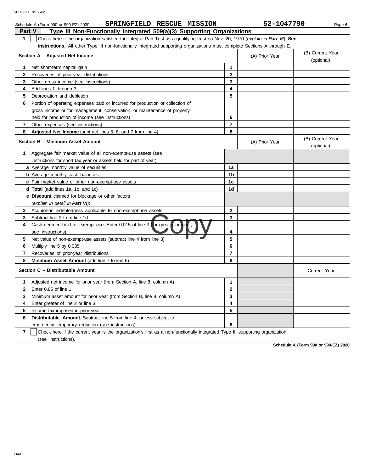| SPRINGFIELD RESCUE MISSION<br>Schedule A (Form 990 or 990-EZ) 2020                                                                    |                | 52-1047790     | Page 6                         |
|---------------------------------------------------------------------------------------------------------------------------------------|----------------|----------------|--------------------------------|
| Type III Non-Functionally Integrated 509(a)(3) Supporting Organizations<br><b>Part V</b>                                              |                |                |                                |
| Check here if the organization satisfied the Integral Part Test as a qualifying trust on Nov. 20, 1970 (explain in Part VI). See<br>1 |                |                |                                |
| instructions. All other Type III non-functionally integrated supporting organizations must complete Sections A through E.             |                |                |                                |
| Section A - Adjusted Net Income                                                                                                       |                | (A) Prior Year | (B) Current Year<br>(optional) |
| Net short-term capital gain<br>1                                                                                                      | $\mathbf 1$    |                |                                |
| $\mathbf{2}$<br>Recoveries of prior-year distributions                                                                                | $\mathbf{2}$   |                |                                |
| 3<br>Other gross income (see instructions)                                                                                            | 3              |                |                                |
| Add lines 1 through 3.<br>4                                                                                                           | 4              |                |                                |
| 5<br>Depreciation and depletion                                                                                                       | 5              |                |                                |
| 6<br>Portion of operating expenses paid or incurred for production or collection of                                                   |                |                |                                |
| gross income or for management, conservation, or maintenance of property                                                              |                |                |                                |
| held for production of income (see instructions)                                                                                      | 6              |                |                                |
| $\mathbf{7}$<br>Other expenses (see instructions)                                                                                     | $\overline{7}$ |                |                                |
| 8<br>Adjusted Net Income (subtract lines 5, 6, and 7 from line 4)                                                                     | 8              |                |                                |
| Section B - Minimum Asset Amount                                                                                                      |                | (A) Prior Year | (B) Current Year<br>(optional) |
| Aggregate fair market value of all non-exempt-use assets (see<br>1                                                                    |                |                |                                |
| instructions for short tax year or assets held for part of year):                                                                     |                |                |                                |
| a Average monthly value of securities                                                                                                 | 1a             |                |                                |
| <b>b</b> Average monthly cash balances                                                                                                | 1b             |                |                                |
| c Fair market value of other non-exempt-use assets                                                                                    | 1 <sub>c</sub> |                |                                |
| d Total (add lines 1a, 1b, and 1c)                                                                                                    | 1d             |                |                                |
| <b>e</b> Discount claimed for blockage or other factors                                                                               |                |                |                                |
| (explain in detail in Part VI):                                                                                                       |                |                |                                |
| $\mathbf{2}$<br>Acquisition indebtedness applicable to non-exempt-use assets                                                          | $\mathbf{2}$   |                |                                |
| 3<br>Subtract line 2 from line 1d.                                                                                                    | 3              |                |                                |
| Cash deemed held for exempt use. Enter 0.015 of line 3 (for greater amo<br>4<br>see instructions).                                    | 4              |                |                                |
| 5<br>Net value of non-exempt-use assets (subtract line 4 from line 3)                                                                 | 5              |                |                                |
| 6<br>Multiply line 5 by 0.035.                                                                                                        | 6              |                |                                |
| 7<br>Recoveries of prior-year distributions                                                                                           | $\overline{7}$ |                |                                |
| 8<br>Minimum Asset Amount (add line 7 to line 6)                                                                                      | 8              |                |                                |
| Section C - Distributable Amount                                                                                                      |                |                | <b>Current Year</b>            |
| Adjusted net income for prior year (from Section A, line 8, column A)<br>1                                                            | 1              |                |                                |
| 2<br>Enter 0.85 of line 1.                                                                                                            | $\mathbf{2}$   |                |                                |
| 3<br>Minimum asset amount for prior year (from Section B, line 8, column A)                                                           | 3              |                |                                |
| Enter greater of line 2 or line 3.<br>4                                                                                               | 4              |                |                                |
| 5<br>Income tax imposed in prior year                                                                                                 | 5              |                |                                |
| 6<br><b>Distributable Amount.</b> Subtract line 5 from line 4, unless subject to                                                      |                |                |                                |
| emergency temporary reduction (see instructions).                                                                                     | 6              |                |                                |

**7** | Check here if the current year is the organization's first as a non-functionally integrated Type III supporting organization (see instructions).

**Schedule A (Form 990 or 990-EZ) 2020**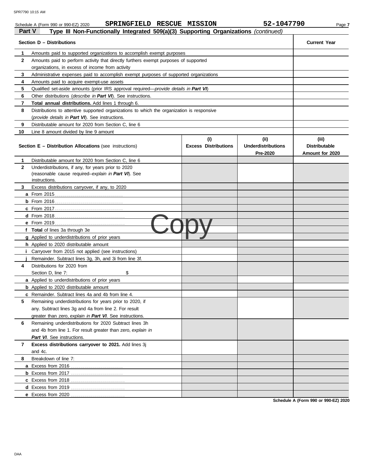|        | SPRINGFIELD RESCUE MISSION<br>Schedule A (Form 990 or 990-EZ) 2020                         |                                    | 52-1047790                                    | Page 7                                           |
|--------|--------------------------------------------------------------------------------------------|------------------------------------|-----------------------------------------------|--------------------------------------------------|
| Part V | Type III Non-Functionally Integrated 509(a)(3) Supporting Organizations (continued)        |                                    |                                               |                                                  |
|        | Section D – Distributions                                                                  |                                    |                                               | <b>Current Year</b>                              |
| 1      | Amounts paid to supported organizations to accomplish exempt purposes                      |                                    |                                               |                                                  |
| 2      | Amounts paid to perform activity that directly furthers exempt purposes of supported       |                                    |                                               |                                                  |
|        | organizations, in excess of income from activity                                           |                                    |                                               |                                                  |
| 3      | Administrative expenses paid to accomplish exempt purposes of supported organizations      |                                    |                                               |                                                  |
| 4      | Amounts paid to acquire exempt-use assets                                                  |                                    |                                               |                                                  |
| 5      | Qualified set-aside amounts (prior IRS approval required—provide details in Part VI)       |                                    |                                               |                                                  |
| 6      | Other distributions (describe in Part VI). See instructions.                               |                                    |                                               |                                                  |
| 7      | Total annual distributions. Add lines 1 through 6.                                         |                                    |                                               |                                                  |
| 8      | Distributions to attentive supported organizations to which the organization is responsive |                                    |                                               |                                                  |
|        | (provide details in Part VI). See instructions.                                            |                                    |                                               |                                                  |
| 9      | Distributable amount for 2020 from Section C, line 6                                       |                                    |                                               |                                                  |
| 10     | Line 8 amount divided by line 9 amount                                                     |                                    |                                               |                                                  |
|        | <b>Section E - Distribution Allocations (see instructions)</b>                             | (i)<br><b>Excess Distributions</b> | (ii)<br><b>Underdistributions</b><br>Pre-2020 | (iii)<br><b>Distributable</b><br>Amount for 2020 |
| 1      | Distributable amount for 2020 from Section C, line 6                                       |                                    |                                               |                                                  |
| 2      | Underdistributions, if any, for years prior to 2020                                        |                                    |                                               |                                                  |
|        | (reasonable cause required-explain in Part VI). See                                        |                                    |                                               |                                                  |
|        | instructions.                                                                              |                                    |                                               |                                                  |
| 3      | Excess distributions carryover, if any, to 2020                                            |                                    |                                               |                                                  |
|        |                                                                                            |                                    |                                               |                                                  |
|        |                                                                                            |                                    |                                               |                                                  |
|        |                                                                                            |                                    |                                               |                                                  |
|        |                                                                                            |                                    |                                               |                                                  |
|        |                                                                                            |                                    |                                               |                                                  |
|        | f Total of lines 3a through 3e                                                             |                                    |                                               |                                                  |
|        | g Applied to underdistributions of prior years                                             |                                    |                                               |                                                  |
|        | h Applied to 2020 distributable amount                                                     |                                    |                                               |                                                  |
|        | Carryover from 2015 not applied (see instructions)                                         |                                    |                                               |                                                  |
|        | Remainder. Subtract lines 3q, 3h, and 3i from line 3f.                                     |                                    |                                               |                                                  |
| 4      | Distributions for 2020 from                                                                |                                    |                                               |                                                  |
|        | \$<br>Section D, line 7:                                                                   |                                    |                                               |                                                  |
|        | a Applied to underdistributions of prior years                                             |                                    |                                               |                                                  |
|        | <b>b</b> Applied to 2020 distributable amount                                              |                                    |                                               |                                                  |
|        | c Remainder. Subtract lines 4a and 4b from line 4.                                         |                                    |                                               |                                                  |
| 5      | Remaining underdistributions for years prior to 2020, if                                   |                                    |                                               |                                                  |
|        | any. Subtract lines 3g and 4a from line 2. For result                                      |                                    |                                               |                                                  |
|        | greater than zero, explain in Part VI. See instructions.                                   |                                    |                                               |                                                  |
| 6      | Remaining underdistributions for 2020 Subtract lines 3h                                    |                                    |                                               |                                                  |
|        | and 4b from line 1. For result greater than zero, explain in                               |                                    |                                               |                                                  |
|        | Part VI. See instructions.                                                                 |                                    |                                               |                                                  |
| 7      | Excess distributions carryover to 2021. Add lines 3j                                       |                                    |                                               |                                                  |
|        | and 4c.                                                                                    |                                    |                                               |                                                  |
| 8      | Breakdown of line 7:                                                                       |                                    |                                               |                                                  |
|        | <b>a</b> Excess from 2016                                                                  |                                    |                                               |                                                  |
|        |                                                                                            |                                    |                                               |                                                  |
|        | c Excess from 2018.                                                                        |                                    |                                               |                                                  |
|        | d Excess from 2019.                                                                        |                                    |                                               |                                                  |
|        | e Excess from 2020                                                                         |                                    |                                               |                                                  |

**Schedule A (Form 990 or 990-EZ) 2020**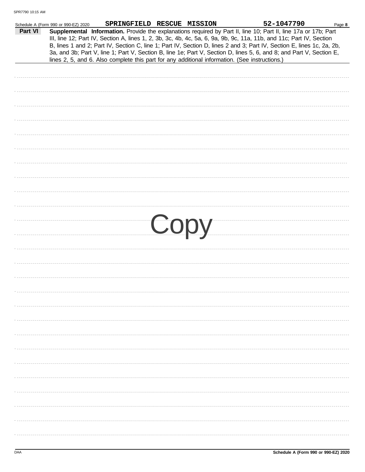|         | Schedule A (Form 990 or 990-EZ) 2020 | SPRINGFIELD RESCUE MISSION                                                                     |  | 52-1047790                                                                                                                                                                                                                                                                                                                                                                                                                                                                                | Page 8 |
|---------|--------------------------------------|------------------------------------------------------------------------------------------------|--|-------------------------------------------------------------------------------------------------------------------------------------------------------------------------------------------------------------------------------------------------------------------------------------------------------------------------------------------------------------------------------------------------------------------------------------------------------------------------------------------|--------|
| Part VI |                                      | lines 2, 5, and 6. Also complete this part for any additional information. (See instructions.) |  | Supplemental Information. Provide the explanations required by Part II, line 10; Part II, line 17a or 17b; Part<br>III, line 12; Part IV, Section A, lines 1, 2, 3b, 3c, 4b, 4c, 5a, 6, 9a, 9b, 9c, 11a, 11b, and 11c; Part IV, Section<br>B, lines 1 and 2; Part IV, Section C, line 1; Part IV, Section D, lines 2 and 3; Part IV, Section E, lines 1c, 2a, 2b,<br>3a, and 3b; Part V, line 1; Part V, Section B, line 1e; Part V, Section D, lines 5, 6, and 8; and Part V, Section E, |        |
|         |                                      |                                                                                                |  |                                                                                                                                                                                                                                                                                                                                                                                                                                                                                           |        |
|         |                                      |                                                                                                |  |                                                                                                                                                                                                                                                                                                                                                                                                                                                                                           |        |
|         |                                      |                                                                                                |  |                                                                                                                                                                                                                                                                                                                                                                                                                                                                                           |        |
|         |                                      |                                                                                                |  |                                                                                                                                                                                                                                                                                                                                                                                                                                                                                           |        |
|         |                                      |                                                                                                |  |                                                                                                                                                                                                                                                                                                                                                                                                                                                                                           |        |
|         |                                      |                                                                                                |  |                                                                                                                                                                                                                                                                                                                                                                                                                                                                                           |        |
|         |                                      |                                                                                                |  |                                                                                                                                                                                                                                                                                                                                                                                                                                                                                           |        |
|         |                                      |                                                                                                |  |                                                                                                                                                                                                                                                                                                                                                                                                                                                                                           |        |
|         |                                      |                                                                                                |  |                                                                                                                                                                                                                                                                                                                                                                                                                                                                                           |        |
|         |                                      |                                                                                                |  |                                                                                                                                                                                                                                                                                                                                                                                                                                                                                           |        |
|         |                                      |                                                                                                |  |                                                                                                                                                                                                                                                                                                                                                                                                                                                                                           |        |
|         |                                      |                                                                                                |  |                                                                                                                                                                                                                                                                                                                                                                                                                                                                                           |        |
|         |                                      |                                                                                                |  |                                                                                                                                                                                                                                                                                                                                                                                                                                                                                           |        |
|         |                                      |                                                                                                |  |                                                                                                                                                                                                                                                                                                                                                                                                                                                                                           |        |
|         |                                      |                                                                                                |  |                                                                                                                                                                                                                                                                                                                                                                                                                                                                                           |        |
|         |                                      |                                                                                                |  |                                                                                                                                                                                                                                                                                                                                                                                                                                                                                           |        |
|         |                                      |                                                                                                |  |                                                                                                                                                                                                                                                                                                                                                                                                                                                                                           |        |
|         |                                      |                                                                                                |  |                                                                                                                                                                                                                                                                                                                                                                                                                                                                                           |        |
|         |                                      |                                                                                                |  | Copy                                                                                                                                                                                                                                                                                                                                                                                                                                                                                      |        |
|         |                                      |                                                                                                |  |                                                                                                                                                                                                                                                                                                                                                                                                                                                                                           |        |
|         |                                      |                                                                                                |  |                                                                                                                                                                                                                                                                                                                                                                                                                                                                                           |        |
|         |                                      |                                                                                                |  |                                                                                                                                                                                                                                                                                                                                                                                                                                                                                           |        |
|         |                                      |                                                                                                |  |                                                                                                                                                                                                                                                                                                                                                                                                                                                                                           |        |
|         |                                      |                                                                                                |  |                                                                                                                                                                                                                                                                                                                                                                                                                                                                                           |        |
|         |                                      |                                                                                                |  |                                                                                                                                                                                                                                                                                                                                                                                                                                                                                           |        |
|         |                                      |                                                                                                |  |                                                                                                                                                                                                                                                                                                                                                                                                                                                                                           |        |
|         |                                      |                                                                                                |  |                                                                                                                                                                                                                                                                                                                                                                                                                                                                                           |        |
|         |                                      |                                                                                                |  |                                                                                                                                                                                                                                                                                                                                                                                                                                                                                           |        |
|         |                                      |                                                                                                |  |                                                                                                                                                                                                                                                                                                                                                                                                                                                                                           |        |
|         |                                      |                                                                                                |  |                                                                                                                                                                                                                                                                                                                                                                                                                                                                                           |        |
|         |                                      |                                                                                                |  |                                                                                                                                                                                                                                                                                                                                                                                                                                                                                           |        |
|         |                                      |                                                                                                |  |                                                                                                                                                                                                                                                                                                                                                                                                                                                                                           |        |
|         |                                      |                                                                                                |  |                                                                                                                                                                                                                                                                                                                                                                                                                                                                                           |        |
|         |                                      |                                                                                                |  |                                                                                                                                                                                                                                                                                                                                                                                                                                                                                           |        |
|         |                                      |                                                                                                |  |                                                                                                                                                                                                                                                                                                                                                                                                                                                                                           |        |
|         |                                      |                                                                                                |  |                                                                                                                                                                                                                                                                                                                                                                                                                                                                                           |        |
|         |                                      |                                                                                                |  |                                                                                                                                                                                                                                                                                                                                                                                                                                                                                           |        |
|         |                                      |                                                                                                |  |                                                                                                                                                                                                                                                                                                                                                                                                                                                                                           |        |
|         |                                      |                                                                                                |  |                                                                                                                                                                                                                                                                                                                                                                                                                                                                                           |        |
|         |                                      |                                                                                                |  |                                                                                                                                                                                                                                                                                                                                                                                                                                                                                           |        |
|         |                                      |                                                                                                |  |                                                                                                                                                                                                                                                                                                                                                                                                                                                                                           |        |
|         |                                      |                                                                                                |  |                                                                                                                                                                                                                                                                                                                                                                                                                                                                                           |        |
|         |                                      |                                                                                                |  |                                                                                                                                                                                                                                                                                                                                                                                                                                                                                           |        |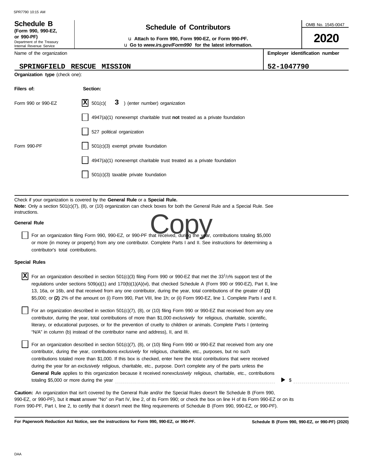# **Schedule of Contributors Schedule B**

**or 990-PF)** u **Attach to Form 990, Form 990-EZ, or Form 990-PF.** u **Go to** *www.irs.gov/Form990* **for the latest information.** OMB No. 1545-0047

**2020**

**Employer identification number**

**SPRINGFIELD RESCUE MISSION 52-1047790** 

| JUINJUUL U<br>(Form 990, 990-EZ,<br>or 990-PF)<br>Department of the Treasury |                      |
|------------------------------------------------------------------------------|----------------------|
| Internal Revenue Service<br>Name of the organization                         |                      |
| SPRINGFIELD                                                                  | RESCUE MISSI         |
| <b>Organization type</b> (check one):                                        |                      |
| Filers of:                                                                   | Section:             |
| Form 990 or 990-EZ                                                           | 501(c)<br>х<br>3     |
|                                                                              | 4947(a)(1) nor       |
|                                                                              | 527 political or     |
| $E_{\alpha r}$ 000 DE                                                        | $E(1/\sqrt{2})$ avon |

| Form 990 or 990-EZ | $ \mathbf{X} $ 501(c)( 3 ) (enter number) organization                    |
|--------------------|---------------------------------------------------------------------------|
|                    | 4947(a)(1) nonexempt charitable trust not treated as a private foundation |
|                    | 527 political organization                                                |
| Form 990-PF        | $501(c)(3)$ exempt private foundation                                     |
|                    | 4947(a)(1) nonexempt charitable trust treated as a private foundation     |
|                    | $501(c)(3)$ taxable private foundation                                    |

Check if your organization is covered by the **General Rule** or a **Special Rule. Note:** Only a section 501(c)(7), (8), or (10) organization can check boxes for both the General Rule and a Special Rule. See instructions.

#### **General Rule**

For an organization filing Form 990, 990-EZ, or 990-PF that received, during the year, contributions totaling \$5,000<br>For an organization filing Form 990, 990-EZ, or 990-PF that received, during the year, contributions tota or more (in money or property) from any one contributor. Complete Parts I and II. See instructions for determining a contributor's total contributions.

#### **Special Rules**

| X<br>For an organization described in section 501(c)(3) filing Form 990 or 990-EZ that met the 331/3% support test of the<br>regulations under sections $509(a)(1)$ and $170(b)(1)(A)(vi)$ , that checked Schedule A (Form 990 or 990-EZ), Part II, line<br>13, 16a, or 16b, and that received from any one contributor, during the year, total contributions of the greater of (1)                                                                                                                                                                                                                                                                             |  |
|-----------------------------------------------------------------------------------------------------------------------------------------------------------------------------------------------------------------------------------------------------------------------------------------------------------------------------------------------------------------------------------------------------------------------------------------------------------------------------------------------------------------------------------------------------------------------------------------------------------------------------------------------------------------|--|
| \$5,000; or (2) 2% of the amount on (i) Form 990, Part VIII, line 1h; or (ii) Form 990-EZ, line 1. Complete Parts I and II.<br>For an organization described in section 501(c)(7), (8), or (10) filing Form 990 or 990-EZ that received from any one<br>contributor, during the year, total contributions of more than \$1,000 exclusively for religious, charitable, scientific,<br>literary, or educational purposes, or for the prevention of cruelty to children or animals. Complete Parts I (entering<br>"N/A" in column (b) instead of the contributor name and address), II, and III.                                                                   |  |
| For an organization described in section 501(c)(7), (8), or (10) filing Form 990 or 990-EZ that received from any one<br>contributor, during the year, contributions exclusively for religious, charitable, etc., purposes, but no such<br>contributions totaled more than \$1,000. If this box is checked, enter here the total contributions that were received<br>during the year for an exclusively religious, charitable, etc., purpose. Don't complete any of the parts unless the<br>General Rule applies to this organization because it received nonexclusively religious, charitable, etc., contributions<br>totaling \$5,000 or more during the year |  |
| <b>Caution:</b> An organization that isn't covered by the General Rule and/or the Special Rules doesn't file Schedule B (Form 990,                                                                                                                                                                                                                                                                                                                                                                                                                                                                                                                              |  |

Form 990-PF, Part I, line 2, to certify that it doesn't meet the filing requirements of Schedule B (Form 990, 990-EZ, or 990-PF).

990-EZ, or 990-PF), but it **must** answer "No" on Part IV, line 2, of its Form 990; or check the box on line H of its Form 990-EZ or on its

**For Paperwork Reduction Act Notice, see the instructions for Form 990, 990-EZ, or 990-PF.**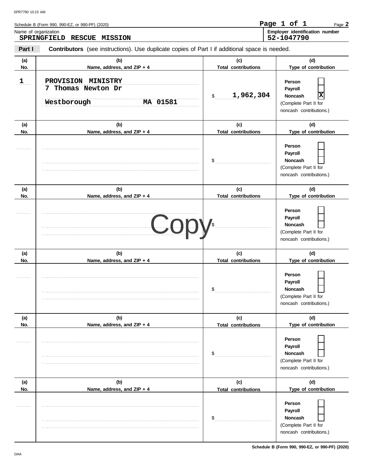|              | Schedule B (Form 990, 990-EZ, or 990-PF) (2020)                                                |                                   | Page 1 of 1<br>Page 2                                                                   |
|--------------|------------------------------------------------------------------------------------------------|-----------------------------------|-----------------------------------------------------------------------------------------|
|              | Name of organization<br><b>SPRINGFIELD</b><br><b>RESCUE</b><br><b>MISSION</b>                  |                                   | Employer identification number<br>52-1047790                                            |
| Part I       | Contributors (see instructions). Use duplicate copies of Part I if additional space is needed. |                                   |                                                                                         |
| (a)<br>No.   | (b)<br>Name, address, and ZIP + 4                                                              | (c)<br><b>Total contributions</b> | (d)<br>Type of contribution                                                             |
| $\mathbf{1}$ | PROVISION MINISTRY<br>7 Thomas Newton Dr<br>Westborough<br>MA 01581                            | 1,962,304<br>\$                   | Person<br>Payroll<br> x<br>Noncash<br>(Complete Part II for<br>noncash contributions.)  |
| (a)          | (b)                                                                                            | (c)                               | (d)                                                                                     |
| No.          | Name, address, and ZIP + 4                                                                     | <b>Total contributions</b>        | Type of contribution                                                                    |
|              |                                                                                                | \$                                | Person<br>Payroll<br><b>Noncash</b><br>(Complete Part II for<br>noncash contributions.) |
| (a)          | (b)                                                                                            | (c)                               | (d)                                                                                     |
| No.          | Name, address, and ZIP + 4                                                                     | <b>Total contributions</b>        | Type of contribution                                                                    |
|              | Cop                                                                                            |                                   | Person<br>Payroll<br><b>Noncash</b><br>(Complete Part II for<br>noncash contributions.) |
| (a)          | (b)                                                                                            | (c)                               | (d)                                                                                     |
| No.          | Name, address, and ZIP + 4                                                                     | <b>Total contributions</b>        | Type of contribution                                                                    |
|              |                                                                                                | $\mathsf{S}_{\text{max}}$         | Person<br>Payroll<br>Noncash<br>(Complete Part II for<br>noncash contributions.)        |
| (a)          | (b)                                                                                            | (c)                               | (d)                                                                                     |
| No.          | Name, address, and ZIP + 4                                                                     | <b>Total contributions</b>        | Type of contribution                                                                    |
|              |                                                                                                | \$                                | Person<br>Payroll<br><b>Noncash</b><br>(Complete Part II for<br>noncash contributions.) |
| (a)          | (b)                                                                                            | (c)                               | (d)                                                                                     |
| No.          | Name, address, and ZIP + 4                                                                     | <b>Total contributions</b>        | Type of contribution                                                                    |
|              |                                                                                                | \$                                | Person<br>Payroll<br><b>Noncash</b><br>(Complete Part II for<br>noncash contributions.) |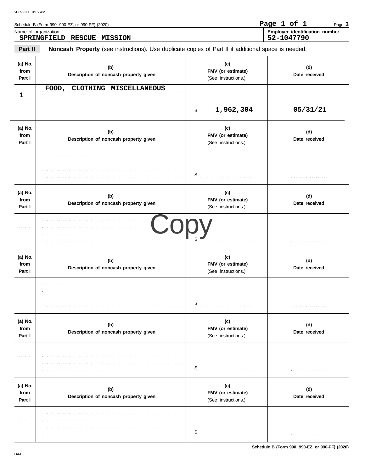|                           | Schedule B (Form 990, 990-EZ, or 990-PF) (2020)                                                     |                                                 | Page 1 of 1<br>Page 3                        |
|---------------------------|-----------------------------------------------------------------------------------------------------|-------------------------------------------------|----------------------------------------------|
| Name of organization      | SPRINGFIELD<br>RESCUE MISSION                                                                       |                                                 | Employer identification number<br>52-1047790 |
| Part II                   | Noncash Property (see instructions). Use duplicate copies of Part II if additional space is needed. |                                                 |                                              |
| (a) No.<br>from<br>Part I | (b)<br>Description of noncash property given                                                        | (c)<br>FMV (or estimate)<br>(See instructions.) | (d)<br>Date received                         |
| 1                         | FOOD, CLOTHING MISCELLANEOUS                                                                        | 1,962,304<br>$\mathsf{\$}$                      | 05/31/21                                     |
| (a) No.<br>from<br>Part I | (b)<br>Description of noncash property given                                                        | (c)<br>FMV (or estimate)<br>(See instructions.) | (d)<br>Date received                         |
|                           |                                                                                                     | \$                                              | .                                            |
| (a) No.<br>from<br>Part I | (b)<br>Description of noncash property given                                                        | (c)<br>FMV (or estimate)<br>(See instructions.) | (d)<br>Date received                         |
| .                         |                                                                                                     |                                                 |                                              |
| (a) No.<br>from<br>Part I | (b)<br>Description of noncash property given                                                        | (c)<br>FMV (or estimate)<br>(See instructions.) | (d)<br>Date received                         |
|                           |                                                                                                     | \$                                              |                                              |
| (a) No.<br>from<br>Part I | (b)<br>Description of noncash property given                                                        | (c)<br>FMV (or estimate)<br>(See instructions.) | (d)<br>Date received                         |
|                           |                                                                                                     | \$                                              |                                              |
| (a) No.<br>from<br>Part I | (b)<br>Description of noncash property given                                                        | (c)<br>FMV (or estimate)<br>(See instructions.) | (d)<br>Date received                         |
|                           |                                                                                                     | \$                                              | .                                            |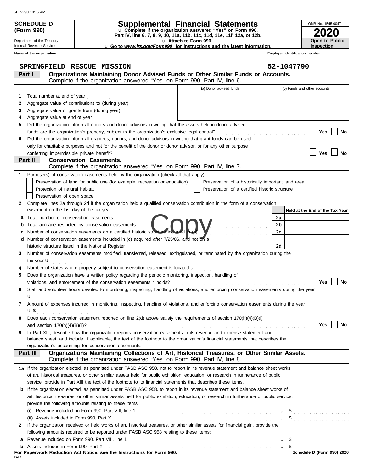**(Form 990)**

### **SCHEDULE D Supplemental Financial Statements**

**Part IV, line 6, 7, 8, 9, 10, 11a, 11b, 11c, 11d, 11e, 11f, 12a, or 12b.** u **Complete if the organization answered "Yes" on Form 990,**

u **Attach to Form 990.** 

**2020** OMB No. 1545-0047 **Open to Public Inspection**

**Employer identification number**

| <b>u</b> Go to <i>www.irs.gov/Form990</i> for instructions and the latest information. |  |  |  |
|----------------------------------------------------------------------------------------|--|--|--|
|                                                                                        |  |  |  |

Internal Revenue Service **Name of the organization**

Department of the Treasury

|              | SPRINGFIELD RESCUE MISSION                                                                                                                                                                                                                          |                                                    | 52-1047790                      |
|--------------|-----------------------------------------------------------------------------------------------------------------------------------------------------------------------------------------------------------------------------------------------------|----------------------------------------------------|---------------------------------|
|              | Organizations Maintaining Donor Advised Funds or Other Similar Funds or Accounts.<br>Part I                                                                                                                                                         |                                                    |                                 |
|              | Complete if the organization answered "Yes" on Form 990, Part IV, line 6.                                                                                                                                                                           |                                                    |                                 |
|              |                                                                                                                                                                                                                                                     | (a) Donor advised funds                            | (b) Funds and other accounts    |
| 1            | Total number at end of year                                                                                                                                                                                                                         |                                                    |                                 |
| 2            | Aggregate value of contributions to (during year)                                                                                                                                                                                                   |                                                    |                                 |
| З            |                                                                                                                                                                                                                                                     | the control of the control of the control of the   |                                 |
| 4            | Aggregate value at end of year                                                                                                                                                                                                                      |                                                    |                                 |
| 5            | Did the organization inform all donors and donor advisors in writing that the assets held in donor advised                                                                                                                                          |                                                    |                                 |
|              |                                                                                                                                                                                                                                                     |                                                    | Yes<br>No                       |
| 6            | Did the organization inform all grantees, donors, and donor advisors in writing that grant funds can be used                                                                                                                                        |                                                    |                                 |
|              | only for charitable purposes and not for the benefit of the donor or donor advisor, or for any other purpose                                                                                                                                        |                                                    |                                 |
|              |                                                                                                                                                                                                                                                     |                                                    | <b>Yes</b><br>No                |
|              | <b>Conservation Easements.</b><br>Part II                                                                                                                                                                                                           |                                                    |                                 |
|              | Complete if the organization answered "Yes" on Form 990, Part IV, line 7.                                                                                                                                                                           |                                                    |                                 |
| 1            | Purpose(s) of conservation easements held by the organization (check all that apply).                                                                                                                                                               |                                                    |                                 |
|              | Preservation of land for public use (for example, recreation or education)                                                                                                                                                                          | Preservation of a historically important land area |                                 |
|              | Protection of natural habitat                                                                                                                                                                                                                       | Preservation of a certified historic structure     |                                 |
|              | Preservation of open space                                                                                                                                                                                                                          |                                                    |                                 |
| $\mathbf{2}$ | Complete lines 2a through 2d if the organization held a qualified conservation contribution in the form of a conservation<br>easement on the last day of the tax year.                                                                              |                                                    |                                 |
|              |                                                                                                                                                                                                                                                     |                                                    | Held at the End of the Tax Year |
| a            |                                                                                                                                                                                                                                                     |                                                    | 2a                              |
| b            | Total acreage restricted by conservation easements<br>Number of conservation easements on a certified historic structure included                                                                                                                   |                                                    | 2 <sub>b</sub><br>2c            |
| с            | Number of conservation easements included in (c) acquired after 7/25/06, and not on a                                                                                                                                                               |                                                    |                                 |
| d            | historic structure listed in the National Register                                                                                                                                                                                                  |                                                    | 2d                              |
| 3            | Number of conservation easements modified, transferred, released, extinguished, or terminated by the organization during the                                                                                                                        |                                                    |                                 |
|              | tax year $\mathbf u$                                                                                                                                                                                                                                |                                                    |                                 |
|              | Number of states where property subject to conservation easement is located $\mathbf{u}$                                                                                                                                                            |                                                    |                                 |
| 5            | Does the organization have a written policy regarding the periodic monitoring, inspection, handling of                                                                                                                                              |                                                    |                                 |
|              |                                                                                                                                                                                                                                                     |                                                    | Yes<br>No                       |
| 6            | Staff and volunteer hours devoted to monitoring, inspecting, handling of violations, and enforcing conservation easements during the year                                                                                                           |                                                    |                                 |
|              | u <sub></sub> .                                                                                                                                                                                                                                     |                                                    |                                 |
| 7            | Amount of expenses incurred in monitoring, inspecting, handling of violations, and enforcing conservation easements during the year                                                                                                                 |                                                    |                                 |
|              | $\mathbf{u}$                                                                                                                                                                                                                                        |                                                    |                                 |
|              | Does each conservation easement reported on line $2(d)$ above satisfy the requirements of section $170(h)(4)(B)(i)$                                                                                                                                 |                                                    |                                 |
|              | and section $170(h)(4)(B)(ii)?$                                                                                                                                                                                                                     |                                                    | Yes<br>No                       |
| 9            | In Part XIII, describe how the organization reports conservation easements in its revenue and expense statement and                                                                                                                                 |                                                    |                                 |
|              | balance sheet, and include, if applicable, the text of the footnote to the organization's financial statements that describes the                                                                                                                   |                                                    |                                 |
|              | organization's accounting for conservation easements.                                                                                                                                                                                               |                                                    |                                 |
|              | Organizations Maintaining Collections of Art, Historical Treasures, or Other Similar Assets.<br>Part III<br>Complete if the organization answered "Yes" on Form 990, Part IV, line 8.                                                               |                                                    |                                 |
|              |                                                                                                                                                                                                                                                     |                                                    |                                 |
|              | 1a If the organization elected, as permitted under FASB ASC 958, not to report in its revenue statement and balance sheet works                                                                                                                     |                                                    |                                 |
|              | of art, historical treasures, or other similar assets held for public exhibition, education, or research in furtherance of public<br>service, provide in Part XIII the text of the footnote to its financial statements that describes these items. |                                                    |                                 |
|              | If the organization elected, as permitted under FASB ASC 958, to report in its revenue statement and balance sheet works of                                                                                                                         |                                                    |                                 |
| b            | art, historical treasures, or other similar assets held for public exhibition, education, or research in furtherance of public service,                                                                                                             |                                                    |                                 |
|              | provide the following amounts relating to these items:                                                                                                                                                                                              |                                                    |                                 |
|              |                                                                                                                                                                                                                                                     |                                                    |                                 |
|              |                                                                                                                                                                                                                                                     |                                                    |                                 |
| 2            | If the organization received or held works of art, historical treasures, or other similar assets for financial gain, provide the                                                                                                                    |                                                    |                                 |
|              | following amounts required to be reported under FASB ASC 958 relating to these items:                                                                                                                                                               |                                                    |                                 |
| а            |                                                                                                                                                                                                                                                     |                                                    |                                 |
| b            |                                                                                                                                                                                                                                                     |                                                    | u <sub>s</sub>                  |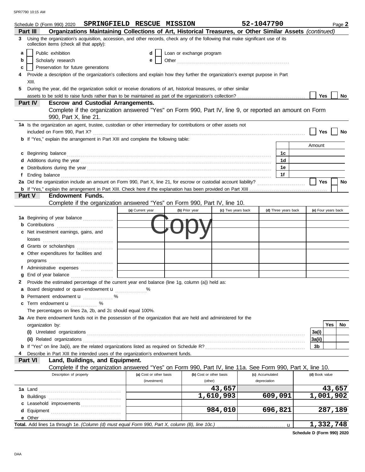|   | Schedule D (Form 990) 2020 SPRINGFIELD RESCUE MISSION                                                                                                                                                                                |                         |                          |                    | 52-1047790      |                      |                | Page 2              |
|---|--------------------------------------------------------------------------------------------------------------------------------------------------------------------------------------------------------------------------------------|-------------------------|--------------------------|--------------------|-----------------|----------------------|----------------|---------------------|
|   | Organizations Maintaining Collections of Art, Historical Treasures, or Other Similar Assets (continued)<br>Part III                                                                                                                  |                         |                          |                    |                 |                      |                |                     |
| 3 | Using the organization's acquisition, accession, and other records, check any of the following that make significant use of its<br>collection items (check all that apply):                                                          |                         |                          |                    |                 |                      |                |                     |
| a | Public exhibition                                                                                                                                                                                                                    | d                       | Loan or exchange program |                    |                 |                      |                |                     |
| b | Scholarly research                                                                                                                                                                                                                   | е                       |                          |                    |                 |                      |                |                     |
| c | Preservation for future generations                                                                                                                                                                                                  |                         |                          |                    |                 |                      |                |                     |
| 4 | Provide a description of the organization's collections and explain how they further the organization's exempt purpose in Part<br>XIII.                                                                                              |                         |                          |                    |                 |                      |                |                     |
| 5 | During the year, did the organization solicit or receive donations of art, historical treasures, or other similar                                                                                                                    |                         |                          |                    |                 |                      |                |                     |
|   |                                                                                                                                                                                                                                      |                         |                          |                    |                 |                      | Yes            | No.                 |
|   | <b>Escrow and Custodial Arrangements.</b><br><b>Part IV</b>                                                                                                                                                                          |                         |                          |                    |                 |                      |                |                     |
|   | Complete if the organization answered "Yes" on Form 990, Part IV, line 9, or reported an amount on Form<br>990, Part X, line 21.                                                                                                     |                         |                          |                    |                 |                      |                |                     |
|   | 1a Is the organization an agent, trustee, custodian or other intermediary for contributions or other assets not                                                                                                                      |                         |                          |                    |                 |                      |                |                     |
|   |                                                                                                                                                                                                                                      |                         |                          |                    |                 |                      | Yes            | No                  |
|   | <b>b</b> If "Yes," explain the arrangement in Part XIII and complete the following table:                                                                                                                                            |                         |                          |                    |                 |                      |                |                     |
|   |                                                                                                                                                                                                                                      |                         |                          |                    |                 |                      | Amount         |                     |
|   | c Beginning balance <b>contract to the contract of the set of the contract of the contract of the contract of the contract of the contract of the contract of the contract of the contract of the contract of the contract of th</b> |                         |                          |                    |                 | 1c                   |                |                     |
|   |                                                                                                                                                                                                                                      |                         |                          |                    |                 | 1d                   |                |                     |
|   |                                                                                                                                                                                                                                      |                         |                          |                    |                 | 1е                   |                |                     |
|   |                                                                                                                                                                                                                                      |                         |                          |                    |                 | 1f                   |                |                     |
|   |                                                                                                                                                                                                                                      |                         |                          |                    |                 |                      | Yes            | No                  |
|   |                                                                                                                                                                                                                                      |                         |                          |                    |                 |                      |                |                     |
|   | Part V<br><b>Endowment Funds.</b>                                                                                                                                                                                                    |                         |                          |                    |                 |                      |                |                     |
|   | Complete if the organization answered "Yes" on Form 990, Part IV, line 10.                                                                                                                                                           |                         |                          |                    |                 |                      |                |                     |
|   |                                                                                                                                                                                                                                      | (a) Current year        | (b) Prior year           | (c) Two years back |                 | (d) Three years back |                | (e) Four years back |
|   | 1a Beginning of year balance                                                                                                                                                                                                         |                         |                          |                    |                 |                      |                |                     |
|   | <b>b</b> Contributions <b>contributions</b>                                                                                                                                                                                          |                         |                          |                    |                 |                      |                |                     |
|   | c Net investment earnings, gains, and                                                                                                                                                                                                |                         |                          |                    |                 |                      |                |                     |
|   | losses                                                                                                                                                                                                                               |                         |                          |                    |                 |                      |                |                     |
|   | d Grants or scholarships                                                                                                                                                                                                             |                         |                          |                    |                 |                      |                |                     |
|   | e Other expenditures for facilities and                                                                                                                                                                                              |                         |                          |                    |                 |                      |                |                     |
|   |                                                                                                                                                                                                                                      |                         |                          |                    |                 |                      |                |                     |
|   |                                                                                                                                                                                                                                      |                         |                          |                    |                 |                      |                |                     |
|   | f Administrative expenses                                                                                                                                                                                                            |                         |                          |                    |                 |                      |                |                     |
|   | g End of year balance                                                                                                                                                                                                                |                         |                          |                    |                 |                      |                |                     |
|   | 2 Provide the estimated percentage of the current year end balance (line 1g, column (a)) held as:                                                                                                                                    |                         |                          |                    |                 |                      |                |                     |
|   | a Board designated or quasi-endowment u                                                                                                                                                                                              |                         |                          |                    |                 |                      |                |                     |
|   | <b>b</b> Permanent endowment <b>u</b> %                                                                                                                                                                                              |                         |                          |                    |                 |                      |                |                     |
|   | c Term endowment <b>u</b> %                                                                                                                                                                                                          |                         |                          |                    |                 |                      |                |                     |
|   | The percentages on lines 2a, 2b, and 2c should equal 100%.                                                                                                                                                                           |                         |                          |                    |                 |                      |                |                     |
|   | 3a Are there endowment funds not in the possession of the organization that are held and administered for the                                                                                                                        |                         |                          |                    |                 |                      |                |                     |
|   | organization by:                                                                                                                                                                                                                     |                         |                          |                    |                 |                      |                | <b>Yes</b><br>No    |
|   |                                                                                                                                                                                                                                      |                         |                          |                    |                 |                      | 3a(i)          |                     |
|   | (ii) Related organizations <b>constants</b> and constant of the constant of the constant of the constant of the constant of the constant of the constant of the constant of the constant of the constant of the constant of the con  |                         |                          |                    |                 |                      | 3a(ii)         |                     |
|   |                                                                                                                                                                                                                                      |                         |                          |                    |                 |                      | 3b             |                     |
|   | Describe in Part XIII the intended uses of the organization's endowment funds.                                                                                                                                                       |                         |                          |                    |                 |                      |                |                     |
|   | Land, Buildings, and Equipment.<br>Part VI                                                                                                                                                                                           |                         |                          |                    |                 |                      |                |                     |
|   | Complete if the organization answered "Yes" on Form 990, Part IV, line 11a. See Form 990, Part X, line 10.                                                                                                                           |                         |                          |                    |                 |                      |                |                     |
|   | Description of property                                                                                                                                                                                                              | (a) Cost or other basis | (b) Cost or other basis  |                    | (c) Accumulated |                      | (d) Book value |                     |
|   |                                                                                                                                                                                                                                      | (investment)            | (other)                  |                    | depreciation    |                      |                |                     |
|   |                                                                                                                                                                                                                                      |                         |                          | 43,657             |                 |                      |                | 43,657              |
|   |                                                                                                                                                                                                                                      |                         |                          | 1,610,993          |                 | 609,091              |                | 1,001,902           |
|   | c Leasehold improvements                                                                                                                                                                                                             |                         |                          |                    |                 |                      |                |                     |
|   |                                                                                                                                                                                                                                      |                         |                          | 984,010            |                 | 696,821              |                | 287,189             |
|   |                                                                                                                                                                                                                                      |                         |                          |                    |                 |                      |                |                     |
|   |                                                                                                                                                                                                                                      |                         |                          |                    |                 |                      |                | 1,332,748           |
|   |                                                                                                                                                                                                                                      |                         |                          |                    |                 |                      |                |                     |

**Schedule D (Form 990) 2020**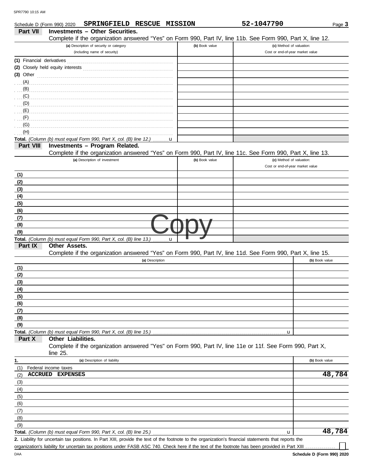|                           | SPRINGFIELD RESCUE MISSION<br>Schedule D (Form 990) 2020                                                                                             |                | 52-1047790                                                   | Page 3         |
|---------------------------|------------------------------------------------------------------------------------------------------------------------------------------------------|----------------|--------------------------------------------------------------|----------------|
| Part VII                  | <b>Investments - Other Securities.</b>                                                                                                               |                |                                                              |                |
|                           | Complete if the organization answered "Yes" on Form 990, Part IV, line 11b. See Form 990, Part X, line 12.                                           |                |                                                              |                |
|                           | (a) Description of security or category<br>(including name of security)                                                                              | (b) Book value | (c) Method of valuation:<br>Cost or end-of-year market value |                |
|                           |                                                                                                                                                      |                |                                                              |                |
| (1) Financial derivatives |                                                                                                                                                      |                |                                                              |                |
|                           |                                                                                                                                                      |                |                                                              |                |
|                           | $(3)$ Other                                                                                                                                          |                |                                                              |                |
|                           |                                                                                                                                                      |                |                                                              |                |
|                           | $\overline{y}(C)$                                                                                                                                    |                |                                                              |                |
|                           |                                                                                                                                                      |                |                                                              |                |
|                           |                                                                                                                                                      |                |                                                              |                |
|                           |                                                                                                                                                      |                |                                                              |                |
| (G)                       |                                                                                                                                                      |                |                                                              |                |
| (H)                       |                                                                                                                                                      |                |                                                              |                |
|                           | Total. (Column (b) must equal Form 990, Part X, col. (B) line 12.)<br>u                                                                              |                |                                                              |                |
| Part VIII                 | <b>Investments - Program Related.</b>                                                                                                                |                |                                                              |                |
|                           | Complete if the organization answered "Yes" on Form 990, Part IV, line 11c. See Form 990, Part X, line 13.                                           |                |                                                              |                |
|                           | (a) Description of investment                                                                                                                        | (b) Book value | (c) Method of valuation:                                     |                |
|                           |                                                                                                                                                      |                | Cost or end-of-year market value                             |                |
| (1)                       |                                                                                                                                                      |                |                                                              |                |
| (2)                       |                                                                                                                                                      |                |                                                              |                |
| (3)                       |                                                                                                                                                      |                |                                                              |                |
| (4)                       |                                                                                                                                                      |                |                                                              |                |
| (5)<br>(6)                |                                                                                                                                                      |                |                                                              |                |
| (7)                       |                                                                                                                                                      |                |                                                              |                |
| (8)                       |                                                                                                                                                      |                |                                                              |                |
| (9)                       |                                                                                                                                                      |                |                                                              |                |
|                           | Total. (Column (b) must equal Form 990, Part X, col. (B) line 13.)<br>u                                                                              |                |                                                              |                |
| Part IX                   | Other Assets.                                                                                                                                        |                |                                                              |                |
|                           | Complete if the organization answered "Yes" on Form 990, Part IV, line 11d. See Form 990, Part X, line 15.                                           |                |                                                              |                |
|                           | (a) Description                                                                                                                                      |                |                                                              | (b) Book value |
| (1)                       |                                                                                                                                                      |                |                                                              |                |
| (2)                       |                                                                                                                                                      |                |                                                              |                |
| (3)                       |                                                                                                                                                      |                |                                                              |                |
| (4)                       |                                                                                                                                                      |                |                                                              |                |
| (5)                       |                                                                                                                                                      |                |                                                              |                |
| (6)                       |                                                                                                                                                      |                |                                                              |                |
| (7)                       |                                                                                                                                                      |                |                                                              |                |
| (8)                       |                                                                                                                                                      |                |                                                              |                |
| (9)                       |                                                                                                                                                      |                |                                                              |                |
| Part X                    | Other Liabilities.                                                                                                                                   |                | u                                                            |                |
|                           | Complete if the organization answered "Yes" on Form 990, Part IV, line 11e or 11f. See Form 990, Part X,                                             |                |                                                              |                |
|                           | line $25$ .                                                                                                                                          |                |                                                              |                |
| 1.                        | (a) Description of liability                                                                                                                         |                |                                                              | (b) Book value |
| (1)                       | Federal income taxes                                                                                                                                 |                |                                                              |                |
| (2)                       | <b>ACCRUED EXPENSES</b>                                                                                                                              |                |                                                              | 48,784         |
| (3)                       |                                                                                                                                                      |                |                                                              |                |
| (4)                       |                                                                                                                                                      |                |                                                              |                |
| (5)                       |                                                                                                                                                      |                |                                                              |                |
| (6)                       |                                                                                                                                                      |                |                                                              |                |
| (7)                       |                                                                                                                                                      |                |                                                              |                |
| (8)                       |                                                                                                                                                      |                |                                                              |                |
| (9)                       |                                                                                                                                                      |                |                                                              |                |
|                           | Total. (Column (b) must equal Form 990, Part X, col. (B) line 25.)                                                                                   |                | u                                                            | 48,784         |
|                           | 2. Liability for uncertain tax positions. In Part XIII, provide the text of the footnote to the organization's financial statements that reports the |                |                                                              |                |
|                           | organization's liability for uncertain tax positions under FASB ASC 740. Check here if the text of the footnote has been provided in Part XIII       |                |                                                              |                |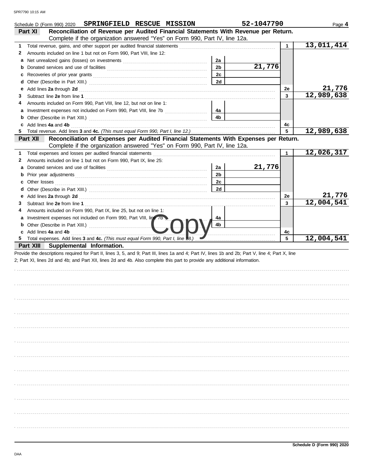|              | SPRINGFIELD RESCUE MISSION<br>Schedule D (Form 990) 2020                                                                                                                                                                                 |                      | 52-1047790 |              | Page 4     |
|--------------|------------------------------------------------------------------------------------------------------------------------------------------------------------------------------------------------------------------------------------------|----------------------|------------|--------------|------------|
|              | Reconciliation of Revenue per Audited Financial Statements With Revenue per Return.<br>Part XI                                                                                                                                           |                      |            |              |            |
|              | Complete if the organization answered "Yes" on Form 990, Part IV, line 12a.                                                                                                                                                              |                      |            |              | 13,011,414 |
| 1            | Total revenue, gains, and other support per audited financial statements [111][11][11][11][11][11][11][11][11]                                                                                                                           |                      |            | $\mathbf{1}$ |            |
| 2            | Amounts included on line 1 but not on Form 990, Part VIII, line 12:                                                                                                                                                                      |                      |            |              |            |
|              |                                                                                                                                                                                                                                          | 2a<br>2 <sub>b</sub> | 21,776     |              |            |
|              | <b>b</b> Donated services and use of facilities <b>constants</b> and the service of the service of the service of the service of the service of the service of the service of the service of the service of the service of the service o | 2c                   |            |              |            |
|              |                                                                                                                                                                                                                                          | 2d                   |            |              |            |
| е            |                                                                                                                                                                                                                                          |                      |            | 2е           | 21,776     |
| 3            |                                                                                                                                                                                                                                          |                      |            | 3            | 12,989,638 |
| 4            | Amounts included on Form 990, Part VIII, line 12, but not on line 1:                                                                                                                                                                     |                      |            |              |            |
|              |                                                                                                                                                                                                                                          | 4а                   |            |              |            |
|              |                                                                                                                                                                                                                                          | 4 <sub>b</sub>       |            |              |            |
|              | c Add lines 4a and 4b                                                                                                                                                                                                                    |                      |            | 4c           |            |
| 5.           |                                                                                                                                                                                                                                          |                      |            | 5            | 12,989,638 |
|              | Reconciliation of Expenses per Audited Financial Statements With Expenses per Return.<br>Part XII                                                                                                                                        |                      |            |              |            |
|              | Complete if the organization answered "Yes" on Form 990, Part IV, line 12a.                                                                                                                                                              |                      |            |              |            |
| 1            |                                                                                                                                                                                                                                          |                      |            | $\mathbf{1}$ | 12,026,317 |
| $\mathbf{2}$ | Amounts included on line 1 but not on Form 990, Part IX, line 25:                                                                                                                                                                        |                      |            |              |            |
|              |                                                                                                                                                                                                                                          | 2a                   | 21,776     |              |            |
|              |                                                                                                                                                                                                                                          | 2 <sub>b</sub>       |            |              |            |
|              | <b>c</b> Other losses                                                                                                                                                                                                                    | 2c                   |            |              |            |
|              |                                                                                                                                                                                                                                          | 2d                   |            |              |            |
|              |                                                                                                                                                                                                                                          |                      |            | 2e           | 21,776     |
| 3            |                                                                                                                                                                                                                                          |                      |            | 3            | 12,004,541 |
| 4            | Amounts included on Form 990, Part IX, line 25, but not on line 1:                                                                                                                                                                       |                      |            |              |            |
|              | a Investment expenses not included on Form 990, Part VIII, line 7b                                                                                                                                                                       | 4a                   |            |              |            |
|              |                                                                                                                                                                                                                                          | 4b                   |            |              |            |
|              | c Add lines 4a and 4b                                                                                                                                                                                                                    |                      |            | 4c           |            |
| 5            | Total expenses. Add lines 3 and 4c. (This must equal Form 990, Part I, line 48.)                                                                                                                                                         |                      |            | 5            | 12,004,541 |
|              | Part XIII Supplemental Information.                                                                                                                                                                                                      |                      |            |              |            |
|              | Provide the descriptions required for Part II, lines 3, 5, and 9; Part III, lines 1a and 4; Part IV, lines 1b and 2b; Part V, line 4; Part X, line                                                                                       |                      |            |              |            |
|              | 2; Part XI, lines 2d and 4b; and Part XII, lines 2d and 4b. Also complete this part to provide any additional information.                                                                                                               |                      |            |              |            |
|              |                                                                                                                                                                                                                                          |                      |            |              |            |
|              |                                                                                                                                                                                                                                          |                      |            |              |            |
|              |                                                                                                                                                                                                                                          |                      |            |              |            |
|              |                                                                                                                                                                                                                                          |                      |            |              |            |
|              |                                                                                                                                                                                                                                          |                      |            |              |            |
|              |                                                                                                                                                                                                                                          |                      |            |              |            |
|              |                                                                                                                                                                                                                                          |                      |            |              |            |
|              |                                                                                                                                                                                                                                          |                      |            |              |            |
|              |                                                                                                                                                                                                                                          |                      |            |              |            |
|              |                                                                                                                                                                                                                                          |                      |            |              |            |
|              |                                                                                                                                                                                                                                          |                      |            |              |            |
|              |                                                                                                                                                                                                                                          |                      |            |              |            |
|              |                                                                                                                                                                                                                                          |                      |            |              |            |
|              |                                                                                                                                                                                                                                          |                      |            |              |            |
|              |                                                                                                                                                                                                                                          |                      |            |              |            |
|              |                                                                                                                                                                                                                                          |                      |            |              |            |
|              |                                                                                                                                                                                                                                          |                      |            |              |            |
|              |                                                                                                                                                                                                                                          |                      |            |              |            |
|              |                                                                                                                                                                                                                                          |                      |            |              |            |
|              |                                                                                                                                                                                                                                          |                      |            |              |            |
|              |                                                                                                                                                                                                                                          |                      |            |              |            |
|              |                                                                                                                                                                                                                                          |                      |            |              |            |
|              |                                                                                                                                                                                                                                          |                      |            |              |            |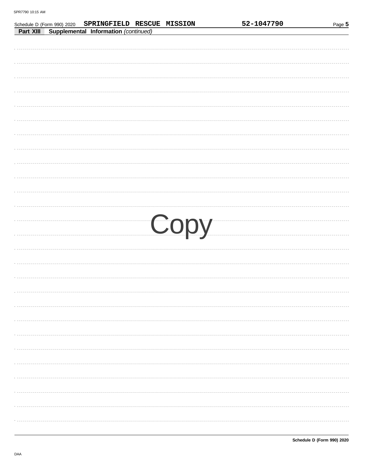| SPRINGFIELD RESCUE MISSION<br>Schedule D (Form 990) 2020 |  | 52-1047790 | Page 5 |
|----------------------------------------------------------|--|------------|--------|
| Supplemental Information (continued)<br>Part XIII        |  |            |        |
|                                                          |  |            |        |
|                                                          |  |            |        |
|                                                          |  |            |        |
|                                                          |  |            |        |
|                                                          |  |            |        |
|                                                          |  |            |        |
|                                                          |  |            |        |
|                                                          |  |            |        |
|                                                          |  |            |        |
|                                                          |  |            |        |
|                                                          |  |            |        |
|                                                          |  |            |        |
|                                                          |  |            |        |
|                                                          |  |            |        |
|                                                          |  |            |        |
|                                                          |  |            |        |
|                                                          |  |            |        |
|                                                          |  |            |        |
|                                                          |  |            |        |
|                                                          |  | Copy       |        |
|                                                          |  |            |        |
|                                                          |  |            |        |
|                                                          |  |            |        |
|                                                          |  |            |        |
|                                                          |  |            |        |
|                                                          |  |            |        |
|                                                          |  |            |        |
|                                                          |  |            |        |
|                                                          |  |            |        |
|                                                          |  |            |        |
|                                                          |  |            |        |
|                                                          |  |            |        |
|                                                          |  |            |        |
|                                                          |  |            |        |
|                                                          |  |            |        |
|                                                          |  |            |        |
|                                                          |  |            |        |
|                                                          |  |            |        |
|                                                          |  |            |        |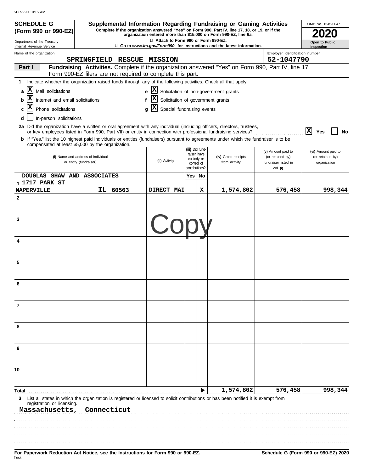| ואור <i>ו</i> שווער ועד די הא<br><b>SCHEDULE G</b>                                                                                                                                         |                                                              |                                                       |                                            |    | Supplemental Information Regarding Fundraising or Gaming Activities                                                                                                 |                                                      | OMB No. 1545-0047                |
|--------------------------------------------------------------------------------------------------------------------------------------------------------------------------------------------|--------------------------------------------------------------|-------------------------------------------------------|--------------------------------------------|----|---------------------------------------------------------------------------------------------------------------------------------------------------------------------|------------------------------------------------------|----------------------------------|
| (Form 990 or 990-EZ)                                                                                                                                                                       |                                                              |                                                       |                                            |    | Complete if the organization answered "Yes" on Form 990, Part IV, line 17, 18, or 19, or if the<br>organization entered more than \$15,000 on Form 990-EZ, line 6a. |                                                      |                                  |
| Department of the Treasury<br>Internal Revenue Service                                                                                                                                     |                                                              | LI Attach to Form 990 or Form 990-EZ.                 |                                            |    | <b>u</b> Go to www.irs.gov/Form990 for instructions and the latest information.                                                                                     |                                                      | Open to Public<br>Inspection     |
| Name of the organization                                                                                                                                                                   |                                                              |                                                       |                                            |    |                                                                                                                                                                     | Employer identification number                       |                                  |
| Part I                                                                                                                                                                                     | SPRINGFIELD RESCUE MISSION                                   |                                                       |                                            |    | Fundraising Activities. Complete if the organization answered "Yes" on Form 990, Part IV, line 17.                                                                  | 52-1047790                                           |                                  |
|                                                                                                                                                                                            | Form 990-EZ filers are not required to complete this part.   |                                                       |                                            |    |                                                                                                                                                                     |                                                      |                                  |
| Indicate whether the organization raised funds through any of the following activities. Check all that apply.<br>1                                                                         |                                                              |                                                       |                                            |    |                                                                                                                                                                     |                                                      |                                  |
| $ {\bf X} $<br>Mail solicitations<br>a                                                                                                                                                     |                                                              | $\mathbf{x}$<br>e                                     |                                            |    | Solicitation of non-government grants                                                                                                                               |                                                      |                                  |
| Internet and email solicitations<br>b                                                                                                                                                      |                                                              | $ {\bf x} $<br>Solicitation of government grants<br>f |                                            |    |                                                                                                                                                                     |                                                      |                                  |
| X<br>Phone solicitations<br>In-person solicitations                                                                                                                                        |                                                              | X<br>Special fundraising events                       |                                            |    |                                                                                                                                                                     |                                                      |                                  |
| 2a Did the organization have a written or oral agreement with any individual (including officers, directors, trustees,                                                                     |                                                              |                                                       |                                            |    |                                                                                                                                                                     |                                                      |                                  |
| b If "Yes," list the 10 highest paid individuals or entities (fundraisers) pursuant to agreements under which the fundraiser is to be<br>compensated at least \$5,000 by the organization. |                                                              |                                                       |                                            |    | or key employees listed in Form 990, Part VII) or entity in connection with professional fundraising services?                                                      |                                                      | x <br>Yes<br>No                  |
|                                                                                                                                                                                            |                                                              |                                                       | (iii) Did fund-<br>raiser have             |    |                                                                                                                                                                     | (v) Amount paid to                                   | (vi) Amount paid to              |
|                                                                                                                                                                                            | (i) Name and address of individual<br>or entity (fundraiser) | (ii) Activity                                         | custody or<br>control of<br>contributions? |    | (iv) Gross receipts<br>from activity                                                                                                                                | (or retained by)<br>fundraiser listed in<br>col. (i) | (or retained by)<br>organization |
| DOUGLAS SHAW AND ASSOCIATES                                                                                                                                                                |                                                              |                                                       | Yes                                        | No |                                                                                                                                                                     |                                                      |                                  |
| 1 1717 PARK ST<br><b>NAPERVILLE</b>                                                                                                                                                        | IL 60563                                                     | DIRECT MAI                                            |                                            | х  | 1,574,802                                                                                                                                                           | 576,458                                              | 998,344                          |
| 2                                                                                                                                                                                          |                                                              |                                                       |                                            |    |                                                                                                                                                                     |                                                      |                                  |
|                                                                                                                                                                                            |                                                              |                                                       |                                            |    |                                                                                                                                                                     |                                                      |                                  |
| 3                                                                                                                                                                                          |                                                              |                                                       |                                            |    |                                                                                                                                                                     |                                                      |                                  |
|                                                                                                                                                                                            |                                                              |                                                       |                                            |    |                                                                                                                                                                     |                                                      |                                  |
| 4                                                                                                                                                                                          |                                                              |                                                       |                                            |    |                                                                                                                                                                     |                                                      |                                  |
| 5                                                                                                                                                                                          |                                                              |                                                       |                                            |    |                                                                                                                                                                     |                                                      |                                  |
|                                                                                                                                                                                            |                                                              |                                                       |                                            |    |                                                                                                                                                                     |                                                      |                                  |
| 6                                                                                                                                                                                          |                                                              |                                                       |                                            |    |                                                                                                                                                                     |                                                      |                                  |
|                                                                                                                                                                                            |                                                              |                                                       |                                            |    |                                                                                                                                                                     |                                                      |                                  |
| $\overline{7}$                                                                                                                                                                             |                                                              |                                                       |                                            |    |                                                                                                                                                                     |                                                      |                                  |
| 8                                                                                                                                                                                          |                                                              |                                                       |                                            |    |                                                                                                                                                                     |                                                      |                                  |
| 9                                                                                                                                                                                          |                                                              |                                                       |                                            |    |                                                                                                                                                                     |                                                      |                                  |
|                                                                                                                                                                                            |                                                              |                                                       |                                            |    |                                                                                                                                                                     |                                                      |                                  |
| 10                                                                                                                                                                                         |                                                              |                                                       |                                            |    |                                                                                                                                                                     |                                                      |                                  |
| Total .                                                                                                                                                                                    |                                                              |                                                       |                                            |    | 1,574,802                                                                                                                                                           | 576,458                                              | 998,344                          |
| 3<br>registration or licensing.                                                                                                                                                            |                                                              |                                                       |                                            |    | List all states in which the organization is registered or licensed to solicit contributions or has been notified it is exempt from                                 |                                                      |                                  |
| Massachusetts,                                                                                                                                                                             | Connecticut                                                  |                                                       |                                            |    |                                                                                                                                                                     |                                                      |                                  |
|                                                                                                                                                                                            |                                                              |                                                       |                                            |    |                                                                                                                                                                     |                                                      |                                  |
|                                                                                                                                                                                            |                                                              |                                                       |                                            |    |                                                                                                                                                                     |                                                      |                                  |
|                                                                                                                                                                                            |                                                              |                                                       |                                            |    |                                                                                                                                                                     |                                                      |                                  |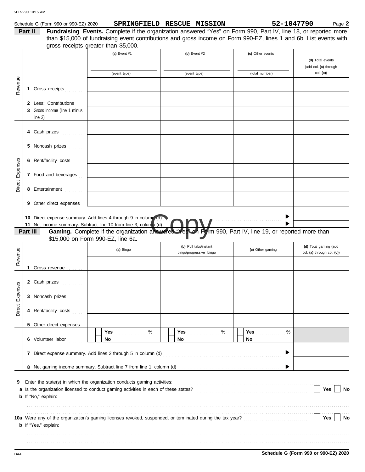|          |         | Schedule G (Form 990 or 990-EZ) 2020                                                                                                                                                                                                 |    | SPRINGFIELD RESCUE MISSION                                                                                         |    |                                                  |                  | 52-1047790 | Page 2                                              |
|----------|---------|--------------------------------------------------------------------------------------------------------------------------------------------------------------------------------------------------------------------------------------|----|--------------------------------------------------------------------------------------------------------------------|----|--------------------------------------------------|------------------|------------|-----------------------------------------------------|
|          | Part II |                                                                                                                                                                                                                                      |    | Fundraising Events. Complete if the organization answered "Yes" on Form 990, Part IV, line 18, or reported more    |    |                                                  |                  |            |                                                     |
|          |         |                                                                                                                                                                                                                                      |    | than \$15,000 of fundraising event contributions and gross income on Form 990-EZ, lines 1 and 6b. List events with |    |                                                  |                  |            |                                                     |
|          |         | gross receipts greater than \$5,000.                                                                                                                                                                                                 |    |                                                                                                                    |    |                                                  |                  |            |                                                     |
|          |         |                                                                                                                                                                                                                                      |    | (a) Event #1                                                                                                       |    | (b) Event #2                                     | (c) Other events |            |                                                     |
|          |         |                                                                                                                                                                                                                                      |    |                                                                                                                    |    |                                                  |                  |            | (d) Total events                                    |
|          |         |                                                                                                                                                                                                                                      |    |                                                                                                                    |    |                                                  |                  |            | (add col. (a) through<br>col. (c)                   |
|          |         |                                                                                                                                                                                                                                      |    | (event type)                                                                                                       |    | (event type)                                     | (total number)   |            |                                                     |
| Revenue  |         |                                                                                                                                                                                                                                      |    |                                                                                                                    |    |                                                  |                  |            |                                                     |
|          | 1       | Gross receipts                                                                                                                                                                                                                       |    |                                                                                                                    |    |                                                  |                  |            |                                                     |
|          |         | 2 Less: Contributions                                                                                                                                                                                                                |    |                                                                                                                    |    |                                                  |                  |            |                                                     |
|          |         | 3 Gross income (line 1 minus                                                                                                                                                                                                         |    |                                                                                                                    |    |                                                  |                  |            |                                                     |
|          |         |                                                                                                                                                                                                                                      |    |                                                                                                                    |    |                                                  |                  |            |                                                     |
|          |         |                                                                                                                                                                                                                                      |    |                                                                                                                    |    |                                                  |                  |            |                                                     |
|          |         |                                                                                                                                                                                                                                      |    |                                                                                                                    |    |                                                  |                  |            |                                                     |
|          |         |                                                                                                                                                                                                                                      |    |                                                                                                                    |    |                                                  |                  |            |                                                     |
|          |         | 5 Noncash prizes <b>Superior Service Service Service Service Service Service Service Service Service Service Service Service Service Service Service Service Service Service Service Service Service Service Service Service Ser</b> |    |                                                                                                                    |    |                                                  |                  |            |                                                     |
|          |         |                                                                                                                                                                                                                                      |    |                                                                                                                    |    |                                                  |                  |            |                                                     |
| Expenses |         |                                                                                                                                                                                                                                      |    |                                                                                                                    |    |                                                  |                  |            |                                                     |
|          |         | 7 Food and beverages                                                                                                                                                                                                                 |    |                                                                                                                    |    |                                                  |                  |            |                                                     |
|          |         |                                                                                                                                                                                                                                      |    | the control of the control of the control of                                                                       |    |                                                  |                  |            |                                                     |
| Direct   |         | 8 Entertainment                                                                                                                                                                                                                      |    |                                                                                                                    |    |                                                  |                  |            |                                                     |
|          |         |                                                                                                                                                                                                                                      |    |                                                                                                                    |    |                                                  |                  |            |                                                     |
|          |         | 9 Other direct expenses                                                                                                                                                                                                              |    |                                                                                                                    |    |                                                  |                  |            |                                                     |
|          |         |                                                                                                                                                                                                                                      |    |                                                                                                                    |    |                                                  |                  |            |                                                     |
|          |         | 10 Direct expense summary. Add lines 4 through 9 in column (d)                                                                                                                                                                       |    |                                                                                                                    |    |                                                  |                  |            |                                                     |
|          |         | 11 Net income summary. Subtract line 10 from line 3, column (d)                                                                                                                                                                      |    |                                                                                                                    |    | <b>OV/</b>                                       |                  |            |                                                     |
|          |         | Part III                                                                                                                                                                                                                             |    | Gaming. Complete if the organization answered "Yes" on Form 990, Part IV, line 19, or reported more than           |    |                                                  |                  |            |                                                     |
|          |         | \$15,000 on Form 990-EZ, line 6a.                                                                                                                                                                                                    |    |                                                                                                                    |    |                                                  |                  |            |                                                     |
|          |         |                                                                                                                                                                                                                                      |    | (a) Bingo                                                                                                          |    | (b) Pull tabs/instant<br>bingo/progressive bingo | (c) Other gaming |            | (d) Total gaming (add<br>col. (a) through col. (c)) |
| Revenue  |         |                                                                                                                                                                                                                                      |    |                                                                                                                    |    |                                                  |                  |            |                                                     |
|          | 1       | Gross revenue                                                                                                                                                                                                                        |    |                                                                                                                    |    |                                                  |                  |            |                                                     |
|          |         |                                                                                                                                                                                                                                      |    |                                                                                                                    |    |                                                  |                  |            |                                                     |
| ses      |         | 2 Cash prizes                                                                                                                                                                                                                        |    |                                                                                                                    |    |                                                  |                  |            |                                                     |
|          |         |                                                                                                                                                                                                                                      |    |                                                                                                                    |    |                                                  |                  |            |                                                     |
| Expen    |         | 3 Noncash prizes                                                                                                                                                                                                                     |    |                                                                                                                    |    |                                                  |                  |            |                                                     |
|          |         |                                                                                                                                                                                                                                      |    |                                                                                                                    |    |                                                  |                  |            |                                                     |
| Direct   |         | 4 Rent/facility costs                                                                                                                                                                                                                |    |                                                                                                                    |    |                                                  |                  |            |                                                     |
|          |         |                                                                                                                                                                                                                                      |    |                                                                                                                    |    |                                                  |                  |            |                                                     |
|          |         | 5 Other direct expenses                                                                                                                                                                                                              |    | Yes<br>%                                                                                                           |    | %                                                | Yes<br>$\%$      |            |                                                     |
|          |         | 6 Volunteer labor                                                                                                                                                                                                                    | No |                                                                                                                    | No | <b>Yes</b>                                       | No               |            |                                                     |
|          |         |                                                                                                                                                                                                                                      |    |                                                                                                                    |    |                                                  |                  |            |                                                     |
|          |         |                                                                                                                                                                                                                                      |    |                                                                                                                    |    |                                                  | ▶                |            |                                                     |
|          |         |                                                                                                                                                                                                                                      |    |                                                                                                                    |    |                                                  |                  |            |                                                     |
|          |         |                                                                                                                                                                                                                                      |    |                                                                                                                    |    |                                                  |                  |            |                                                     |
|          |         |                                                                                                                                                                                                                                      |    |                                                                                                                    |    |                                                  |                  |            |                                                     |
| 9        |         | Enter the state(s) in which the organization conducts gaming activities:                                                                                                                                                             |    |                                                                                                                    |    |                                                  |                  |            |                                                     |
|          |         |                                                                                                                                                                                                                                      |    |                                                                                                                    |    |                                                  |                  |            | Yes<br><b>No</b>                                    |
|          |         | b If "No," explain:                                                                                                                                                                                                                  |    |                                                                                                                    |    |                                                  |                  |            |                                                     |
|          |         |                                                                                                                                                                                                                                      |    |                                                                                                                    |    |                                                  |                  |            |                                                     |
|          |         | 10a Were any of the organization's gaming licenses revoked, suspended, or terminated during the tax year?<br>10a Were any of the organization's gaming licenses revoked, suspended, or terminated during the tax year?               |    |                                                                                                                    |    |                                                  |                  |            | Yes<br><b>No</b>                                    |
|          |         | <b>b</b> If "Yes," explain:                                                                                                                                                                                                          |    |                                                                                                                    |    |                                                  |                  |            |                                                     |
|          |         |                                                                                                                                                                                                                                      |    |                                                                                                                    |    |                                                  |                  |            |                                                     |
|          |         |                                                                                                                                                                                                                                      |    |                                                                                                                    |    |                                                  |                  |            |                                                     |
|          |         |                                                                                                                                                                                                                                      |    |                                                                                                                    |    |                                                  |                  |            |                                                     |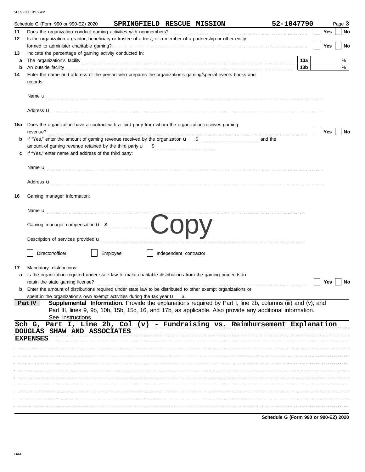|         | Schedule G (Form 990 or 990-EZ) 2020                                                                                                                                                                                                                                                                                                             |          |                        | SPRINGFIELD RESCUE MISSION | 52-1047790                                                                                                                                                                                                               |     | Page 3 |
|---------|--------------------------------------------------------------------------------------------------------------------------------------------------------------------------------------------------------------------------------------------------------------------------------------------------------------------------------------------------|----------|------------------------|----------------------------|--------------------------------------------------------------------------------------------------------------------------------------------------------------------------------------------------------------------------|-----|--------|
| 11      |                                                                                                                                                                                                                                                                                                                                                  |          |                        |                            |                                                                                                                                                                                                                          | Yes | No     |
| 12      | Is the organization a grantor, beneficiary or trustee of a trust, or a member of a partnership or other entity                                                                                                                                                                                                                                   |          |                        |                            |                                                                                                                                                                                                                          |     |        |
|         |                                                                                                                                                                                                                                                                                                                                                  |          |                        |                            |                                                                                                                                                                                                                          | Yes | No     |
| 13      | Indicate the percentage of gaming activity conducted in:                                                                                                                                                                                                                                                                                         |          |                        |                            |                                                                                                                                                                                                                          |     |        |
| a       |                                                                                                                                                                                                                                                                                                                                                  |          |                        |                            | 13a                                                                                                                                                                                                                      |     | %<br>% |
| b<br>14 | An outside facility <b>contained a set of the contract of the contract of the contract of the contract of the contract of the contract of the contract of the contract of the contract of the contract of the contract of the co</b><br>Enter the name and address of the person who prepares the organization's gaming/special events books and |          |                        |                            | 13 <sub>b</sub>                                                                                                                                                                                                          |     |        |
|         | records:                                                                                                                                                                                                                                                                                                                                         |          |                        |                            |                                                                                                                                                                                                                          |     |        |
|         |                                                                                                                                                                                                                                                                                                                                                  |          |                        |                            |                                                                                                                                                                                                                          |     |        |
|         | Address <b>u</b>                                                                                                                                                                                                                                                                                                                                 |          |                        |                            |                                                                                                                                                                                                                          |     |        |
|         | 15a Does the organization have a contract with a third party from whom the organization receives gaming<br>revenue?                                                                                                                                                                                                                              |          |                        |                            |                                                                                                                                                                                                                          | Yes | No     |
|         |                                                                                                                                                                                                                                                                                                                                                  |          |                        |                            |                                                                                                                                                                                                                          |     |        |
|         |                                                                                                                                                                                                                                                                                                                                                  |          |                        |                            |                                                                                                                                                                                                                          |     |        |
|         | If "Yes," enter name and address of the third party:                                                                                                                                                                                                                                                                                             |          |                        |                            |                                                                                                                                                                                                                          |     |        |
|         |                                                                                                                                                                                                                                                                                                                                                  |          |                        |                            |                                                                                                                                                                                                                          |     |        |
|         | Address <b>u</b>                                                                                                                                                                                                                                                                                                                                 |          |                        |                            |                                                                                                                                                                                                                          |     |        |
| 16      | Gaming manager information:                                                                                                                                                                                                                                                                                                                      |          |                        |                            |                                                                                                                                                                                                                          |     |        |
|         |                                                                                                                                                                                                                                                                                                                                                  |          |                        |                            |                                                                                                                                                                                                                          |     |        |
|         |                                                                                                                                                                                                                                                                                                                                                  |          |                        |                            |                                                                                                                                                                                                                          |     |        |
|         |                                                                                                                                                                                                                                                                                                                                                  |          |                        |                            |                                                                                                                                                                                                                          |     |        |
|         | Director/officer                                                                                                                                                                                                                                                                                                                                 | Employee | Independent contractor |                            |                                                                                                                                                                                                                          |     |        |
| 17      | Mandatory distributions:                                                                                                                                                                                                                                                                                                                         |          |                        |                            |                                                                                                                                                                                                                          |     |        |
|         | Is the organization required under state law to make charitable distributions from the gaming proceeds to                                                                                                                                                                                                                                        |          |                        |                            |                                                                                                                                                                                                                          |     |        |
|         | retain the state gaming license?                                                                                                                                                                                                                                                                                                                 |          |                        |                            |                                                                                                                                                                                                                          | Yes | No     |
|         | <b>b</b> Enter the amount of distributions required under state law to be distributed to other exempt organizations or                                                                                                                                                                                                                           |          |                        |                            |                                                                                                                                                                                                                          |     |        |
|         | spent in the organization's own exempt activities during the tax year u                                                                                                                                                                                                                                                                          |          | - \$                   |                            |                                                                                                                                                                                                                          |     |        |
|         | Part IV<br>See instructions.                                                                                                                                                                                                                                                                                                                     |          |                        |                            | Supplemental Information. Provide the explanations required by Part I, line 2b, columns (iii) and (v); and<br>Part III, lines 9, 9b, 10b, 15b, 15c, 16, and 17b, as applicable. Also provide any additional information. |     |        |
|         | Sch G, Part I, Line 2b, Col (v) - Fundraising vs. Reimbursement Explanation                                                                                                                                                                                                                                                                      |          |                        |                            |                                                                                                                                                                                                                          |     |        |
|         | DOUGLAS SHAW AND ASSOCIATES                                                                                                                                                                                                                                                                                                                      |          |                        |                            |                                                                                                                                                                                                                          |     |        |
|         | <b>EXPENSES</b>                                                                                                                                                                                                                                                                                                                                  |          |                        |                            |                                                                                                                                                                                                                          |     |        |
|         |                                                                                                                                                                                                                                                                                                                                                  |          |                        |                            |                                                                                                                                                                                                                          |     |        |
|         |                                                                                                                                                                                                                                                                                                                                                  |          |                        |                            |                                                                                                                                                                                                                          |     |        |
|         |                                                                                                                                                                                                                                                                                                                                                  |          |                        |                            |                                                                                                                                                                                                                          |     |        |
|         |                                                                                                                                                                                                                                                                                                                                                  |          |                        |                            |                                                                                                                                                                                                                          |     |        |
|         |                                                                                                                                                                                                                                                                                                                                                  |          |                        |                            |                                                                                                                                                                                                                          |     |        |
|         |                                                                                                                                                                                                                                                                                                                                                  |          |                        |                            |                                                                                                                                                                                                                          |     |        |
|         |                                                                                                                                                                                                                                                                                                                                                  |          |                        |                            |                                                                                                                                                                                                                          |     |        |
|         |                                                                                                                                                                                                                                                                                                                                                  |          |                        |                            |                                                                                                                                                                                                                          |     |        |
|         |                                                                                                                                                                                                                                                                                                                                                  |          |                        |                            |                                                                                                                                                                                                                          |     |        |

Schedule G (Form 990 or 990-EZ) 2020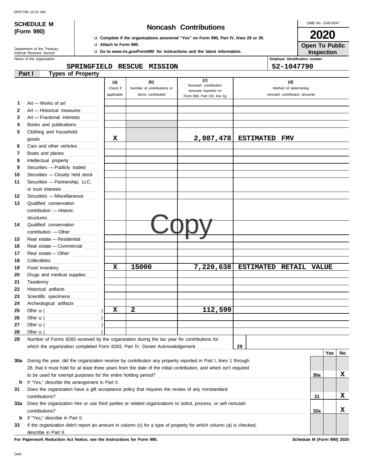## **SCHEDULE M Noncash Contributions**

OMB No. 1545-0047 **2020**

**Inspection Open To Public**

| (Form 990) |  |
|------------|--|
|            |  |

## u **Complete if the organizations answered "Yes" on Form 990, Part IV, lines 29 or 30.**

u **Attach to Form 990.**

u **Go to** *www.irs.gov/Form990* **for instructions and the latest information.**

Name of the organization **Employ Employ** Department of the Treasury<br>Internal Revenue Service

| 52-1047790<br>SPRINGFIELD RESCUE MISSION |  |
|------------------------------------------|--|
| Employer identification number           |  |

|              | <b>Types of Property</b><br>Part I                                                                                 |             |                            |                                             |                        |                              |     |     |    |
|--------------|--------------------------------------------------------------------------------------------------------------------|-------------|----------------------------|---------------------------------------------|------------------------|------------------------------|-----|-----|----|
|              |                                                                                                                    | (a)         | (b)                        | (c)                                         |                        | (d)                          |     |     |    |
|              |                                                                                                                    | Check if    | Number of contributions or | Noncash contribution<br>amounts reported on |                        | Method of determining        |     |     |    |
|              |                                                                                                                    | applicable  | items contributed          | Form 990, Part VIII, line 1g                |                        | noncash contribution amounts |     |     |    |
| 1            | Art - Works of art                                                                                                 |             |                            |                                             |                        |                              |     |     |    |
| $\mathbf{2}$ | Art - Historical treasures                                                                                         |             |                            |                                             |                        |                              |     |     |    |
| 3            | Art - Fractional interests                                                                                         |             |                            |                                             |                        |                              |     |     |    |
| 4            | Books and publications                                                                                             |             |                            |                                             |                        |                              |     |     |    |
| 5            | Clothing and household                                                                                             |             |                            |                                             |                        |                              |     |     |    |
|              | $\mathsf{goods}\xrightarrow{\hspace{0.5cm}}$                                                                       | x           |                            | 2,087,478                                   | <b>ESTIMATED</b>       | <b>FMV</b>                   |     |     |    |
| 6            | Cars and other vehicles                                                                                            |             |                            |                                             |                        |                              |     |     |    |
| 7            | Boats and planes                                                                                                   |             |                            |                                             |                        |                              |     |     |    |
| 8            | Intellectual property                                                                                              |             |                            |                                             |                        |                              |     |     |    |
| 9            | Securities - Publicly traded                                                                                       |             |                            |                                             |                        |                              |     |     |    |
| 10           | Securities - Closely held stock                                                                                    |             |                            |                                             |                        |                              |     |     |    |
| 11           | Securities - Partnership, LLC,                                                                                     |             |                            |                                             |                        |                              |     |     |    |
|              | or trust interests                                                                                                 |             |                            |                                             |                        |                              |     |     |    |
| 12           | Securities - Miscellaneous                                                                                         |             |                            |                                             |                        |                              |     |     |    |
| 13           | Qualified conservation                                                                                             |             |                            |                                             |                        |                              |     |     |    |
|              | contribution - Historic                                                                                            |             |                            |                                             |                        |                              |     |     |    |
|              | structures                                                                                                         |             |                            |                                             |                        |                              |     |     |    |
| 14           | Qualified conservation                                                                                             |             |                            |                                             |                        |                              |     |     |    |
|              |                                                                                                                    |             |                            |                                             |                        |                              |     |     |    |
| 15           | Real estate - Residential                                                                                          |             |                            |                                             |                        |                              |     |     |    |
| 16           | Real estate - Commercial                                                                                           |             |                            |                                             |                        |                              |     |     |    |
| 17           | Real estate - Other                                                                                                |             |                            |                                             |                        |                              |     |     |    |
| 18           |                                                                                                                    |             |                            |                                             |                        |                              |     |     |    |
| 19           | Food inventory                                                                                                     | $\mathbf x$ | 15000                      | 7,220,638                                   | ESTIMATED RETAIL VALUE |                              |     |     |    |
| 20           | Drugs and medical supplies                                                                                         |             |                            |                                             |                        |                              |     |     |    |
| 21           | Taxidermy                                                                                                          |             |                            |                                             |                        |                              |     |     |    |
| 22           | Historical artifacts                                                                                               |             |                            |                                             |                        |                              |     |     |    |
| 23           | Scientific specimens                                                                                               |             |                            |                                             |                        |                              |     |     |    |
| 24           | Archeological artifacts                                                                                            |             |                            |                                             |                        |                              |     |     |    |
| 25           |                                                                                                                    | $\mathbf x$ | 2                          | 112,599                                     |                        |                              |     |     |    |
| 26           |                                                                                                                    |             |                            |                                             |                        |                              |     |     |    |
| 27           |                                                                                                                    |             |                            |                                             |                        |                              |     |     |    |
| 28           | Other $\mathbf{u}$ (                                                                                               |             |                            |                                             |                        |                              |     |     |    |
| 29           | Number of Forms 8283 received by the organization during the tax year for contributions for                        |             |                            |                                             |                        |                              |     |     |    |
|              | which the organization completed Form 8283, Part IV, Donee Acknowledgement                                         |             |                            |                                             | 29                     |                              |     |     |    |
|              |                                                                                                                    |             |                            |                                             |                        |                              |     | Yes | No |
| 30a          | During the year, did the organization receive by contribution any property reported in Part I, lines 1 through     |             |                            |                                             |                        |                              |     |     |    |
|              | 28, that it must hold for at least three years from the date of the initial contribution, and which isn't required |             |                            |                                             |                        |                              |     |     |    |
|              |                                                                                                                    |             |                            |                                             |                        |                              | 30a |     | x  |
| b            | If "Yes," describe the arrangement in Part II.                                                                     |             |                            |                                             |                        |                              |     |     |    |
| 31           | Does the organization have a gift acceptance policy that requires the review of any nonstandard                    |             |                            |                                             |                        |                              |     |     |    |
|              | contributions?                                                                                                     |             |                            |                                             |                        |                              | 31  |     | X  |
| 32a          | Does the organization hire or use third parties or related organizations to solicit, process, or sell noncash      |             |                            |                                             |                        |                              |     |     |    |
|              | contributions?                                                                                                     |             |                            |                                             |                        |                              | 32a |     | x  |
| b            | If "Yes," describe in Part II.                                                                                     |             |                            |                                             |                        |                              |     |     |    |
| 33           | If the organization didn't report an amount in column (c) for a type of property for which column (a) is checked,  |             |                            |                                             |                        |                              |     |     |    |
|              | describe in Part II.                                                                                               |             |                            |                                             |                        |                              |     |     |    |

**For Paperwork Reduction Act Notice, see the Instructions for Form 990. Schedule M (Form 990) 2020**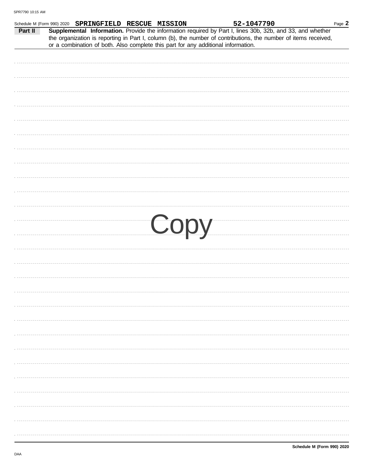| Part II | Schedule M (Form 990) 2020 SPRINGFIELD RESCUE MISSION<br>Supplemental Information. Provide the information required by Part I, lines 30b, 32b, and 33, and whether                                   |  |      | 52-1047790 |  | Page 2 |
|---------|------------------------------------------------------------------------------------------------------------------------------------------------------------------------------------------------------|--|------|------------|--|--------|
|         | the organization is reporting in Part I, column (b), the number of contributions, the number of items received,<br>or a combination of both. Also complete this part for any additional information. |  |      |            |  |        |
|         |                                                                                                                                                                                                      |  |      |            |  |        |
|         |                                                                                                                                                                                                      |  |      |            |  |        |
|         |                                                                                                                                                                                                      |  |      |            |  |        |
|         |                                                                                                                                                                                                      |  |      |            |  |        |
|         |                                                                                                                                                                                                      |  |      |            |  |        |
|         |                                                                                                                                                                                                      |  |      |            |  |        |
|         |                                                                                                                                                                                                      |  |      |            |  |        |
|         |                                                                                                                                                                                                      |  |      |            |  |        |
|         |                                                                                                                                                                                                      |  |      |            |  |        |
|         |                                                                                                                                                                                                      |  |      |            |  |        |
|         |                                                                                                                                                                                                      |  |      |            |  |        |
|         |                                                                                                                                                                                                      |  |      |            |  |        |
|         |                                                                                                                                                                                                      |  |      |            |  |        |
|         |                                                                                                                                                                                                      |  |      |            |  |        |
|         |                                                                                                                                                                                                      |  | Copy |            |  |        |
|         |                                                                                                                                                                                                      |  |      |            |  |        |
|         |                                                                                                                                                                                                      |  |      |            |  |        |
|         |                                                                                                                                                                                                      |  |      |            |  |        |
|         |                                                                                                                                                                                                      |  |      |            |  |        |
|         |                                                                                                                                                                                                      |  |      |            |  |        |
|         |                                                                                                                                                                                                      |  |      |            |  |        |
|         |                                                                                                                                                                                                      |  |      |            |  |        |
|         |                                                                                                                                                                                                      |  |      |            |  |        |
|         |                                                                                                                                                                                                      |  |      |            |  |        |
|         |                                                                                                                                                                                                      |  |      |            |  |        |
|         |                                                                                                                                                                                                      |  |      |            |  |        |
|         |                                                                                                                                                                                                      |  |      |            |  |        |
|         |                                                                                                                                                                                                      |  |      |            |  |        |
|         |                                                                                                                                                                                                      |  |      |            |  |        |
|         |                                                                                                                                                                                                      |  |      |            |  |        |
|         |                                                                                                                                                                                                      |  |      |            |  |        |
|         |                                                                                                                                                                                                      |  |      |            |  |        |
| .       |                                                                                                                                                                                                      |  |      |            |  |        |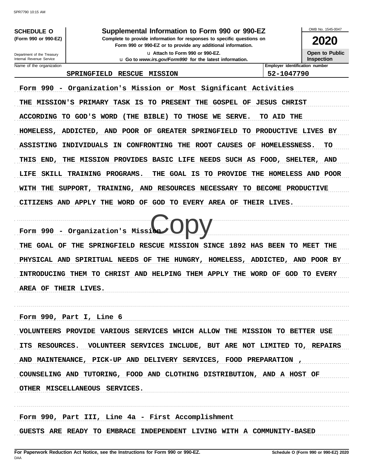**SCHEDULE O** (Form 990 or 990-EZ)

Department of the Treasury

Internal Revenue Service

#### Supplemental Information to Form 990 or 990-EZ

Complete to provide information for responses to specific questions on Form 990 or 990-EZ or to provide any additional information.

> u Attach to Form 990 or 990-EZ. u Go to www.irs.gov/Form990 for the latest information.

2020

OMB No. 1545-0047

Open to Public Inspection

### Name of the organization

SPRINGFIELD RESCUE MISSION

Employer identification number 52-1047790

Form 990 - Organization's Mission or Most Significant Activities THE MISSION'S PRIMARY TASK IS TO PRESENT THE GOSPEL OF JESUS CHRIST ACCORDING TO GOD'S WORD (THE BIBLE) TO THOSE WE SERVE. TO AID THE HOMELESS, ADDICTED, AND POOR OF GREATER SPRINGFIELD TO PRODUCTIVE LIVES BY ASSISTING INDIVIDUALS IN CONFRONTING THE ROOT CAUSES OF HOMELESSNESS. TO THIS END, THE MISSION PROVIDES BASIC LIFE NEEDS SUCH AS FOOD, SHELTER, AND LIFE SKILL TRAINING PROGRAMS. THE GOAL IS TO PROVIDE THE HOMELESS AND POOR SUPPORT, TRAINING, AND RESOURCES NECESSARY TO BECOME PRODUCTIVE **WITH** THE CITIZENS AND APPLY THE WORD OF GOD TO EVERY AREA OF THEIR LIVES.

Form 990 - Organization's Missi THE GOAL OF THE SPRINGFIELD RESCUE MISSION SINCE 1892 HAS BEEN TO MEET THE PHYSICAL AND SPIRITUAL NEEDS OF THE HUNGRY, HOMELESS, ADDICTED, AND POOR BY INTRODUCING THEM TO CHRIST AND HELPING THEM APPLY THE WORD OF GOD TO EVERY AREA OF THEIR LIVES.

Form 990, Part I, Line 6

VOLUNTEERS PROVIDE VARIOUS SERVICES WHICH ALLOW THE MISSION TO BETTER USE ITS RESOURCES. VOLUNTEER SERVICES INCLUDE, BUT ARE NOT LIMITED TO, REPAIRS AND MAINTENANCE, PICK-UP AND DELIVERY SERVICES, FOOD PREPARATION COUNSELING AND TUTORING, FOOD AND CLOTHING DISTRIBUTION, AND A HOST OF OTHER MISCELLANEOUS SERVICES.

Form 990, Part III, Line 4a - First Accomplishment GUESTS ARE READY TO EMBRACE INDEPENDENT LIVING WITH A COMMUNITY-BASED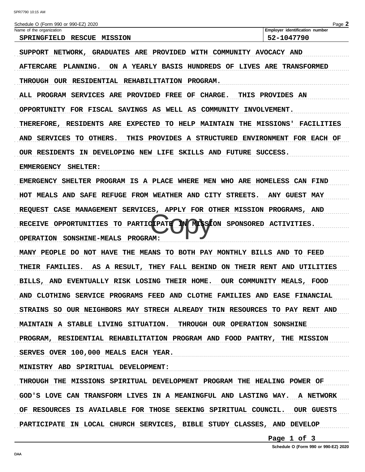Schedule O (Form 990 or 990-EZ) 2020 Page 2 Name of the organization Employer identification number SPRINGFIELD RESCUE MISSION 52-1047790 SUPPORT NETWORK, GRADUATES ARE PROVIDED WITH COMMUNITY AVOCACY AND AFTERCARE PLANNING. ON A YEARLY BASIS HUNDREDS OF LIVES ARE TRANSFORMED THROUGH OUR RESIDENTIAL REHABILITATION PROGRAM. ALL PROGRAM SERVICES ARE PROVIDED FREE OF CHARGE. THIS PROVIDES AN OPPORTUNITY FOR FISCAL SAVINGS AS WELL AS COMMUNITY INVOLVEMENT. THEREFORE, RESIDENTS ARE EXPECTED TO HELP MAINTAIN THE MISSIONS' FACILITIES AND SERVICES TO OTHERS. THIS PROVIDES A STRUCTURED ENVIRONMENT FOR EACH OF OUR RESIDENTS IN DEVELOPING NEW LIFE SKILLS AND FUTURE SUCCESS. EMMERGENCY SHELTER: EMERGENCY SHELTER PROGRAM IS A PLACE WHERE MEN WHO ARE HOMELESS CAN FIND HOT MEALS AND SAFE REFUGE FROM WEATHER AND CITY STREETS. **ANY GUEST MAY** REQUEST CASE MANAGEMENT SERVICES, APPLY FOR OTHER MISSION PROGRAMS, AND MISSION SPONSORED ACTIVITIES. RECEIVE OPPORTUNITIES TO PARTICIPATE OPERATION SONSHINE-MEALS PROGRAM: MANY PEOPLE DO NOT HAVE THE MEANS TO BOTH PAY MONTHLY BILLS AND TO FEED THEIR FAMILIES. AS A RESULT, THEY FALL BEHIND ON THEIR RENT AND UTILITIES BILLS, AND EVENTUALLY RISK LOSING THEIR HOME. OUR COMMUNITY MEALS, FOOD AND CLOTHING SERVICE PROGRAMS FEED AND CLOTHE FAMILIES AND EASE FINANCIAL STRAINS SO OUR NEIGHBORS MAY STRECH ALREADY THIN RESOURCES TO PAY RENT AND MAINTAIN A STABLE LIVING SITUATION. THROUGH OUR OPERATION SONSHINE PROGRAM, RESIDENTIAL REHABILITATION PROGRAM AND FOOD PANTRY, THE MISSION SERVES OVER 100,000 MEALS EACH YEAR. MINISTRY ABD SPIRITUAL DEVELOPMENT: THROUGH THE MISSIONS SPIRITUAL DEVELOPMENT PROGRAM THE HEALING POWER OF GOD'S LOVE CAN TRANSFORM LIVES IN A MEANINGFUL AND LASTING WAY. **A NETWORK** OF RESOURCES IS AVAILABLE FOR THOSE SEEKING SPIRITUAL COUNCIL. **OUR GUESTS** PARTICIPATE IN LOCAL CHURCH SERVICES, BIBLE STUDY CLASSES, AND DEVELOP

Page 1 of 3

Schedule O (Form 990 or 990-EZ) 2020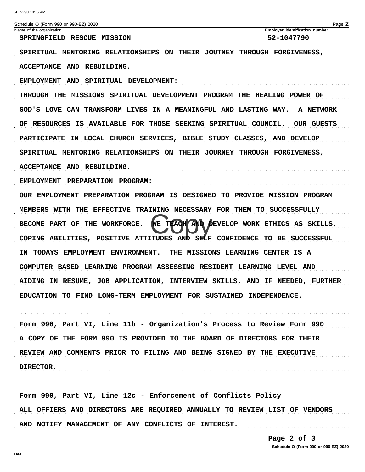| 52-1047790<br>SPRINGFIELD RESCUE MISSION<br>SPIRITUAL MENTORING RELATIONSHIPS ON THEIR JOUTNEY<br>THROUGH FORGIVENESS,<br><b>ACCEPTANCE</b><br>AND<br>REBUILDING.<br><b>AND</b><br><b>EMPLOYMENT</b><br>SPIRITUAL DEVELOPMENT:<br>THROUGH THE MISSIONS SPIRITUAL DEVELOPMENT PROGRAM THE HEALING POWER OF<br>GOD'S LOVE CAN TRANSFORM LIVES IN A MEANINGFUL AND LASTING WAY.<br><b>A NETWORK</b><br>IS AVAILABLE FOR THOSE SEEKING<br>SPIRITUAL COUNCIL.<br><b>RESOURCES</b><br>OUR GUESTS<br>OF<br><b>PARTICIPATE</b><br>IN LOCAL CHURCH SERVICES, BIBLE STUDY CLASSES, AND DEVELOP<br>SPIRITUAL MENTORING RELATIONSHIPS ON THEIR JOURNEY<br>THROUGH FORGIVENESS,<br>ACCEPTANCE AND REBUILDING.<br><b>EMPLOYMENT</b><br><b>PREPARATION</b><br><b>PROGRAM:</b><br>OUR EMPLOYMENT PREPARATION PROGRAM IS DESIGNED<br><b>TO PROVIDE MISSION PROGRAM</b><br><b>EFFECTIVE</b><br>TRAINING NECESSARY FOR THEM TO SUCCESSFULLY<br>MEMBERS WITH THE<br>TEACH AND DEVELOP WORK ETHICS<br>VЕ<br><b>WORKFORCE.</b><br><b>BECOME PART</b><br>OF<br>THE<br>AS<br>SKILLS,<br>AND<br>SELF CONFIDENCE<br>COPING ABILITIES,<br>POSITIVE ATTITUDES<br>TO BE<br>SUCCESSFUL<br><b>TODAYS</b><br><b>EMPLOYMENT</b><br><b>ENVIRONMENT.</b><br>THE MISSIONS LEARNING CENTER IS A<br>ΙN<br>COMPUTER BASED LEARNING PROGRAM ASSESSING RESIDENT LEARNING LEVEL AND<br>JOB APPLICATION, INTERVIEW SKILLS,<br><b>AIDING IN RESUME,</b><br>AND IF<br>NEEDED,<br><b>FURTHER</b><br><b>EDUCATION</b><br>LONG-TERM EMPLOYMENT FOR SUSTAINED<br>INDEPENDENCE.<br>TO FIND | Schedule O (Form 990 or 990-EZ) 2020<br>Name of the organization | Page 2<br>Employer identification number |
|------------------------------------------------------------------------------------------------------------------------------------------------------------------------------------------------------------------------------------------------------------------------------------------------------------------------------------------------------------------------------------------------------------------------------------------------------------------------------------------------------------------------------------------------------------------------------------------------------------------------------------------------------------------------------------------------------------------------------------------------------------------------------------------------------------------------------------------------------------------------------------------------------------------------------------------------------------------------------------------------------------------------------------------------------------------------------------------------------------------------------------------------------------------------------------------------------------------------------------------------------------------------------------------------------------------------------------------------------------------------------------------------------------------------------------------------------------------------------------------------------------------------------------------|------------------------------------------------------------------|------------------------------------------|
|                                                                                                                                                                                                                                                                                                                                                                                                                                                                                                                                                                                                                                                                                                                                                                                                                                                                                                                                                                                                                                                                                                                                                                                                                                                                                                                                                                                                                                                                                                                                          |                                                                  |                                          |
|                                                                                                                                                                                                                                                                                                                                                                                                                                                                                                                                                                                                                                                                                                                                                                                                                                                                                                                                                                                                                                                                                                                                                                                                                                                                                                                                                                                                                                                                                                                                          |                                                                  |                                          |
|                                                                                                                                                                                                                                                                                                                                                                                                                                                                                                                                                                                                                                                                                                                                                                                                                                                                                                                                                                                                                                                                                                                                                                                                                                                                                                                                                                                                                                                                                                                                          |                                                                  |                                          |
|                                                                                                                                                                                                                                                                                                                                                                                                                                                                                                                                                                                                                                                                                                                                                                                                                                                                                                                                                                                                                                                                                                                                                                                                                                                                                                                                                                                                                                                                                                                                          |                                                                  |                                          |
|                                                                                                                                                                                                                                                                                                                                                                                                                                                                                                                                                                                                                                                                                                                                                                                                                                                                                                                                                                                                                                                                                                                                                                                                                                                                                                                                                                                                                                                                                                                                          |                                                                  |                                          |
|                                                                                                                                                                                                                                                                                                                                                                                                                                                                                                                                                                                                                                                                                                                                                                                                                                                                                                                                                                                                                                                                                                                                                                                                                                                                                                                                                                                                                                                                                                                                          |                                                                  |                                          |
|                                                                                                                                                                                                                                                                                                                                                                                                                                                                                                                                                                                                                                                                                                                                                                                                                                                                                                                                                                                                                                                                                                                                                                                                                                                                                                                                                                                                                                                                                                                                          |                                                                  |                                          |
|                                                                                                                                                                                                                                                                                                                                                                                                                                                                                                                                                                                                                                                                                                                                                                                                                                                                                                                                                                                                                                                                                                                                                                                                                                                                                                                                                                                                                                                                                                                                          |                                                                  |                                          |
|                                                                                                                                                                                                                                                                                                                                                                                                                                                                                                                                                                                                                                                                                                                                                                                                                                                                                                                                                                                                                                                                                                                                                                                                                                                                                                                                                                                                                                                                                                                                          |                                                                  |                                          |
|                                                                                                                                                                                                                                                                                                                                                                                                                                                                                                                                                                                                                                                                                                                                                                                                                                                                                                                                                                                                                                                                                                                                                                                                                                                                                                                                                                                                                                                                                                                                          |                                                                  |                                          |
|                                                                                                                                                                                                                                                                                                                                                                                                                                                                                                                                                                                                                                                                                                                                                                                                                                                                                                                                                                                                                                                                                                                                                                                                                                                                                                                                                                                                                                                                                                                                          |                                                                  |                                          |
|                                                                                                                                                                                                                                                                                                                                                                                                                                                                                                                                                                                                                                                                                                                                                                                                                                                                                                                                                                                                                                                                                                                                                                                                                                                                                                                                                                                                                                                                                                                                          |                                                                  |                                          |
|                                                                                                                                                                                                                                                                                                                                                                                                                                                                                                                                                                                                                                                                                                                                                                                                                                                                                                                                                                                                                                                                                                                                                                                                                                                                                                                                                                                                                                                                                                                                          |                                                                  |                                          |
|                                                                                                                                                                                                                                                                                                                                                                                                                                                                                                                                                                                                                                                                                                                                                                                                                                                                                                                                                                                                                                                                                                                                                                                                                                                                                                                                                                                                                                                                                                                                          |                                                                  |                                          |
|                                                                                                                                                                                                                                                                                                                                                                                                                                                                                                                                                                                                                                                                                                                                                                                                                                                                                                                                                                                                                                                                                                                                                                                                                                                                                                                                                                                                                                                                                                                                          |                                                                  |                                          |
|                                                                                                                                                                                                                                                                                                                                                                                                                                                                                                                                                                                                                                                                                                                                                                                                                                                                                                                                                                                                                                                                                                                                                                                                                                                                                                                                                                                                                                                                                                                                          |                                                                  |                                          |
|                                                                                                                                                                                                                                                                                                                                                                                                                                                                                                                                                                                                                                                                                                                                                                                                                                                                                                                                                                                                                                                                                                                                                                                                                                                                                                                                                                                                                                                                                                                                          |                                                                  |                                          |
|                                                                                                                                                                                                                                                                                                                                                                                                                                                                                                                                                                                                                                                                                                                                                                                                                                                                                                                                                                                                                                                                                                                                                                                                                                                                                                                                                                                                                                                                                                                                          |                                                                  |                                          |
|                                                                                                                                                                                                                                                                                                                                                                                                                                                                                                                                                                                                                                                                                                                                                                                                                                                                                                                                                                                                                                                                                                                                                                                                                                                                                                                                                                                                                                                                                                                                          |                                                                  |                                          |
|                                                                                                                                                                                                                                                                                                                                                                                                                                                                                                                                                                                                                                                                                                                                                                                                                                                                                                                                                                                                                                                                                                                                                                                                                                                                                                                                                                                                                                                                                                                                          |                                                                  |                                          |

Form 990, Part VI, Line 11b - Organization's Process to Review Form 990 A COPY OF THE FORM 990 IS PROVIDED TO THE BOARD OF DIRECTORS FOR THEIR REVIEW AND COMMENTS PRIOR TO FILING AND BEING SIGNED BY THE EXECUTIVE DIRECTOR. 

Form 990, Part VI, Line 12c - Enforcement of Conflicts Policy ALL OFFIERS AND DIRECTORS ARE REQUIRED ANNUALLY TO REVIEW LIST OF VENDORS AND NOTIFY MANAGEMENT OF ANY CONFLICTS OF INTEREST. 

Page 2 of 3

Schedule O (Form 990 or 990-EZ) 2020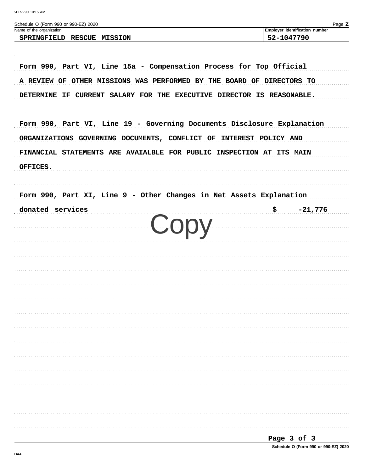| SPR7790 10:15 AM |  |  |
|------------------|--|--|
|                  |  |  |

| Schedule O (Form 990 or 990-EZ) 2020<br>Name of the organization                                                                                                                                                                                                                                                                                                                                                                                                                                                                             | Page 2<br>Employer identification number |
|----------------------------------------------------------------------------------------------------------------------------------------------------------------------------------------------------------------------------------------------------------------------------------------------------------------------------------------------------------------------------------------------------------------------------------------------------------------------------------------------------------------------------------------------|------------------------------------------|
| SPRINGFIELD RESCUE MISSION                                                                                                                                                                                                                                                                                                                                                                                                                                                                                                                   | 52-1047790                               |
|                                                                                                                                                                                                                                                                                                                                                                                                                                                                                                                                              |                                          |
|                                                                                                                                                                                                                                                                                                                                                                                                                                                                                                                                              |                                          |
|                                                                                                                                                                                                                                                                                                                                                                                                                                                                                                                                              |                                          |
|                                                                                                                                                                                                                                                                                                                                                                                                                                                                                                                                              |                                          |
|                                                                                                                                                                                                                                                                                                                                                                                                                                                                                                                                              |                                          |
|                                                                                                                                                                                                                                                                                                                                                                                                                                                                                                                                              |                                          |
| Form 990, Part VI, Line 15a - Compensation Process for Top Official<br>A REVIEW OF OTHER MISSIONS WAS PERFORMED BY THE BOARD OF DIRECTORS TO<br>DETERMINE IF CURRENT SALARY FOR THE EXECUTIVE DIRECTOR IS REASONABLE.<br>Form 990, Part VI, Line 19 - Governing Documents Disclosure Explanation<br>ORGANIZATIONS GOVERNING DOCUMENTS, CONFLICT OF INTEREST POLICY AND<br>FINANCIAL STATEMENTS ARE AVAIALBLE FOR PUBLIC INSPECTION AT ITS MAIN<br>Form 990, Part XI, Line 9 - Other Changes in Net Assets Explanation<br>$$ -21,776$<br>Copy |                                          |
|                                                                                                                                                                                                                                                                                                                                                                                                                                                                                                                                              |                                          |
|                                                                                                                                                                                                                                                                                                                                                                                                                                                                                                                                              |                                          |
| OFFICES.                                                                                                                                                                                                                                                                                                                                                                                                                                                                                                                                     |                                          |
|                                                                                                                                                                                                                                                                                                                                                                                                                                                                                                                                              |                                          |
|                                                                                                                                                                                                                                                                                                                                                                                                                                                                                                                                              |                                          |
| donated services                                                                                                                                                                                                                                                                                                                                                                                                                                                                                                                             |                                          |
|                                                                                                                                                                                                                                                                                                                                                                                                                                                                                                                                              |                                          |
|                                                                                                                                                                                                                                                                                                                                                                                                                                                                                                                                              |                                          |
|                                                                                                                                                                                                                                                                                                                                                                                                                                                                                                                                              |                                          |
|                                                                                                                                                                                                                                                                                                                                                                                                                                                                                                                                              |                                          |
|                                                                                                                                                                                                                                                                                                                                                                                                                                                                                                                                              |                                          |
|                                                                                                                                                                                                                                                                                                                                                                                                                                                                                                                                              |                                          |
|                                                                                                                                                                                                                                                                                                                                                                                                                                                                                                                                              |                                          |
|                                                                                                                                                                                                                                                                                                                                                                                                                                                                                                                                              |                                          |
|                                                                                                                                                                                                                                                                                                                                                                                                                                                                                                                                              |                                          |
|                                                                                                                                                                                                                                                                                                                                                                                                                                                                                                                                              |                                          |
|                                                                                                                                                                                                                                                                                                                                                                                                                                                                                                                                              |                                          |
|                                                                                                                                                                                                                                                                                                                                                                                                                                                                                                                                              |                                          |
|                                                                                                                                                                                                                                                                                                                                                                                                                                                                                                                                              |                                          |
|                                                                                                                                                                                                                                                                                                                                                                                                                                                                                                                                              |                                          |
|                                                                                                                                                                                                                                                                                                                                                                                                                                                                                                                                              |                                          |
|                                                                                                                                                                                                                                                                                                                                                                                                                                                                                                                                              |                                          |
|                                                                                                                                                                                                                                                                                                                                                                                                                                                                                                                                              |                                          |
|                                                                                                                                                                                                                                                                                                                                                                                                                                                                                                                                              |                                          |

Schedule O (Form 990 or 990-EZ) 2020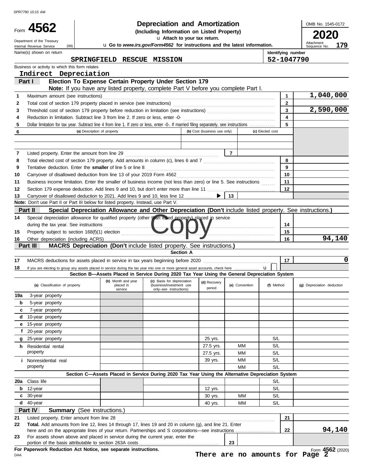|          | SPR7790 10:15 AM                                                                                                                                                                    |                             |                                                                                                          |                                                        |                                            |                |                  |                             |                            |        |
|----------|-------------------------------------------------------------------------------------------------------------------------------------------------------------------------------------|-----------------------------|----------------------------------------------------------------------------------------------------------|--------------------------------------------------------|--------------------------------------------|----------------|------------------|-----------------------------|----------------------------|--------|
|          |                                                                                                                                                                                     |                             |                                                                                                          |                                                        | <b>Depreciation and Amortization</b>       |                |                  |                             | OMB No. 1545-0172          |        |
|          | Form 4562                                                                                                                                                                           |                             |                                                                                                          |                                                        | (Including Information on Listed Property) |                |                  |                             |                            |        |
|          | Department of the Treasury                                                                                                                                                          |                             | u Go to www.irs.gov/Form4562 for instructions and the latest information.                                |                                                        | u Attach to your tax return.               |                |                  |                             | Attachment                 | 179    |
|          | (99)<br>Internal Revenue Service<br>Name(s) shown on return                                                                                                                         |                             |                                                                                                          |                                                        |                                            |                |                  | Identifying number          | Sequence No.               |        |
|          |                                                                                                                                                                                     |                             | SPRINGFIELD RESCUE MISSION                                                                               |                                                        |                                            |                |                  | 52-1047790                  |                            |        |
|          | Business or activity to which this form relates                                                                                                                                     |                             |                                                                                                          |                                                        |                                            |                |                  |                             |                            |        |
|          | Indirect Depreciation                                                                                                                                                               |                             |                                                                                                          |                                                        |                                            |                |                  |                             |                            |        |
|          | Part I                                                                                                                                                                              |                             | Election To Expense Certain Property Under Section 179                                                   |                                                        |                                            |                |                  |                             |                            |        |
|          |                                                                                                                                                                                     |                             | Note: If you have any listed property, complete Part V before you complete Part I.                       |                                                        |                                            |                |                  |                             |                            |        |
| 1<br>2   | Maximum amount (see instructions)                                                                                                                                                   |                             |                                                                                                          |                                                        |                                            |                |                  | $\mathbf 1$<br>$\mathbf{2}$ | 1,040,000                  |        |
| 3        | Total cost of section 179 property placed in service (see instructions) [11] contains the section of section 179 property placed in service (see instructions) [11] $\frac{1}{2}$   |                             |                                                                                                          |                                                        |                                            |                |                  | 3                           | 2,590,000                  |        |
| 4        | Reduction in limitation. Subtract line 3 from line 2. If zero or less, enter -0-                                                                                                    |                             |                                                                                                          |                                                        |                                            |                |                  | $\overline{\mathbf{4}}$     |                            |        |
| 5        | Dollar limitation for tax year. Subtract line 4 from line 1. If zero or less, enter -0-. If married filing separately, see instructions                                             |                             |                                                                                                          |                                                        |                                            |                |                  | 5                           |                            |        |
| 6        |                                                                                                                                                                                     | (a) Description of property |                                                                                                          |                                                        | (b) Cost (business use only)               |                | (c) Elected cost |                             |                            |        |
|          |                                                                                                                                                                                     |                             |                                                                                                          |                                                        |                                            |                |                  |                             |                            |        |
|          |                                                                                                                                                                                     |                             |                                                                                                          |                                                        |                                            |                |                  |                             |                            |        |
| 7        |                                                                                                                                                                                     |                             |                                                                                                          |                                                        |                                            | $\overline{7}$ |                  |                             |                            |        |
| 8        | Total elected cost of section 179 property. Add amounts in column (c), lines 6 and 7 [11] [11] Total elected cost of section 179 property. Add amounts in column (c), lines 6 and 7 |                             |                                                                                                          |                                                        |                                            |                |                  | 8                           |                            |        |
| 9        | Tentative deduction. Enter the smaller of line 5 or line 8                                                                                                                          |                             |                                                                                                          |                                                        |                                            |                |                  | 9                           |                            |        |
| 10       |                                                                                                                                                                                     |                             |                                                                                                          |                                                        |                                            |                |                  | 10                          |                            |        |
| 11       | Business income limitation. Enter the smaller of business income (not less than zero) or line 5. See instructions                                                                   |                             |                                                                                                          |                                                        |                                            |                |                  | 11<br>12                    |                            |        |
| 12<br>13 | Carryover of disallowed deduction to 2021. Add lines 9 and 10, less line 12                                                                                                         |                             |                                                                                                          |                                                        | ▶                                          | 13             |                  |                             |                            |        |
|          | Note: Don't use Part II or Part III below for listed property. Instead, use Part V.                                                                                                 |                             |                                                                                                          |                                                        |                                            |                |                  |                             |                            |        |
|          | Part II                                                                                                                                                                             |                             | Special Depreciation Allowance and Other Depreciation (Don't include listed property. See instructions.) |                                                        |                                            |                |                  |                             |                            |        |
| 14       | Special depreciation allowance for qualified property (other than listed property) placed in service                                                                                |                             |                                                                                                          |                                                        |                                            |                |                  |                             |                            |        |
|          | during the tax year. See instructions                                                                                                                                               |                             |                                                                                                          |                                                        |                                            |                |                  | 14                          |                            |        |
| 15       |                                                                                                                                                                                     |                             |                                                                                                          |                                                        |                                            |                |                  | 15                          |                            |        |
| 16       |                                                                                                                                                                                     |                             |                                                                                                          |                                                        |                                            |                |                  | 16                          |                            | 94,140 |
|          | Part III                                                                                                                                                                            |                             | <b>MACRS Depreciation (Don't include listed property. See instructions.)</b>                             |                                                        |                                            |                |                  |                             |                            |        |
|          |                                                                                                                                                                                     |                             |                                                                                                          | <b>Section A</b>                                       |                                            |                |                  |                             |                            |        |
| 17       |                                                                                                                                                                                     |                             |                                                                                                          |                                                        |                                            |                |                  | 17                          |                            | 0      |
| 18       | If you are electing to group any assets placed in service during the tax year into one or more general asset accounts, check here                                                   |                             | Section B-Assets Placed in Service During 2020 Tax Year Using the General Depreciation System            |                                                        |                                            |                | $\mathbf{u}$     |                             |                            |        |
|          | (a) Classification of property                                                                                                                                                      |                             | (b) Month and year<br>placed in                                                                          | (c) Basis for depreciation<br>(business/investment use | (d) Recovery<br>period                     | (e) Convention | (f) Method       |                             | (g) Depreciation deduction |        |
| 19a      | 3-year property                                                                                                                                                                     |                             | service                                                                                                  | only-see instructions)                                 |                                            |                |                  |                             |                            |        |
| b        | 5-year property                                                                                                                                                                     |                             |                                                                                                          |                                                        |                                            |                |                  |                             |                            |        |
| c        | 7-year property                                                                                                                                                                     |                             |                                                                                                          |                                                        |                                            |                |                  |                             |                            |        |
| d        | 10-year property                                                                                                                                                                    |                             |                                                                                                          |                                                        |                                            |                |                  |                             |                            |        |
| е        | 15-year property                                                                                                                                                                    |                             |                                                                                                          |                                                        |                                            |                |                  |                             |                            |        |
| f        | 20-year property                                                                                                                                                                    |                             |                                                                                                          |                                                        |                                            |                |                  |                             |                            |        |
| g        | 25-year property                                                                                                                                                                    |                             |                                                                                                          |                                                        | 25 yrs.                                    |                | S/L              |                             |                            |        |
| h.       | Residential rental                                                                                                                                                                  |                             |                                                                                                          |                                                        | 27.5 yrs.                                  | МM             | S/L              |                             |                            |        |
|          | property                                                                                                                                                                            |                             |                                                                                                          |                                                        | 27.5 yrs.                                  | МM             | S/L              |                             |                            |        |
|          | <i>i</i> Nonresidential real<br>property                                                                                                                                            |                             |                                                                                                          |                                                        | 39 yrs.                                    | ΜМ<br>MМ       | S/L<br>S/L       |                             |                            |        |
|          |                                                                                                                                                                                     |                             | Section C-Assets Placed in Service During 2020 Tax Year Using the Alternative Depreciation System        |                                                        |                                            |                |                  |                             |                            |        |
| 20a      | Class life                                                                                                                                                                          |                             |                                                                                                          |                                                        |                                            |                | S/L              |                             |                            |        |
| b        | 12-year                                                                                                                                                                             |                             |                                                                                                          |                                                        | 12 yrs.                                    |                | S/L              |                             |                            |        |
| c        | 30-year                                                                                                                                                                             |                             |                                                                                                          |                                                        | 30 yrs.                                    | MМ             | S/L              |                             |                            |        |
| d        | 40-year                                                                                                                                                                             |                             |                                                                                                          |                                                        | 40 yrs.                                    | MМ             | S/L              |                             |                            |        |
|          | Part IV<br><b>Summary</b> (See instructions.)                                                                                                                                       |                             |                                                                                                          |                                                        |                                            |                |                  |                             |                            |        |
| 21       | Listed property. Enter amount from line 28                                                                                                                                          |                             |                                                                                                          |                                                        |                                            |                |                  | 21                          |                            |        |
| 22       | Total. Add amounts from line 12, lines 14 through 17, lines 19 and 20 in column (g), and line 21. Enter                                                                             |                             |                                                                                                          |                                                        |                                            |                |                  |                             |                            |        |
|          |                                                                                                                                                                                     |                             |                                                                                                          |                                                        |                                            |                |                  | 22                          |                            | 94,140 |
| 23       | For assets shown above and placed in service during the current year, enter the                                                                                                     |                             |                                                                                                          |                                                        |                                            | 23             |                  |                             |                            |        |
|          | For Paperwork Reduction Act Notice, see separate instructions.                                                                                                                      |                             |                                                                                                          |                                                        |                                            |                |                  |                             | Form 4562 (2020)           |        |

DAA

Form **4562** (2020) **There are no amounts for Page 2**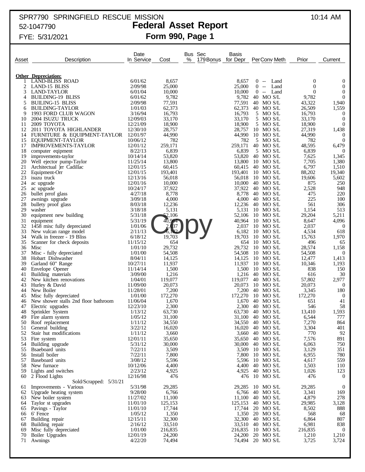## SPR7790 SPRINGFIELD RESCUE MISSION 10:14 AM 52-1047790 **Federal Asset Report**

# FYE: 5/31/2021 **Form 990, Page 1**

|          |                                                        | Date                 |                   | Bus Sec<br>Basis           |                 |                                      |                                |                                    |
|----------|--------------------------------------------------------|----------------------|-------------------|----------------------------|-----------------|--------------------------------------|--------------------------------|------------------------------------|
| Asset    | Description                                            | In Service           | Cost              | %<br>for Depr<br>179 Bonus |                 | Per Conv Meth                        | Prior                          | Current                            |
|          |                                                        |                      |                   |                            |                 |                                      |                                |                                    |
|          | <b>Other Depreciation:</b>                             |                      |                   |                            |                 |                                      |                                |                                    |
|          | <b>LAND-BLISS ROAD</b>                                 | 6/01/62              | 8,657             |                            | 8,657           | $0 -$<br>Land                        | 0                              | $\overline{0}$                     |
| 2<br>3   | LAND-15 BLISS<br><b>LAND-TAYLOR</b>                    | 2/09/98<br>6/01/04   | 25,000            | 25,000                     |                 | Land<br>$0 -$<br>$0 -$               | $\mathbf{0}$<br>$\overline{0}$ | $\boldsymbol{0}$<br>$\overline{0}$ |
| 4        | <b>BUILDING-19 BLISS</b>                               | 6/01/62              | 10,000<br>9,782   | 10,000                     | 9,782           | Land<br>40 MO S/L                    | 9,782                          | $\overline{0}$                     |
| 5        | <b>BUILING-15 BLISS</b>                                | 2/09/98              | 77,591            | 77,591                     |                 | 40 MO S/L                            | 43,322                         | 1,940                              |
| 6        | <b>BUILDING-TAYLOR</b>                                 | 1/01/03              | 62,373            | 62,373                     |                 | 40 MO S/L                            | 26,509                         | 1,559                              |
| 9        | 1993 FORD CLUB WAGON                                   | 3/16/94              | 16,793            | 16,793                     |                 | 5 MO S/L                             | 16,793                         | $\theta$                           |
| 10       | 2004 ISUZU TRUCK                                       | 12/09/03             | 33,170            | 33,170                     |                 | 5 MO S/L                             | 33,170                         | $\overline{0}$                     |
| 11       | 2009 TOYOTA                                            | 12/21/09<br>12/30/10 | 18,900            | 18,900                     |                 | 5 MO S/L                             | 18,900                         | $\theta$                           |
| 12<br>14 | 2011 TOYOTA HIGHLANDER<br>FURNITURE & EQUIPMENT-TAYLOR | 12/01/97             | 28,757<br>44,990  | 28,757<br>44,990           |                 | $10$ MO S/L<br>$10$ MO S/L           | 27,319<br>44,990               | 1,438<br>$\theta$                  |
| 15       | EQUIPMENT-TAYLOR                                       | 10/06/12             | 782               |                            | 782             | 5 MO S/L                             | 782                            | $\overline{0}$                     |
| 17       | <b>IMPROVEMENTS-TAYLOR</b>                             | 12/01/12             | 259,171           | 259,171                    |                 | 40 MO S/L                            | 48,595                         | 6,479                              |
| 18       | computer eqipment                                      | 8/22/13              | 6,839             |                            | 6,839           | 5 MO S/L                             | 6,839                          | $\overline{0}$                     |
| 19       | improvements-taylor                                    | 10/14/14             | 53,820            | 53,820                     |                 | 40 MO S/L                            | 7,625                          | 1,345                              |
| 20       | Well ejector pump-Taylor                               | 11/25/14             | 13,800            | 13,800                     |                 | $10$ MO S/L                          | 7,705                          | 1,380                              |
| 21<br>22 | Architectual )rr Cadillac<br>Equipment-Orr             | 12/01/15<br>12/01/15 | 60,415<br>193,401 | 60,415<br>193,401          |                 | 40 MO S/L<br>$10$ MO S/L             | 6,797<br>88,202                | 1,510<br>19,340                    |
| 23       | isuzu truck                                            | 12/13/16             | 56,018            | 56,018                     |                 | 10 MO S/L                            | 19,606                         | 5,602                              |
| 24       | ac upgrade                                             | 12/01/16             | 10,000            | 10,000                     |                 | 40 MO S/L                            | 875                            | 250                                |
| 25       | ac upgrade                                             | 10/24/17             | 37,922            |                            | 37,922          | 40 MO S/L                            | 2,528                          | 948                                |
| 26       | bullet prrof glass                                     | 4/27/18              | 8,778             |                            | 8,778           | 40 MO S/L                            | 475                            | 220                                |
| 27       | awnings upgrade                                        | 3/09/18              | 4,000             |                            | 4,000           | 40 MO S/L                            | 225                            | 100                                |
| 28<br>29 | bullety proof glass<br>washer                          | 8/03/18<br>3/18/18   | 12,236<br>5,131   |                            | 12,236<br>5,131 | 40 MO S/L<br>$10$ MO S/L             | 561<br>1,154                   | 306<br>513                         |
| 30       | equipment new building                                 | 5/31/18              | 2,106             | 52,106                     |                 | $10$ MO S/L                          | 29,204                         | 5,211                              |
| 31       | equipment                                              | 5/31/19              | 964               | 40,964                     |                 | $10$ MO S/L                          | 8,647                          | 4,096                              |
| 32       | 1458 misc fully depreciated                            | 1/01/06              | β7                |                            | 2,037           | $10$ MO S/L                          | 2,037                          | $\theta$                           |
| 33       | New vulcan range model                                 | 2/11/13              |                   |                            | 6,182           | $10$ MO S/L                          | 4,534                          | 618                                |
| 34       | Walk in freezer - 19 Bliss                             | 6/18/12              | 19,703            | 19,703                     |                 | $10$ MO S/L                          | 15,763                         | 1,970                              |
| 35<br>36 | Scanner for check deposits<br>Misc                     | 11/15/12<br>1/01/10  | 654<br>29,732     |                            | 654<br>29,732   | $10$ MO S/L<br>$10$ MO S/L           | 496<br>28,574                  | 65<br>1,158                        |
| 37       | Misc - fully depreciated                               | 1/01/00              | 54,508            | 54,508                     |                 | $10$ MO S/L                          | 54,508                         | $\theta$                           |
| 38       | Hobart Dishwasher                                      | 8/04/11              | 14,125            | 14,125                     |                 | $10$ MO S/L                          | 12,477                         | 1,413                              |
| 39       | Garland 60" Range                                      | 10/27/11             | 11,937            |                            | 11,937          | $10$ MO S/L                          | 10,346                         | 1,193                              |
| 40       | Envelope Opener                                        | 11/14/14             | 1,500             |                            | 1,500           | $10$ MO S/L                          | 838                            | 150                                |
| 41       | Building materials                                     | 3/09/00              | 1,216             |                            | 1,216           | 40 MO S/L                            | 616                            | 30                                 |
| 42<br>43 | New kitchen renovations<br>Hurley & David              | 1/04/01<br>11/09/00  | 119,077<br>20,073 | 119,077<br>20,073          |                 | 40 MO S/L<br>10 MO S/L               | 57,802<br>20,073               | 2,977<br>$\theta$                  |
| 44       | New Boiler                                             | 11/28/01             | 7,200             |                            | 7,200           | 40 MO S/L                            | 3,345                          | 180                                |
| 45       | Misc fully depreciated                                 | 1/01/00              | 172,270           | 172,270                    |                 | 10 MO S/L                            | 172,270                        | $\overline{0}$                     |
| 46       | New shower stalls 2nd floor bathroom                   | 11/06/04             | 1,670             |                            | 1,670           | 40 MO S/L                            | 651                            | 41                                 |
| 47       | Electric upgrades                                      | 12/23/10             | 2,300             |                            | 2,300           | 40 MO S/L                            | 546                            | 58                                 |
| 48       | Sprinkler System                                       | 1/13/12              | 63,730            |                            |                 | 63,730 40 MO S/L                     | 13,410                         | 1,593                              |
| 50       | 49 Fire alarm system<br>Roof replacement               | 1/05/12<br>1/11/12   | 31,100<br>34,550  |                            |                 | 31,100 40 MO S/L<br>34,550 40 MO S/L | 6,544<br>7,270                 | 777<br>864                         |
| 51       | General building                                       | 3/22/12              | 16,020            |                            | 16,020          | 40 MO S/L                            | 3,304                          | 401                                |
| 52       | Stair hut modifications                                | 1/11/12              | 3,660             |                            |                 | 3,660 40 MO S/L                      | 770                            | 92                                 |
|          | 53 Fire system                                         | 12/01/11             | 35,650            |                            |                 | 35,650 40 MO S/L                     | 7,576                          | 891                                |
| 54       | Building upgrade                                       | 5/31/12              | 30,000            |                            |                 | 30,000 40 MO S/L                     | 6,063                          | 750                                |
| 55       | Bsaeboard units                                        | 7/22/11              | 3,509             |                            |                 | 3,509 10 MO S/L                      | 3,129                          | 351                                |
| 56       | Install boiler<br>57 Baseboard units                   | 7/22/11<br>3/08/12   | 7,800<br>5,596    |                            |                 | 7,800 10 MO S/L<br>5,596 10 MO S/L   | 6,955<br>4,617                 | 780<br>559                         |
| 58       | New furnace                                            | 10/12/06             | 4,400             |                            |                 | 4,400 40 MO S/L                      | 1,503                          | 110                                |
| 59       | Lights and switches                                    | 2/23/12              | 4,925             |                            |                 | 4,925 40 MO S/L                      | 1,026                          | 123                                |
| 60       | 2 Flood Lights                                         | 12/16/98             | 476               |                            |                 | 476 10 MO S/L                        | 476                            | $\boldsymbol{0}$                   |
|          | Sold/Scrapped: 5/31/21                                 |                      |                   |                            |                 |                                      |                                |                                    |
| 61       | Improvements - Various                                 | 5/31/98              | 29,285            |                            |                 | 29,285 10 MO S/L                     | 29,285                         | $\overline{0}$                     |
| 63       | 62 Upgrade heating system<br>New boiler system         | 9/28/00<br>11/27/02  | 6,766<br>11,100   |                            | 11,100          | 6,766 40 MO S/L<br>40 MO S/L         | 3,341<br>4,879                 | 169<br>278                         |
| 64       | Taylor st upgrades                                     | 11/01/10             | 125,153           | 125,153                    |                 | 40 MO S/L                            | 29,985                         | 3,128                              |
| 65       | Pavings - Taylor                                       | 11/01/10             | 17,744            |                            |                 | 17,744 20 MO S/L                     | 8,502                          | 888                                |
|          | 66 6' Fence                                            | 1/05/12              | 1,350             |                            |                 | 1,350 20 MO S/L                      | 568                            | 68                                 |
| 67       | Building repair                                        | 12/15/11             | 32,300            |                            |                 | 32,300 40 MO S/L                     | 6,864                          | 807                                |
| 68       | Building repair                                        | 2/16/12              | 33,510            |                            |                 | 33,510 40 MO S/L                     | 6,981                          | 838                                |
| 69       | Misc fully depreciated                                 | 1/01/00              | 216,835           |                            |                 | 216,835 10 MO S/L                    | 216,835                        | $\overline{0}$                     |
| 70<br>71 | Boiler Upgrades<br>Awnings                             | 12/01/19<br>4/22/20  | 24,200<br>74,494  |                            |                 | 24,200 20 MO S/L<br>74,494 20 MO S/L | 1,210<br>3,725                 | 1,210<br>3,724                     |
|          |                                                        |                      |                   |                            |                 |                                      |                                |                                    |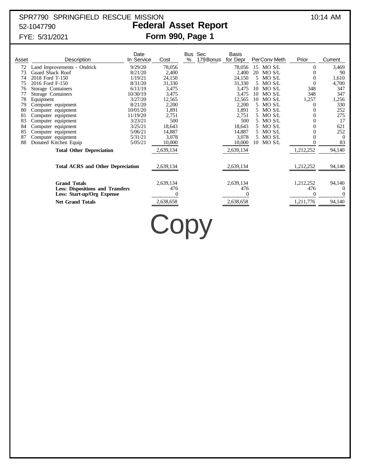# SPR7790 SPRINGFIELD RESCUE MISSION 10:14 AM

# 52-1047790 **Federal Asset Report** FYE: 5/31/2021 **Form 990, Page 1**

| Asset | Description                                                                                  | Date<br>In Service | Cost      | Bus<br>$\%$ | Sec<br>179 Bonus | Basis<br>for Depr                  | PerConv Meth     | Prior                              | Current                                          |
|-------|----------------------------------------------------------------------------------------------|--------------------|-----------|-------------|------------------|------------------------------------|------------------|------------------------------------|--------------------------------------------------|
| 72    | Land Improvements - Ondrick                                                                  | 9/29/20            | 78,056    |             |                  | 78,056                             | 15 MO S/L        | 0                                  | 3,469                                            |
| 73    | Guard Shack Roof                                                                             | 8/21/20            | 2,400     |             |                  | 2,400                              | 20<br>MO S/L     |                                    | 90                                               |
| 74    | 2018 Ford T-150                                                                              | 1/19/21            | 24,150    |             |                  | 24,150                             | 5<br>MO S/L      | 0                                  | 1,610                                            |
| 75    | 2016 Ford F-150                                                                              | 8/31/20            | 31,330    |             |                  | 31,330                             | MO S/L<br>.5     | $\theta$                           | 4,700                                            |
| 76    | Storage Containers                                                                           | 6/11/19            | 3,475     |             |                  | 3,475                              | MO S/L<br>10     | 348                                | 347                                              |
| 77    | Storage Containers                                                                           | 10/30/19           | 3,475     |             |                  | 3,475                              | MO S/L<br>10     | 348                                | 347                                              |
| 78    | Equipment                                                                                    | 3/27/20            | 12,565    |             |                  | 12,565                             | $MO$ $S/L$<br>10 | 1,257                              | 1,256                                            |
| 79    | Computer equipment                                                                           | 8/21/20            | 2,200     |             |                  | 2,200                              | 5.<br>MO S/L     | $^{(1)}$                           | 330                                              |
| 80    | Computer equipment                                                                           | 10/01/20           | 1,891     |             |                  | 1,891                              | MO S/L           |                                    | 252                                              |
| 81    | Computer equipment                                                                           | 11/19/20           | 2,751     |             |                  | 2,751                              | 5.<br>MO S/L     |                                    | 275                                              |
| 83    | Computer equipment                                                                           | 3/23/21            | 500       |             |                  | 500                                | MO S/L           |                                    | 17                                               |
| 84    | Computer equipment                                                                           | 3/25/21            | 18,643    |             |                  | 18,643                             | MO S/L<br>5.     |                                    | 621                                              |
| 85    | Computer equipment                                                                           | 5/06/21            | 14,887    |             |                  | 14,887                             | MO S/L           |                                    | 252                                              |
| 87    | Computer equipment                                                                           | 5/31/21            | 3,078     |             |                  | 3,078                              | 5 MO S/L         | 0                                  | $\bigcap$                                        |
| 88    | Donated Kitchen Equip                                                                        | 5/05/21            | 10,000    |             |                  | 10,000                             | MO S/L<br>10     |                                    | 83                                               |
|       | <b>Total Other Depreciation</b>                                                              |                    | 2,639,134 |             |                  | 2,639,134                          |                  | 1,212,252                          | 94,140                                           |
|       | <b>Total ACRS and Other Depreciation</b>                                                     |                    | 2,639,134 |             |                  | 2,639,134                          |                  | 1,212,252                          | 94,140                                           |
|       | <b>Grand Totals</b><br><b>Less: Dispositions and Transfers</b><br>Less: Start-up/Org Expense |                    |           |             |                  | 2,639,134<br>476<br>0<br>2,638,658 |                  | 1,212,252<br>476<br>0<br>1,211,776 | 94,140<br>$\theta$<br>$\left( \right)$<br>94,140 |
|       | <b>Net Grand Totals</b>                                                                      |                    | 2,638,658 |             |                  |                                    |                  |                                    |                                                  |

Copy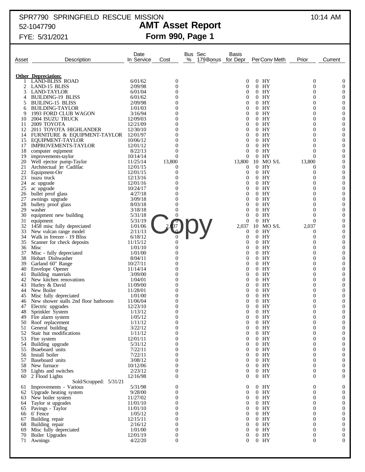## SPR7790 SPRINGFIELD RESCUE MISSION 10:14 AM 52-1047790 **AMT Asset Report**

# FYE: 5/31/2021 **Form 990, Page 1**

| Asset    | Description                                      | Date<br>In Service   | Cost                         | % | Bus Sec<br>179 Bonus for Depr | Basis                 | PerConv Meth                   | Prior                        | Current                              |
|----------|--------------------------------------------------|----------------------|------------------------------|---|-------------------------------|-----------------------|--------------------------------|------------------------------|--------------------------------------|
|          | <b>Other Depreciation:</b>                       |                      |                              |   |                               |                       |                                |                              |                                      |
|          | <b>LAND-BLISS ROAD</b>                           | 6/01/62              | $\boldsymbol{0}$             |   |                               | $\theta$              | $0$ HY                         | $\boldsymbol{0}$             | $\boldsymbol{0}$                     |
| 2        | LAND-15 BLISS                                    | 2/09/98              | $\overline{0}$               |   |                               | 0                     | $\overline{0}$<br>HY           | $\boldsymbol{0}$             | $\boldsymbol{0}$                     |
| 3        | <b>LAND-TAYLOR</b>                               | 6/01/04              | $\overline{0}$               |   |                               | 0                     | $0$ HY                         | $\overline{0}$               | $\boldsymbol{0}$                     |
| 4        | <b>BUILDING-19 BLISS</b>                         | 6/01/62              | $\overline{0}$               |   |                               | 0                     | $0$ HY                         | 0                            | $\boldsymbol{0}$                     |
| 5        | <b>BUILING-15 BLISS</b>                          | 2/09/98              | $\Omega$                     |   |                               | 0                     | $0$ HY                         | $\mathbf{0}$                 | $\boldsymbol{0}$                     |
| 6        | <b>BUILDING-TAYLOR</b>                           | 1/01/03              | 0                            |   |                               | 0                     | $0$ HY                         | 0                            | $\boldsymbol{0}$                     |
| 9        | 1993 FORD CLUB WAGON                             | 3/16/94              | $\Omega$                     |   |                               | 0                     | HY<br>$\overline{0}$           | $\overline{0}$               | $\boldsymbol{0}$                     |
| 10       | 2004 ISUZU TRUCK                                 | 12/09/03             | 0                            |   |                               | 0                     | HY<br>$\theta$                 | 0                            | $\boldsymbol{0}$                     |
| 11<br>12 | 2009 TOYOTA<br>2011 TOYOTA HIGHLANDER            | 12/21/09             | $\Omega$<br>0                |   |                               | 0<br>0                | $0$ HY<br>$0$ HY               | $\overline{0}$<br>0          | $\boldsymbol{0}$<br>$\boldsymbol{0}$ |
| 14       | FURNITURE & EQUIPMENT-TAYLOR                     | 12/30/10<br>12/01/97 | $\Omega$                     |   |                               | 0                     | $0$ HY                         | $\mathbf{0}$                 | $\boldsymbol{0}$                     |
| 15       | EQUIPMENT-TAYLOR                                 | 10/06/12             | 0                            |   |                               | 0                     | HY<br>$\overline{0}$           | 0                            | $\boldsymbol{0}$                     |
| 17       | <b>IMPROVEMENTS-TAYLOR</b>                       | 12/01/12             | $\overline{0}$               |   |                               | 0                     | $0$ HY                         | $\mathbf{0}$                 | $\boldsymbol{0}$                     |
| 18       | computer eqipment                                | 8/22/13              | $\overline{0}$               |   |                               | 0                     | HY<br>$\overline{0}$           | $\mathbf{0}$                 | $\boldsymbol{0}$                     |
| 19       | improvements-taylor                              | 10/14/14             | $\theta$                     |   |                               | $\theta$              | HY<br>$\overline{0}$           | $\overline{0}$               | $\boldsymbol{0}$                     |
| 20       | Well ejector pump-Taylor                         | 11/25/14             | 13,800                       |   |                               | 13,800                | 10 MO S/L                      | 13,800                       | $\boldsymbol{0}$                     |
| 21       | Architectual )rr Cadillac                        | 12/01/15             | 0                            |   |                               | $\boldsymbol{0}$      | HY<br>$\overline{0}$           | 0                            | $\boldsymbol{0}$                     |
| 22       | Equipment-Orr                                    | 12/01/15             | $\overline{0}$               |   |                               | $\boldsymbol{0}$      | $0$ HY                         | 0                            | $\boldsymbol{0}$                     |
| 23       | isuzu truck                                      | 12/13/16             | $\overline{0}$               |   |                               | $\theta$              | $0$ HY                         | $\mathbf{0}$                 | $\boldsymbol{0}$                     |
| 24       | ac upgrade                                       | 12/01/16             | 0                            |   |                               | 0                     | HY<br>$\overline{0}$           | 0                            | $\boldsymbol{0}$                     |
| 25       | ac upgrade                                       | 10/24/17             | $\Omega$                     |   |                               | 0                     | $0$ HY                         | $\overline{0}$               | $\boldsymbol{0}$                     |
| 26<br>27 | bullet prrof glass                               | 4/27/18<br>3/09/18   | 0<br>$\theta$                |   |                               | 0<br>0                | $0$ HY<br>$0$ HY               | 0<br>$\mathbf{0}$            | $\boldsymbol{0}$<br>$\boldsymbol{0}$ |
| 28       | awnings upgrade<br>bullety proof glass           | 8/03/18              | $\overline{0}$               |   |                               | 0                     | HY<br>$\overline{0}$           | 0                            | $\boldsymbol{0}$                     |
| 29       | washer                                           | 3/18/18              | $\overline{0}$               |   |                               | 0                     | $0$ HY                         | $\mathbf{0}$                 | $\boldsymbol{0}$                     |
| 30       | equipment new building                           | 5/31/18              | $\overline{0}$               |   |                               | 0                     | HY<br>$\overline{0}$           | $\overline{0}$               | $\boldsymbol{0}$                     |
| 31       | equipment                                        | 5/31/19              |                              |   |                               | $\mathbf{0}$          | HY<br>$\overline{0}$           | $\overline{0}$               | $\boldsymbol{0}$                     |
| 32       | 1458 misc fully depreciated                      | 1/01/06              |                              |   |                               | 2,037                 | MO S/L<br>10                   | 2,037                        | $\boldsymbol{0}$                     |
| 33       | New vulcan range model                           | 2/11/13              |                              |   |                               | $\boldsymbol{0}$      | $0$ HY                         | 0                            | $\boldsymbol{0}$                     |
| 34       | Walk in freezer - 19 Bliss                       | 6/18/12              |                              |   |                               | $\boldsymbol{0}$      | $0$ HY                         | 0                            | $\boldsymbol{0}$                     |
| 35       | Scanner for check deposits                       | 11/15/12             | $\overline{0}$               |   |                               | $\theta$              | HY<br>$\overline{0}$           | $\overline{0}$               | $\boldsymbol{0}$                     |
| 36       | Misc                                             | 1/01/10              | $\overline{0}$               |   |                               | 0                     | HY<br>$\overline{0}$           | 0                            | $\boldsymbol{0}$                     |
| 37<br>38 | Misc - fully depreciated<br>Hobart Dishwasher    | 1/01/00<br>8/04/11   | $\overline{0}$<br>0          |   |                               | 0<br>0                | $0$ HY<br>HY<br>$\overline{0}$ | $\overline{0}$<br>0          | $\boldsymbol{0}$<br>$\boldsymbol{0}$ |
| 39       | Garland 60" Range                                | 10/27/11             | $\theta$                     |   |                               | 0                     | $0$ HY                         | $\overline{0}$               | $\boldsymbol{0}$                     |
| 40       | Envelope Opener                                  | 11/14/14             | 0                            |   |                               | 0                     | HY<br>$\overline{0}$           | 0                            | $\boldsymbol{0}$                     |
| 41       | Building materials                               | 3/09/00              | $\Omega$                     |   |                               | 0                     | $0$ HY                         | $\overline{0}$               | $\boldsymbol{0}$                     |
| 42       | New kitchen renovations                          | 1/04/01              | 0                            |   |                               | 0                     | HY<br>$\overline{0}$           | 0                            | $\boldsymbol{0}$                     |
| 43       | Hurley & David                                   | 11/09/00             | $\overline{0}$               |   |                               | 0                     | HY<br>$\overline{0}$           | $\overline{0}$               | $\boldsymbol{0}$                     |
| 44       | New Boiler                                       | 11/28/01             | 0                            |   |                               | 0                     | HY<br>$\overline{0}$           | 0                            | $\boldsymbol{0}$                     |
| 45       | Misc fully depreciated                           | 1/01/00              | $\Omega$                     |   |                               | 0                     | $0$ HY                         | $\overline{0}$               | $\boldsymbol{0}$                     |
| 46       | New shower stalls 2nd floor bathroom             | 11/06/04             | 0                            |   |                               | 0                     | HY<br>$\overline{0}$           | 0                            | $\boldsymbol{0}$                     |
| 47       | Electric upgrades                                | 12/23/10             | $\overline{0}$               |   |                               | 0                     | HY<br>$\overline{0}$           | $\overline{0}$               | $\boldsymbol{0}$                     |
| 48       | Sprinkler System                                 | 1/13/12              | $\overline{0}$               |   |                               | 0                     | HY<br>0                        | $\overline{0}$               | $\boldsymbol{0}$                     |
| 49<br>50 | Fire alarm system<br>Roof replacement            | 1/05/12<br>1/11/12   | $\bf{0}$<br>$\boldsymbol{0}$ |   |                               | 0<br>$\boldsymbol{0}$ | $0$ HY<br>$0$ HY               | $\bf{0}$<br>$\boldsymbol{0}$ | $\theta$<br>$\boldsymbol{0}$         |
| 51       | General building                                 | 3/22/12              | $\boldsymbol{0}$             |   |                               | $\boldsymbol{0}$      | $0$ HY                         | 0                            | $\boldsymbol{0}$                     |
| 52       | Stair hut modifications                          | 1/11/12              | $\boldsymbol{0}$             |   |                               | $\boldsymbol{0}$      | $0$ HY                         | 0                            | $\boldsymbol{0}$                     |
| 53       | Fire system                                      | 12/01/11             | $\overline{0}$               |   |                               | $\boldsymbol{0}$      | $0$ HY                         | $\overline{0}$               | $\boldsymbol{0}$                     |
| 54       | Building upgrade                                 | 5/31/12              | $\overline{0}$               |   |                               | $\boldsymbol{0}$      | $0$ HY                         | 0                            | $\boldsymbol{0}$                     |
| 55       | Bsaeboard units                                  | 7/22/11              | $\overline{0}$               |   |                               | $\boldsymbol{0}$      | $0$ HY                         | $\overline{0}$               | $\boldsymbol{0}$                     |
| 56       | Install boiler                                   | 7/22/11              | $\overline{0}$               |   |                               | $\boldsymbol{0}$      | $0$ HY                         | 0                            | $\boldsymbol{0}$                     |
| 57       | Baseboard units                                  | 3/08/12              | $\overline{0}$               |   |                               | $\boldsymbol{0}$      | $0$ HY                         | $\overline{0}$               | $\boldsymbol{0}$                     |
| 58       | New furnace                                      | 10/12/06             | $\overline{0}$               |   |                               | $\boldsymbol{0}$      | $0$ HY                         | $\boldsymbol{0}$             | $\boldsymbol{0}$                     |
| 59       | Lights and switches                              | 2/23/12              | $\overline{0}$               |   |                               | $\boldsymbol{0}$      | $0$ HY                         | $\boldsymbol{0}$             | $\boldsymbol{0}$                     |
| 60       | 2 Flood Lights                                   | 12/16/98             | $\overline{0}$               |   |                               | $\overline{0}$        | $0$ HY                         | $\boldsymbol{0}$             | $\mathbf{0}$                         |
|          | Sold/Scrapped: 5/31/21<br>Improvements - Various | 5/31/98              | 0                            |   |                               | $\boldsymbol{0}$      | $0$ HY                         | 0                            |                                      |
| 61<br>62 | Upgrade heating system                           | 9/28/00              | $\boldsymbol{0}$             |   |                               | $\boldsymbol{0}$      | $0$ HY                         | 0                            | $\boldsymbol{0}$<br>$\boldsymbol{0}$ |
| 63       | New boiler system                                | 11/27/02             | $\boldsymbol{0}$             |   |                               | $\boldsymbol{0}$      | $0$ HY                         | 0                            | $\boldsymbol{0}$                     |
| 64       | Taylor st upgrades                               | 11/01/10             | $\overline{0}$               |   |                               | $\boldsymbol{0}$      | $0$ HY                         | $\overline{0}$               | $\boldsymbol{0}$                     |
| 65       | Pavings - Taylor                                 | 11/01/10             | $\overline{0}$               |   |                               | 0                     | $0$ HY                         | 0                            | $\boldsymbol{0}$                     |
| 66       | 6' Fence                                         | 1/05/12              | $\overline{0}$               |   |                               | $\boldsymbol{0}$      | $0$ HY                         | $\mathbf{0}$                 | $\boldsymbol{0}$                     |
| 67       | Building repair                                  | 12/15/11             | $\overline{0}$               |   |                               | 0                     | $0$ HY                         | 0                            | $\boldsymbol{0}$                     |
| 68       | Building repair                                  | 2/16/12              | $\overline{0}$               |   |                               | $\boldsymbol{0}$      | $0$ HY                         | $\overline{0}$               | $\boldsymbol{0}$                     |
| 69       | Misc fully depreciated                           | 1/01/00              | $\boldsymbol{0}$             |   |                               | $\boldsymbol{0}$      | $0$ HY                         | 0                            | $\boldsymbol{0}$                     |
| 70       | Boiler Upgrades                                  | 12/01/19             | $\boldsymbol{0}$             |   |                               | $\boldsymbol{0}$      | $0$ HY                         | 0                            | $\boldsymbol{0}$                     |
| 71       | Awnings                                          | 4/22/20              | $\overline{0}$               |   |                               | $\overline{0}$        | $0$ HY                         | $\overline{0}$               | $\mathbf{0}$                         |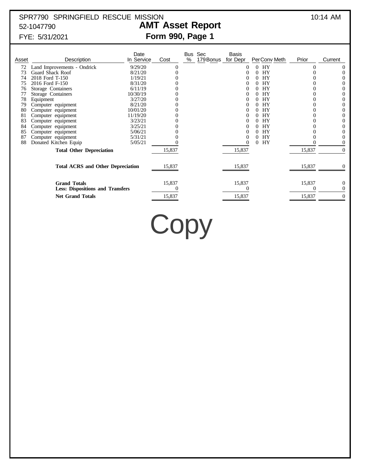# SPR7790 SPRINGFIELD RESCUE MISSION 10:14 AM 52-1047790 **AMT Asset Report**

# FYE: 5/31/2021 **Form 990, Page 1**

| Asset | Description                                                    | Date<br>In Service | Cost     | Bus<br>% | Sec<br>179 Bonus | Basis<br>for Depr | PerConv Meth | Prior  | Current        |
|-------|----------------------------------------------------------------|--------------------|----------|----------|------------------|-------------------|--------------|--------|----------------|
| 72    | Land Improvements - Ondrick                                    | 9/29/20            | $\left($ |          |                  | $\theta$          | HY<br>0      |        | $\theta$       |
| 73    | Guard Shack Roof                                               | 8/21/20            |          |          |                  |                   | HY<br>0      |        | $\theta$       |
| 74    | 2018 Ford T-150                                                | 1/19/21            |          |          |                  | $\theta$          | HY<br>0      |        |                |
| 75    | 2016 Ford F-150                                                | 8/31/20            |          |          |                  | $\theta$          | <b>HY</b>    |        | $_{0}$         |
| 76    | Storage Containers                                             | 6/11/19            |          |          |                  |                   | <b>HY</b>    |        | $\theta$       |
|       | Storage Containers                                             | 10/30/19           |          |          |                  | 0                 | HY<br>0      |        | $_{0}$         |
| 78    | Equipment                                                      | 3/27/20            |          |          |                  | $\theta$          | HY           |        | 0              |
| 79    | Computer equipment                                             | 8/21/20            |          |          |                  |                   | <b>HY</b>    |        | 0              |
| 80    | Computer equipment                                             | 10/01/20           |          |          |                  | 0                 | HY<br>0      |        | 0              |
| 81    | Computer equipment                                             | 11/19/20           |          |          |                  | $\theta$          | <b>HY</b>    |        | $_{0}$         |
| 83    | Computer equipment                                             | 3/23/21            |          |          |                  |                   | HY           |        | 0              |
| 84    | Computer equipment                                             | 3/25/21            |          |          |                  | $\theta$          | HY<br>0      |        |                |
| 85    | Computer equipment                                             | 5/06/21            |          |          |                  | $\theta$          | HY           |        | $_{0}$         |
| 87    | Computer equipment                                             | 5/31/21            |          |          |                  |                   | HY<br>0      |        | 0              |
| 88    | Donated Kitchen Equip                                          | 5/05/21            |          |          |                  |                   | HY<br>0      |        | 0              |
|       | <b>Total Other Depreciation</b>                                |                    | 15,837   |          |                  | 15,837            |              | 15,837 | $\Omega$       |
|       | <b>Total ACRS and Other Depreciation</b>                       |                    | 15,837   |          |                  | 15,837            |              | 15,837 |                |
|       | <b>Grand Totals</b><br><b>Less: Dispositions and Transfers</b> |                    | 15,837   |          |                  | 15,837            |              | 15,837 | 0              |
|       | <b>Net Grand Totals</b>                                        |                    | 15,837   |          |                  | 15,837            |              | 15,837 | $\overline{0}$ |

Copy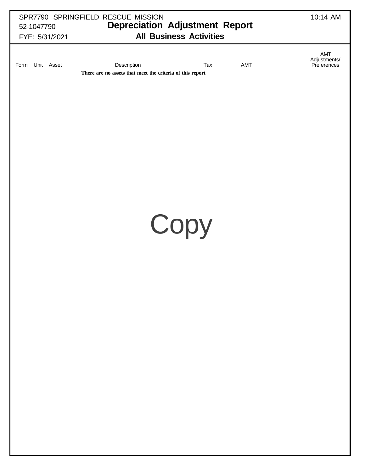| 52-1047790<br>FYE: 5/31/2021 | SPR7790 SPRINGFIELD RESCUE MISSION<br><b>Depreciation Adjustment Report</b><br><b>All Business Activities</b> | 10:14 AM                           |
|------------------------------|---------------------------------------------------------------------------------------------------------------|------------------------------------|
| Form Unit Asset              | Description<br>Tax<br>AMT<br>There are no assets that meet the criteria of this report                        | AMT<br>Adjustments/<br>Preferences |
|                              | Copy                                                                                                          |                                    |
|                              |                                                                                                               |                                    |
|                              |                                                                                                               |                                    |
|                              |                                                                                                               |                                    |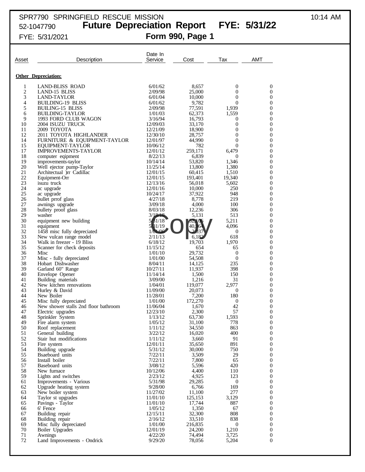### SPR7790 SPRINGFIELD RESCUE MISSION 10:14 AM 52-1047790 **Future Depreciation Report FYE: 5/31/22** FYE: 5/31/2021 **Form 990, Page 1**

| Asset               | Description                                               | Date In<br>Service   | Cost              | Tax                     | AMT                                  |
|---------------------|-----------------------------------------------------------|----------------------|-------------------|-------------------------|--------------------------------------|
|                     |                                                           |                      |                   |                         |                                      |
|                     | <b>Other Depreciation:</b>                                |                      |                   |                         |                                      |
| 1                   | <b>LAND-BLISS ROAD</b>                                    | 6/01/62              | 8,657             | $\boldsymbol{0}$        | 0                                    |
| $\overline{c}$<br>3 | <b>LAND-15 BLISS</b><br>LAND-TAYLOR                       | 2/09/98<br>6/01/04   | 25,000<br>10,000  | 0<br>$\mathbf{0}$       | $\mathbf{0}$<br>0                    |
| 4                   | <b>BUILDING-19 BLISS</b>                                  | 6/01/62              | 9,782             | 0                       | 0                                    |
| 5                   | <b>BUILING-15 BLISS</b>                                   | 2/09/98              | 77,591            | 1,939                   | 0                                    |
| 6<br>9              | <b>BUILDING-TAYLOR</b>                                    | 1/01/03<br>3/16/94   | 62,373<br>16,793  | 1,559                   | 0<br>$\boldsymbol{0}$                |
| 10                  | 1993 FORD CLUB WAGON<br>2004 ISUZU TRUCK                  | 12/09/03             | 33,170            | 0<br>$\overline{0}$     | $\overline{0}$                       |
| 11                  | 2009 TOYOTA                                               | 12/21/09             | 18,900            | $\overline{0}$          | 0                                    |
| 12                  | 2011 TOYOTA HIGHLANDER                                    | 12/30/10             | 28,757            | 0                       | $\boldsymbol{0}$                     |
| 14<br>15            | FURNITURE & EQUIPMENT-TAYLOR<br>EQUIPMENT-TAYLOR          | 12/01/97<br>10/06/12 | 44,990<br>782     | $\mathbf{0}$<br>0       | $\boldsymbol{0}$<br>$\boldsymbol{0}$ |
| 17                  | <b>IMPROVEMENTS-TAYLOR</b>                                | 12/01/12             | 259,171           | 6,479                   | $\boldsymbol{0}$                     |
| 18                  | computer eqipment                                         | 8/22/13              | 6,839             | 0                       | $\boldsymbol{0}$                     |
| 19<br>20            | improvements-taylor                                       | 10/14/14<br>11/25/14 | 53,820            | 1,346                   | $\boldsymbol{0}$<br>$\boldsymbol{0}$ |
| 21                  | Well ejector pump-Taylor<br>Architectual )rr Cadillac     | 12/01/15             | 13,800<br>60,415  | 1,380<br>1.510          | 0                                    |
| 22                  | Equipment-Orr                                             | 12/01/15             | 193,401           | 19,340                  | 0                                    |
| 23                  | isuzu truck                                               | 12/13/16             | 56,018            | 5,602                   | $\boldsymbol{0}$                     |
| 24<br>25            | ac upgrade<br>ac upgrade                                  | 12/01/16<br>10/24/17 | 10,000<br>37,922  | 250<br>948              | $\overline{0}$<br>0                  |
| 26                  | bullet prrof glass                                        | 4/27/18              | 8,778             | 219                     | 0                                    |
| 27                  | awnings upgrade                                           | 3/09/18              | 4,000             | 100                     | $\boldsymbol{0}$                     |
| 28<br>29            | bullety proof glass<br>washer                             | 8/03/18              | 12,236<br>5,131   | 306<br>513              | $\overline{0}$<br>0                  |
| 30                  | equipment new building                                    | 3/18/18<br>31/18     | 52.106            | 5,211                   | 0                                    |
| 31                  | equipment                                                 | B1/19                | 16                | 4,096                   | $\boldsymbol{0}$                     |
| 32                  | 1458 misc fully depreciated                               | 1/01/06              |                   | $\bf{0}$                | $\overline{0}$                       |
| 33<br>34            | New vulcan range model<br>Walk in freezer - 19 Bliss      | 2/11/13<br>6/18/12   | 6,182<br>19,703   | 618<br>1,970            | 0<br>$\boldsymbol{0}$                |
| 35                  | Scanner for check deposits                                | 11/15/12             | 654               | 65                      | $\boldsymbol{0}$                     |
| 36                  | Misc                                                      | 1/01/10              | 29,732            | $\mathbf{0}$            | $\overline{0}$                       |
| 37<br>38            | Misc - fully depreciated<br>Hobart Dishwasher             | 1/01/00<br>8/04/11   | 54,508<br>14,125  | $\mathbf{0}$<br>235     | 0<br>$\boldsymbol{0}$                |
| 39                  | Garland 60" Range                                         | 10/27/11             | 11,937            | 398                     | $\boldsymbol{0}$                     |
| 40                  | Envelope Opener                                           | 11/14/14             | 1,500             | 150                     | $\boldsymbol{0}$                     |
| 41                  | Building materials                                        | 3/09/00              | 1,216             | 31                      | 0<br>$\boldsymbol{0}$                |
| 42<br>43            | New kitchen renovations<br>Hurley & David                 | 1/04/01<br>11/09/00  | 119,077<br>20,073 | 2,977<br>0              | $\boldsymbol{0}$                     |
| 44                  | New Boiler                                                | 11/28/01             | 7,200             | 180                     | $\boldsymbol{0}$                     |
| 45                  | Misc fully depreciated                                    | 1/01/00              | 172,270           | 0                       | 0                                    |
| 46<br>47            | New shower stalls 2nd floor bathroom<br>Electric upgrades | 11/06/04<br>12/23/10 | 1,670<br>2,300    | 42<br>57                | $\boldsymbol{0}$<br>$\boldsymbol{0}$ |
| 48                  | Sprinkler System                                          | 1/13/12              | 63,730            | 1,593                   | $\overline{0}$                       |
| 49                  | Fire alarm system                                         | 1/05/12              | 31,100            | 778                     | $\boldsymbol{0}$                     |
| 50                  | Roof replacement                                          | 1/11/12              | 34,550            | 863                     | $\boldsymbol{0}$                     |
| 51<br>52            | General building<br>Stair hut modifications               | 3/22/12<br>1/11/12   | 16,020<br>3,660   | 400<br>91               | 0<br>0                               |
| 53                  | Fire system                                               | 12/01/11             | 35,650            | 891                     | 0                                    |
| 54                  | Building upgrade                                          | 5/31/12              | 30,000            | 750                     | 0                                    |
| 55<br>56            | Bsaeboard units<br>Install boiler                         | 7/22/11<br>7/22/11   | 3,509<br>7,800    | 29<br>65                | 0<br>0                               |
| 57                  | Baseboard units                                           | 3/08/12              | 5,596             | 420                     | $\boldsymbol{0}$                     |
| 58                  | New furnace                                               | 10/12/06             | 4,400             | 110                     | 0                                    |
| 59<br>61            | Lights and switches                                       | 2/23/12<br>5/31/98   | 4,925<br>29,285   | 123                     | $\boldsymbol{0}$<br>0                |
| 62                  | Improvements - Various<br>Upgrade heating system          | 9/28/00              | 6,766             | $\boldsymbol{0}$<br>169 | $\boldsymbol{0}$                     |
| 63                  | New boiler system                                         | 11/27/02             | 11,100            | 277                     | 0                                    |
| 64                  | Taylor st upgrades                                        | 11/01/10             | 125,153           | 3,129                   | $\boldsymbol{0}$                     |
| 65<br>66            | Pavings - Taylor<br>6' Fence                              | 11/01/10<br>1/05/12  | 17,744<br>1,350   | 887<br>67               | 0<br>$\boldsymbol{0}$                |
| 67                  | Building repair                                           | 12/15/11             | 32,300            | 808                     | 0                                    |
| 68                  | Building repair                                           | 2/16/12              | 33,510            | 838                     | $\boldsymbol{0}$                     |
| 69                  | Misc fully depreciated                                    | 1/01/00              | 216,835           | $\mathbf{0}$            | 0                                    |
| 70<br>71            | Boiler Upgrades<br>Awnings                                | 12/01/19<br>4/22/20  | 24,200<br>74,494  | 1,210<br>3,725          | $\boldsymbol{0}$<br>$\boldsymbol{0}$ |
| 72                  | Land Improvements - Ondrick                               | 9/29/20              | 78,056            | 5,204                   | $\boldsymbol{0}$                     |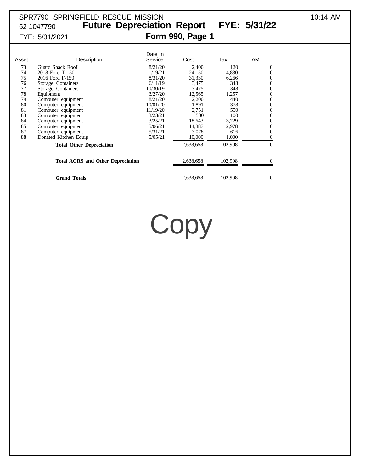## SPR7790 SPRINGFIELD RESCUE MISSION 10:14 AM 52-1047790 **Future Depreciation Report FYE: 5/31/22** FYE: 5/31/2021 **Form 990, Page 1**

| Asset | Description                              | Date In<br>Service | Cost      | Tax     | <b>AMT</b>   |
|-------|------------------------------------------|--------------------|-----------|---------|--------------|
| 73    | Guard Shack Roof                         | 8/21/20            | 2,400     | 120     | $\Omega$     |
| 74    | 2018 Ford T-150                          | 1/19/21            | 24,150    | 4,830   | $\mathbf{0}$ |
| 75    | 2016 Ford F-150                          | 8/31/20            | 31,330    | 6,266   | $\Omega$     |
| 76    | Storage Containers                       | 6/11/19            | 3,475     | 348     | $\theta$     |
| 77    | Storage Containers                       | 10/30/19           | 3,475     | 348     | $\theta$     |
| 78    | Equipment                                | 3/27/20            | 12,565    | 1,257   | $\theta$     |
| 79    | Computer equipment                       | 8/21/20            | 2,200     | 440     | $\theta$     |
| 80    | Computer equipment                       | 10/01/20           | 1,891     | 378     | $\theta$     |
| 81    | Computer equipment                       | 11/19/20           | 2,751     | 550     | $\mathbf{0}$ |
| 83    | Computer equipment                       | 3/23/21            | 500       | 100     | $\mathbf{0}$ |
| 84    | Computer equipment                       | 3/25/21            | 18,643    | 3,729   | 0            |
| 85    | Computer equipment                       | 5/06/21            | 14,887    | 2,978   | 0            |
| 87    | Computer equipment                       | 5/31/21            | 3,078     | 616     | 0            |
| 88    | Donated Kitchen Equip                    | 5/05/21            | 10,000    | 1,000   | 0            |
|       | <b>Total Other Depreciation</b>          |                    | 2,638,658 | 102,908 | $\Omega$     |
|       | <b>Total ACRS and Other Depreciation</b> |                    | 2,638,658 | 102,908 |              |
|       | <b>Grand Totals</b>                      |                    | 2,638,658 | 102,908 | $\theta$     |

Copy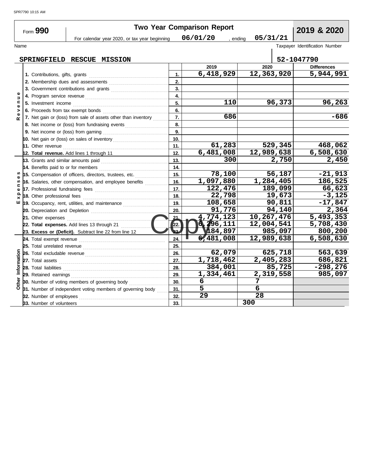|                | Form 990                            |                                                                |              | <b>Two Year Comparison Report</b> |                 |         | 2019 & 2020                    |
|----------------|-------------------------------------|----------------------------------------------------------------|--------------|-----------------------------------|-----------------|---------|--------------------------------|
|                |                                     | For calendar year 2020, or tax year beginning                  |              | 06/01/20<br>, ending              | 05/31/21        |         |                                |
| Name           |                                     |                                                                |              |                                   |                 |         | Taxpayer Identification Number |
|                |                                     | SPRINGFIELD RESCUE MISSION                                     |              |                                   |                 |         | 52-1047790                     |
|                |                                     |                                                                |              | 2019                              | 2020            |         | <b>Differences</b>             |
|                |                                     |                                                                | 1.           | 6,418,929                         | 12,363,920      |         | 5,944,991                      |
|                |                                     | 2. Membership dues and assessments                             | 2.           |                                   |                 |         |                                |
|                |                                     | 3. Government contributions and grants                         | 3.           |                                   |                 |         |                                |
| Ξ              |                                     |                                                                | 4.           |                                   |                 |         |                                |
| $\mathbf{C}$   |                                     |                                                                | 5.           | 110                               |                 | 96,373  | 96,263                         |
| $\bullet$<br>> |                                     |                                                                | 6.           |                                   |                 |         |                                |
| œ              |                                     | 7. Net gain or (loss) from sale of assets other than inventory | 7.           | 686                               |                 |         | $-686$                         |
|                |                                     | 8. Net income or (loss) from fundraising events                | 8.           |                                   |                 |         |                                |
|                |                                     | 9. Net income or (loss) from gaming                            | 9.           |                                   |                 |         |                                |
|                |                                     | 10. Net gain or (loss) on sales of inventory                   | 10.          |                                   |                 |         |                                |
|                |                                     |                                                                | 11.          | 61,283                            |                 | 529,345 | 468,062                        |
|                |                                     | 12. Total revenue. Add lines 1 through 11                      | 12.          | 6,481,008                         | 12,989,638      |         | 6,508,630                      |
|                | 13. Grants and similar amounts paid |                                                                | 13.          | 300                               |                 | 2,750   | 2,450                          |
|                | 14. Benefits paid to or for members |                                                                | 14.          |                                   |                 |         |                                |
|                |                                     | 15. Compensation of officers, directors, trustees, etc.        | 15.          | 78,100                            |                 | 56,187  | $-21,913$                      |
|                |                                     | 16. Salaries, other compensation, and employee benefits        | 16.          | 1,097,880                         | 1,284,405       |         | 186,525                        |
| c<br>ω         |                                     |                                                                | 17.          | 122,476                           |                 | 189,099 | 66,623                         |
| ௨              |                                     |                                                                | 18.          | 22,798                            |                 | 19,673  | $-3,125$                       |
| ш              |                                     | 19. Occupancy, rent, utilities, and maintenance                | 19.          | 108,658                           |                 | 90,811  | $-17,847$                      |
|                |                                     | 20. Depreciation and Depletion                                 | 20.          | 91,776                            |                 | 94,140  | 2,364                          |
|                | 21. Other expenses                  |                                                                | 21.          | $\overline{4,774,123}$            | 10,267,476      |         | 5,493,353                      |
|                |                                     | 22. Total expenses. Add lines 13 through 21                    | $\boxed{22}$ | $\sqrt{3}$ , 296, 111             | 12,004,541      |         | 5,708,430                      |
|                |                                     | 23. Excess or (Deficit). Subtract line 22 from line 12         | 22           | 184,897                           |                 | 985,097 | 800,200                        |
|                |                                     |                                                                | 24.          | 6,481,008                         | 12,989,638      |         | 6,508,630                      |
|                |                                     |                                                                | 25.          |                                   |                 |         |                                |
|                |                                     |                                                                | 26.          | 62,079                            |                 | 625,718 | 563,639                        |
|                |                                     |                                                                | 27.          | 1,718,462                         | 2,405,283       |         | 686,821                        |
| Information    | 28. Total liabilities               |                                                                | 28.          | 384,001                           |                 | 85,725  | $-298, 276$                    |
|                |                                     |                                                                | 29.          | 1,334,461                         | 2,319,558       |         | 985,097                        |
| Other          |                                     | 30. Number of voting members of governing body                 | 30.          | 6                                 | 7               |         |                                |
|                |                                     | 31. Number of independent voting members of governing body     | 31.          | 5                                 | 6               |         |                                |
|                | 32. Number of employees             |                                                                | 32.          | $\overline{29}$                   | $\overline{28}$ |         |                                |
|                | 33. Number of volunteers            |                                                                | 33.          |                                   | 300             |         |                                |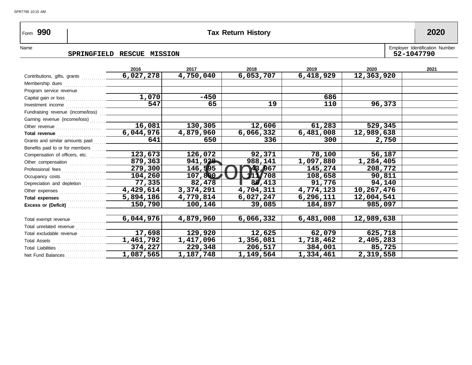## Form **990 Tax Return History 2020**

SPR7790 10:15 AM

#### SPRINGFIELD RESCUE MISSION

Name
SPRINGFIELD RESCUE MISSION
SPRINGFIELD RESCUE MISSION

SPRINGFIELD RESCUE MISSION

|                                                  | 2016                   | 2017      | 2018      | 2019        | 2020       | 2021 |
|--------------------------------------------------|------------------------|-----------|-----------|-------------|------------|------|
| Contributions, gifts, grants                     | 6,027,278              | 4,750,040 | 6,053,707 | 6,418,929   | 12,363,920 |      |
| Membership dues                                  |                        |           |           |             |            |      |
| Program service revenue                          |                        |           |           |             |            |      |
|                                                  | 1,070                  | -450      |           | 686         |            |      |
| Investment income $\ldots$                       | 547                    | 65        | 19        | 110         | 96,373     |      |
| Fundraising revenue (income/loss)                |                        |           |           |             |            |      |
| Gaming revenue (income/loss)                     |                        |           |           |             |            |      |
|                                                  | 16,081                 | 130,305   | 12,606    | 61,283      | 529,345    |      |
| Total revenue <b>container and the container</b> | 6,044,976              | 4,879,960 | 6,066,332 | 6,481,008   | 12,989,638 |      |
| Grants and similar amounts paid                  | 641                    | 650       | 336       | 300         | 2,750      |      |
| Benefits paid to or for members                  |                        |           |           |             |            |      |
| Compensation of officers, etc.                   | 123,673                | 126,072   | 92,371    | 78,100      | 56,187     |      |
| Other compensation                               | 879,363                | 941,928   | 988,141   | 1,097,880   | 1,284,405  |      |
|                                                  | $\overline{279,300}$   | 146,595   | 43,967    | 145,274     | 208,772    |      |
|                                                  | 104, 260               | 107,800   | 111/708   | 108,658     | 90,811     |      |
| Depreciation and depletion                       | 77,335                 | 82,478    | 86,413    | 91,776      | 94,140     |      |
|                                                  | $\overline{4,429,614}$ | 3,374,291 | 4,704,311 | 4,774,123   | 10,267,476 |      |
|                                                  | 5,894,186              | 4,779,814 | 6,027,247 | 6, 296, 111 | 12,004,541 |      |
| Excess or (Deficit)                              | 150,790                | 100,146   | 39,085    | 184,897     | 985,097    |      |
|                                                  | 6,044,976              | 4,879,960 | 6,066,332 | 6,481,008   | 12,989,638 |      |
| Total exempt revenue<br>Total unrelated revenue  |                        |           |           |             |            |      |
| Total excludable revenue                         | 17,698                 | 129,920   | 12,625    | 62,079      | 625,718    |      |
| Total Assets                                     | 1,461,792              | 1,417,096 | 1,356,081 | 1,718,462   | 2,405,283  |      |
| Total Liabilities                                | 374,227                | 229,348   | 206,517   | 384,001     | 85,725     |      |
| Net Fund Balances                                | 1,087,565              | 1,187,748 | 1,149,564 | 1,334,461   | 2,319,558  |      |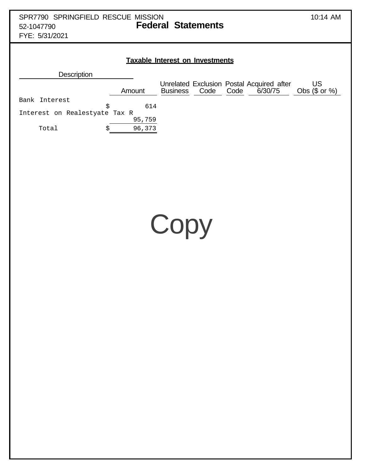| SPR7790 SPRINGFIELD RESCUE MISSION<br><b>Federal Statements</b><br>52-1047790<br>FYE: 5/31/2021                                                                                                                                                                      | 10:14 AM                     |
|----------------------------------------------------------------------------------------------------------------------------------------------------------------------------------------------------------------------------------------------------------------------|------------------------------|
| <b>Taxable Interest on Investments</b><br>Description<br>Unrelated Exclusion Postal Acquired after<br>6/30/75<br>Code<br>Code<br>Amount<br><b>Business</b><br>Bank Interest<br>614<br>\$<br>Interest on Realestyate Tax R<br>95,759<br>96,373<br>Total<br>\$<br>Copy | <b>US</b><br>Obs $($ or  %)$ |
|                                                                                                                                                                                                                                                                      |                              |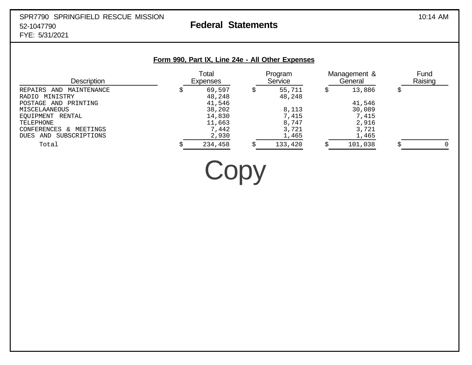#### SPR7790 SPRINGFIELD RESCUE MISSION 10:14 AM 52-1047790 **Federal Statements** FYE: 5/31/2021

| <b>Description</b>                     | Total<br><b>Expenses</b> |   | Program<br>Service | Management &<br>General | Fund<br>Raising |
|----------------------------------------|--------------------------|---|--------------------|-------------------------|-----------------|
| REPAIRS AND MAINTENANCE                | 69,597                   | S | 55,711             | 13,886                  |                 |
| RADIO MINISTRY<br>POSTAGE AND PRINTING | 48,248<br>41,546         |   | 48,248             | 41,546                  |                 |
| MISCELAANEOUS                          | 38,202                   |   | 8,113              | 30,089                  |                 |
| EQUIPMENT RENTAL                       | 14,830                   |   | 7,415              | 7,415                   |                 |
| TELEPHONE                              | 11,663                   |   | 8,747              | 2,916                   |                 |
| CONFERENCES<br>MEETINGS<br>$\delta$    | 7,442                    |   | 3,721              | 3,721                   |                 |
| DUES AND SUBSCRIPTIONS                 | 2,930                    |   | 1,465              | 1,465                   |                 |
| Total                                  | 234,458                  |   | 133,420            | 101,038                 |                 |

Copy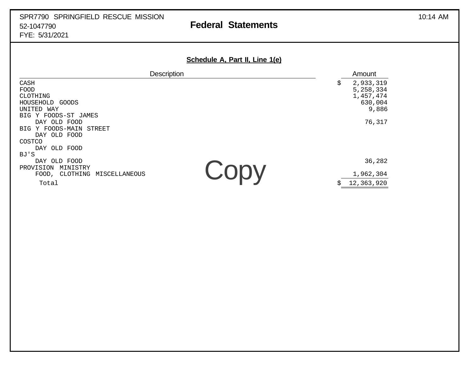### SPR7790 SPRINGFIELD RESCUE MISSION 10:14 AM 52-1047790 **Federal Statements** FYE: 5/31/2021

| Schedule A, Part II, Line 1(e) |  |  |  |
|--------------------------------|--|--|--|
|                                |  |  |  |

| Description                        |                                  | Amount     |
|------------------------------------|----------------------------------|------------|
| CASH                               | \$                               | 2,933,319  |
| FOOD                               |                                  | 5,258,334  |
| CLOTHING                           |                                  | 1,457,474  |
| HOUSEHOLD GOODS                    |                                  | 630,004    |
| UNITED WAY                         |                                  | 9,886      |
| BIG Y FOODS-ST JAMES               |                                  |            |
| DAY OLD FOOD                       |                                  | 76,317     |
| Y FOODS-MAIN<br>STREET<br>BIG      |                                  |            |
| DAY OLD FOOD                       |                                  |            |
| COSTCO                             |                                  |            |
| DAY OLD FOOD                       |                                  |            |
| BJ'S                               |                                  |            |
| DAY OLD FOOD                       |                                  | 36,282     |
| PROVISION<br>MINISTRY              |                                  |            |
| CLOTHING<br>MISCELLANEOUS<br>FOOD, | $\mathbf{U}$ ( )( ) $\mathbf{V}$ | 1,962,304  |
| Total                              | \$                               | 12,363,920 |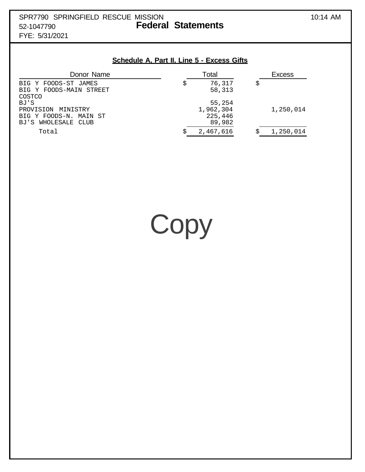#### **Schedule A, Part II, Line 5 - Excess Gifts**

| Donor Name                                                                                 | Total                                    | <b>Excess</b> |
|--------------------------------------------------------------------------------------------|------------------------------------------|---------------|
| BIG Y FOODS-ST JAMES<br>BIG Y FOODS-MAIN STREET                                            | 76,317<br>58,313                         |               |
| COSTCO<br>BJ'S<br>PROVISION MINISTRY<br>BIG Y FOODS-N. MAIN ST<br>WHOLESALE CLUB<br>BJ ' S | 55,254<br>1,962,304<br>225,446<br>89,982 | 1,250,014     |
| Total                                                                                      | 2,467,616                                | 1,250,014     |

Copy